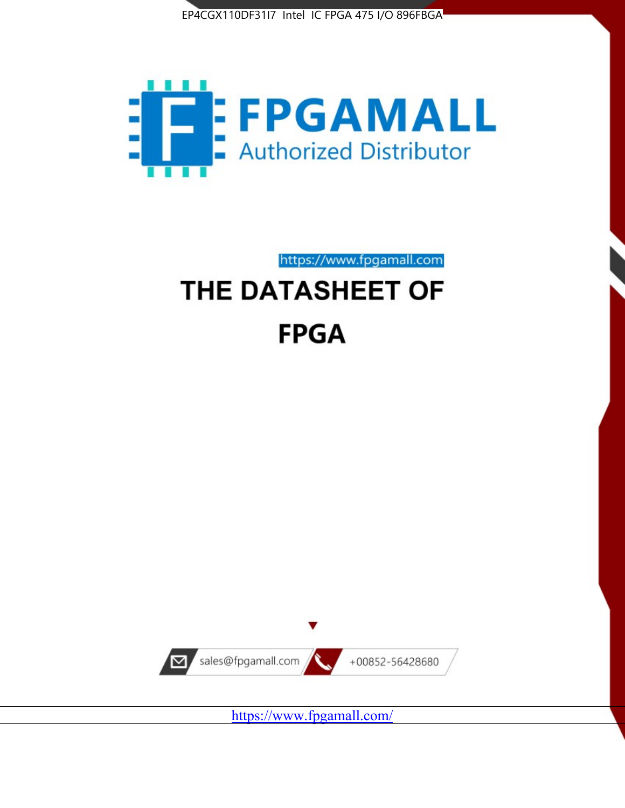



https://www.fpgamall.com THE DATASHEET OF

# **FPGA**



<https://www.fpgamall.com/>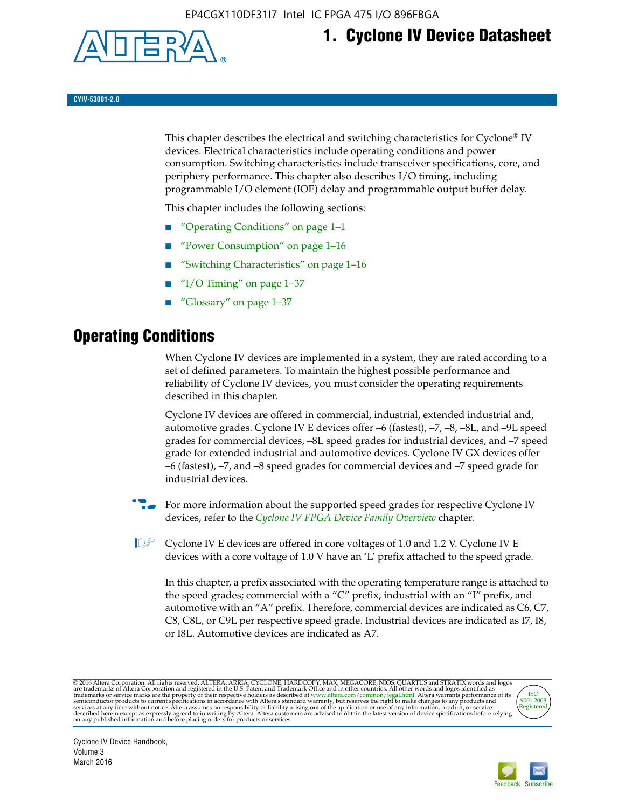

## **1. Cyclone IV Device Datasheet**

**CYIV-53001-2.0**

This chapter describes the electrical and switching characteristics for Cyclone<sup>®</sup> IV devices. Electrical characteristics include operating conditions and power consumption. Switching characteristics include transceiver specifications, core, and periphery performance. This chapter also describes I/O timing, including programmable I/O element (IOE) delay and programmable output buffer delay.

This chapter includes the following sections:

- "Operating Conditions" on page 1–1
- "Power Consumption" on page 1–16
- "Switching Characteristics" on page 1–16
- "I/O Timing" on page  $1-37$
- "Glossary" on page 1–37

## **Operating Conditions**

When Cyclone IV devices are implemented in a system, they are rated according to a set of defined parameters. To maintain the highest possible performance and reliability of Cyclone IV devices, you must consider the operating requirements described in this chapter.

Cyclone IV devices are offered in commercial, industrial, extended industrial and, automotive grades. Cyclone IV E devices offer –6 (fastest), –7, –8, –8L, and –9L speed grades for commercial devices, –8L speed grades for industrial devices, and –7 speed grade for extended industrial and automotive devices. Cyclone IV GX devices offer –6 (fastest), –7, and –8 speed grades for commercial devices and –7 speed grade for industrial devices.

**For more information about the supported speed grades for respective Cyclone IV** devices, refer to the *[Cyclone IV FPGA Device Family Overview](http://www.altera.com/literature/hb/cyclone-iv/cyiv-51001.pdf)* chapter.

**1** Cyclone IV E devices are offered in core voltages of 1.0 and 1.2 V. Cyclone IV E devices with a core voltage of 1.0 V have an 'L' prefix attached to the speed grade.

In this chapter, a prefix associated with the operating temperature range is attached to the speed grades; commercial with a "C" prefix, industrial with an "I" prefix, and automotive with an "A" prefix. Therefore, commercial devices are indicated as C6, C7, C8, C8L, or C9L per respective speed grade. Industrial devices are indicated as I7, I8, or I8L. Automotive devices are indicated as A7.

@2016 Altera Corporation. All rights reserved. ALTERA, ARRIA, CYCLONE, HARDCOPY, MAX, MEGACORE, NIOS, QUARTUS and STRATIX words and logos are trademarks of Altera Corporation and registered in the U.S. Patent and Trademark



Cyclone IV Device Handbook, Volume 3 March 2016

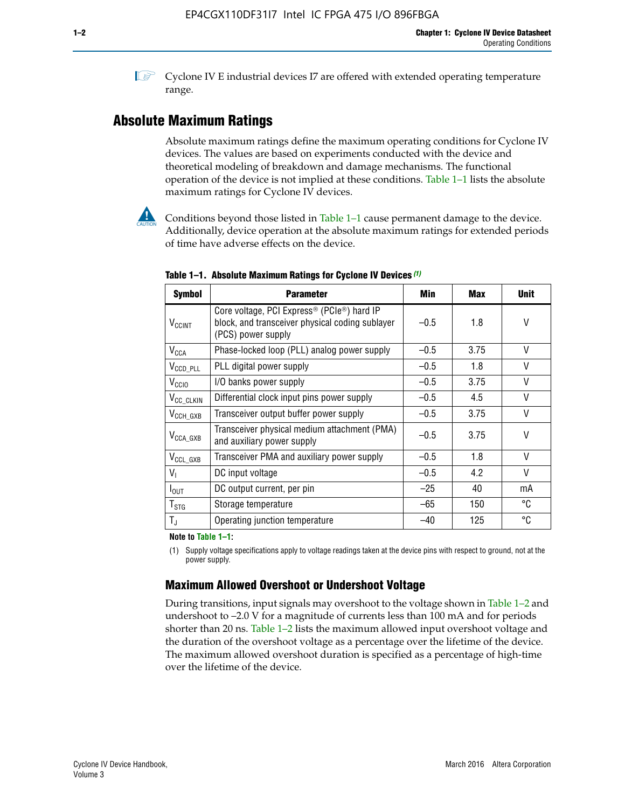**1 Cyclone IV E industrial devices I7 are offered with extended operating temperature** range.

### **Absolute Maximum Ratings**

Absolute maximum ratings define the maximum operating conditions for Cyclone IV devices. The values are based on experiments conducted with the device and theoretical modeling of breakdown and damage mechanisms. The functional operation of the device is not implied at these conditions. Table 1–1 lists the absolute maximum ratings for Cyclone IV devices.



**Conditions beyond those listed in Table 1–1 cause permanent damage to the device.** Additionally, device operation at the absolute maximum ratings for extended periods of time have adverse effects on the device.

| <b>Symbol</b>            | <b>Parameter</b>                                                                                                                             | Min    | <b>Max</b> | <b>Unit</b> |
|--------------------------|----------------------------------------------------------------------------------------------------------------------------------------------|--------|------------|-------------|
| <b>V<sub>CCINT</sub></b> | Core voltage, PCI Express <sup>®</sup> (PCIe <sup>®</sup> ) hard IP<br>block, and transceiver physical coding sublayer<br>(PCS) power supply | $-0.5$ | 1.8        | V           |
| $V_{CCA}$                | Phase-locked loop (PLL) analog power supply                                                                                                  | $-0.5$ | 3.75       | V           |
| $V_{CCD\_PLL}$           | PLL digital power supply                                                                                                                     | $-0.5$ | 1.8        | V           |
| V <sub>CCIO</sub>        | I/O banks power supply                                                                                                                       | $-0.5$ | 3.75       | V           |
| V <sub>CC_CLKIN</sub>    | Differential clock input pins power supply                                                                                                   | $-0.5$ | 4.5        | V           |
| $V_{\text{CCH_GXB}}$     | Transceiver output buffer power supply                                                                                                       | $-0.5$ | 3.75       | V           |
| $V_{\text{CCA\_GXB}}$    | Transceiver physical medium attachment (PMA)<br>and auxiliary power supply                                                                   | $-0.5$ | 3.75       | V           |
| $V_{CCL_GXB}$            | Transceiver PMA and auxiliary power supply                                                                                                   | $-0.5$ | 1.8        | V           |
| $V_{1}$                  | DC input voltage                                                                                                                             | $-0.5$ | 4.2        | V           |
| $I_{\text{OUT}}$         | DC output current, per pin                                                                                                                   | $-25$  | 40         | mA          |
| $T_{\mathtt{STG}}$       | Storage temperature                                                                                                                          | -65    | 150        | °C          |
| $T_{\rm J}$              | Operating junction temperature                                                                                                               | $-40$  | 125        | °C          |

**Table 1–1. Absolute Maximum Ratings for Cyclone IV Devices** *(1)*

**Note to Table 1–1:**

(1) Supply voltage specifications apply to voltage readings taken at the device pins with respect to ground, not at the power supply.

### **Maximum Allowed Overshoot or Undershoot Voltage**

During transitions, input signals may overshoot to the voltage shown in Table 1–2 and undershoot to –2.0 V for a magnitude of currents less than 100 mA and for periods shorter than 20 ns. Table 1–2 lists the maximum allowed input overshoot voltage and the duration of the overshoot voltage as a percentage over the lifetime of the device. The maximum allowed overshoot duration is specified as a percentage of high-time over the lifetime of the device.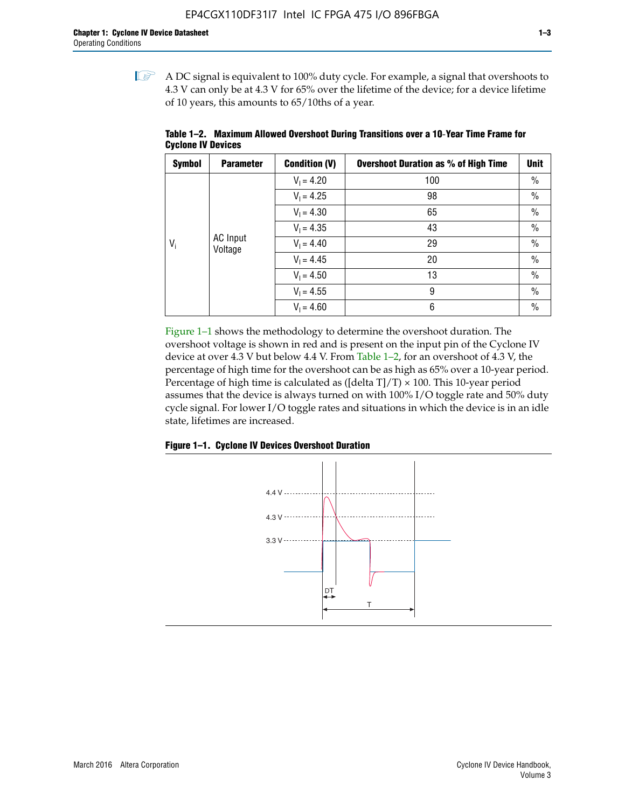$\mathbb{I}$  A DC signal is equivalent to 100% duty cycle. For example, a signal that overshoots to 4.3 V can only be at 4.3 V for 65% over the lifetime of the device; for a device lifetime of 10 years, this amounts to 65/10ths of a year.

| <b>Symbol</b> | <b>Parameter</b>    | <b>Condition (V)</b> | <b>Overshoot Duration as % of High Time</b> | Unit |
|---------------|---------------------|----------------------|---------------------------------------------|------|
|               |                     | $V_1 = 4.20$         | 100                                         | $\%$ |
|               |                     | $V_1 = 4.25$         | 98                                          | $\%$ |
| $V_i$         |                     | $V_1 = 4.30$         | 65                                          | $\%$ |
|               |                     | $V_1 = 4.35$         | 43                                          | $\%$ |
|               | AC Input<br>Voltage | $V_1 = 4.40$         | 29                                          | $\%$ |
|               |                     | $V_1 = 4.45$         | 20                                          | $\%$ |
|               |                     | $V_1 = 4.50$         | 13                                          | $\%$ |
|               |                     | $V_1 = 4.55$         | 9                                           | $\%$ |
|               |                     | $V_1 = 4.60$         | 6                                           | $\%$ |

**Table 1–2. Maximum Allowed Overshoot During Transitions over a 10**-**Year Time Frame for Cyclone IV Devices**

Figure 1–1 shows the methodology to determine the overshoot duration. The overshoot voltage is shown in red and is present on the input pin of the Cyclone IV device at over 4.3 V but below 4.4 V. From Table 1–2, for an overshoot of 4.3 V, the percentage of high time for the overshoot can be as high as 65% over a 10-year period. Percentage of high time is calculated as ([delta  $T$ ]/T)  $\times$  100. This 10-year period assumes that the device is always turned on with 100% I/O toggle rate and 50% duty cycle signal. For lower I/O toggle rates and situations in which the device is in an idle state, lifetimes are increased.



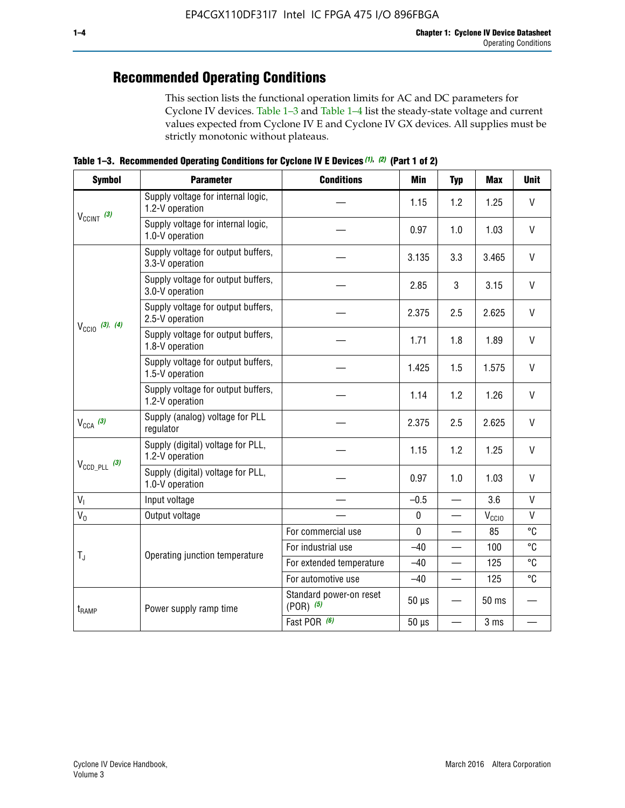## **Recommended Operating Conditions**

This section lists the functional operation limits for AC and DC parameters for Cyclone IV devices. Table 1–3 and Table 1–4 list the steady-state voltage and current values expected from Cyclone IV E and Cyclone IV GX devices. All supplies must be strictly monotonic without plateaus.

**Table 1–3. Recommended Operating Conditions for Cyclone IV E Devices** *(1)***,** *(2)* **(Part 1 of 2)**

| <b>Symbol</b>                                                                                                                                            | <b>Parameter</b>                                      | <b>Conditions</b>                        | <b>Min</b>                                                                                                                                                                                                                                                                                                                                                                                                                                                                                                                                  | <b>Typ</b> | <b>Max</b> | <b>Unit</b>  |
|----------------------------------------------------------------------------------------------------------------------------------------------------------|-------------------------------------------------------|------------------------------------------|---------------------------------------------------------------------------------------------------------------------------------------------------------------------------------------------------------------------------------------------------------------------------------------------------------------------------------------------------------------------------------------------------------------------------------------------------------------------------------------------------------------------------------------------|------------|------------|--------------|
|                                                                                                                                                          | Supply voltage for internal logic,<br>1.2-V operation |                                          | 1.15                                                                                                                                                                                                                                                                                                                                                                                                                                                                                                                                        | 1.2        | 1.25       | $\mathsf{V}$ |
|                                                                                                                                                          | Supply voltage for internal logic,<br>1.0-V operation |                                          | 0.97                                                                                                                                                                                                                                                                                                                                                                                                                                                                                                                                        | 1.0        | 1.03       | $\mathsf{V}$ |
|                                                                                                                                                          | Supply voltage for output buffers,<br>3.3-V operation |                                          | 3.135                                                                                                                                                                                                                                                                                                                                                                                                                                                                                                                                       | 3.3        | 3.465      | $\vee$       |
| $V_{CClNT}$ (3)<br>$V_{\text{CC10}}$ (3), (4)<br>$V_{CCA}$ (3)<br>$V_{\text{CCD\_PLL}}$ (3)<br>V <sub>1</sub><br>$V_0$<br>$T_{\rm J}$<br>$t_{\rm{RAMP}}$ | Supply voltage for output buffers,<br>3.0-V operation |                                          | 2.85                                                                                                                                                                                                                                                                                                                                                                                                                                                                                                                                        | 3          | 3.15       | V            |
|                                                                                                                                                          | Supply voltage for output buffers,<br>2.5-V operation |                                          | $\vee$<br>2.375<br>2.5<br>2.625<br>V<br>1.8<br>1.89<br>1.71<br>$\vee$<br>1.425<br>1.5<br>1.575<br>1.2<br>$\mathsf{V}$<br>1.14<br>1.26<br>$\vee$<br>2.375<br>2.5<br>2.625<br>V<br>1.15<br>1.2<br>1.25<br>$\vee$<br>0.97<br>1.0<br>1.03<br>$\mathsf{V}$<br>$-0.5$<br>3.6<br>$\overline{\phantom{0}}$<br>$\mathsf{V}$<br>$\pmb{0}$<br>$V_{CCIO}$<br>—<br>°C<br>$\mathbf 0$<br>85<br>°C<br>$-40$<br>100<br>°C<br>125<br>$-40$<br>°C<br>$-40$<br>125<br>$\qquad \qquad$<br>$50 \mu s$<br>50 ms<br>$50 \mu s$<br>3 ms<br>$\overline{\phantom{0}}$ |            |            |              |
|                                                                                                                                                          | Supply voltage for output buffers,<br>1.8-V operation |                                          |                                                                                                                                                                                                                                                                                                                                                                                                                                                                                                                                             |            |            |              |
|                                                                                                                                                          | Supply voltage for output buffers,<br>1.5-V operation |                                          |                                                                                                                                                                                                                                                                                                                                                                                                                                                                                                                                             |            |            |              |
|                                                                                                                                                          | Supply voltage for output buffers,<br>1.2-V operation |                                          |                                                                                                                                                                                                                                                                                                                                                                                                                                                                                                                                             |            |            |              |
|                                                                                                                                                          | Supply (analog) voltage for PLL<br>regulator          |                                          |                                                                                                                                                                                                                                                                                                                                                                                                                                                                                                                                             |            |            |              |
|                                                                                                                                                          | Supply (digital) voltage for PLL,<br>1.2-V operation  |                                          |                                                                                                                                                                                                                                                                                                                                                                                                                                                                                                                                             |            |            |              |
|                                                                                                                                                          | Supply (digital) voltage for PLL,<br>1.0-V operation  |                                          |                                                                                                                                                                                                                                                                                                                                                                                                                                                                                                                                             |            |            |              |
|                                                                                                                                                          | Input voltage                                         |                                          |                                                                                                                                                                                                                                                                                                                                                                                                                                                                                                                                             |            |            |              |
|                                                                                                                                                          | Output voltage                                        |                                          |                                                                                                                                                                                                                                                                                                                                                                                                                                                                                                                                             |            |            |              |
|                                                                                                                                                          |                                                       | For commercial use                       |                                                                                                                                                                                                                                                                                                                                                                                                                                                                                                                                             |            |            |              |
|                                                                                                                                                          | Operating junction temperature                        | For industrial use                       |                                                                                                                                                                                                                                                                                                                                                                                                                                                                                                                                             |            |            |              |
|                                                                                                                                                          |                                                       | For extended temperature                 |                                                                                                                                                                                                                                                                                                                                                                                                                                                                                                                                             |            |            |              |
|                                                                                                                                                          |                                                       | For automotive use                       |                                                                                                                                                                                                                                                                                                                                                                                                                                                                                                                                             |            |            |              |
|                                                                                                                                                          | Power supply ramp time                                | Standard power-on reset<br>$(POR)$ $(5)$ |                                                                                                                                                                                                                                                                                                                                                                                                                                                                                                                                             |            |            |              |
|                                                                                                                                                          |                                                       | Fast POR (6)                             |                                                                                                                                                                                                                                                                                                                                                                                                                                                                                                                                             |            |            |              |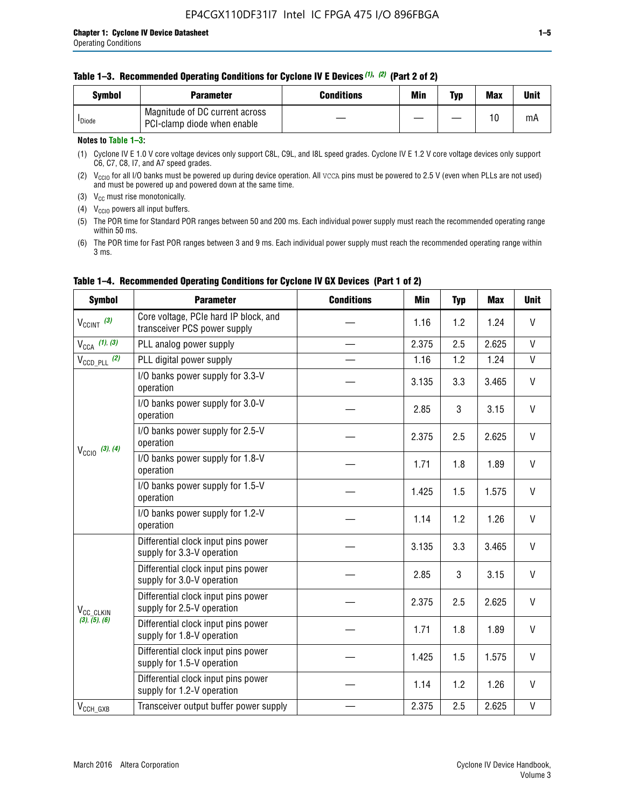| Svmbol             | <b>Parameter</b>                                              | <b>Conditions</b> | Min | Typ | <b>Max</b> | Unit |
|--------------------|---------------------------------------------------------------|-------------------|-----|-----|------------|------|
| <sup>I</sup> Diode | Magnitude of DC current across<br>PCI-clamp diode when enable |                   |     |     | 10         | mA   |

### **Notes to Table 1–3:**

(1) Cyclone IV E 1.0 V core voltage devices only support C8L, C9L, and I8L speed grades. Cyclone IV E 1.2 V core voltage devices only support C6, C7, C8, I7, and A7 speed grades.

(2)  $V_{CCIO}$  for all I/O banks must be powered up during device operation. All vcca pins must be powered to 2.5 V (even when PLLs are not used) and must be powered up and powered down at the same time.

(3)  $V_{CC}$  must rise monotonically.

(4)  $V_{\text{CCIO}}$  powers all input buffers.

(5) The POR time for Standard POR ranges between 50 and 200 ms. Each individual power supply must reach the recommended operating range within 50 ms.

(6) The POR time for Fast POR ranges between 3 and 9 ms. Each individual power supply must reach the recommended operating range within 3 ms.

| <b>Symbol</b>                                                                                                                                                                                                                                                                                                                                                                                                                                                                                                                                                         | <b>Parameter</b>                                                      | <b>Conditions</b> | Min   | <b>Typ</b> | <b>Max</b> | <b>Unit</b>  |
|-----------------------------------------------------------------------------------------------------------------------------------------------------------------------------------------------------------------------------------------------------------------------------------------------------------------------------------------------------------------------------------------------------------------------------------------------------------------------------------------------------------------------------------------------------------------------|-----------------------------------------------------------------------|-------------------|-------|------------|------------|--------------|
| $V_{CClNT}$ (3)                                                                                                                                                                                                                                                                                                                                                                                                                                                                                                                                                       | Core voltage, PCIe hard IP block, and<br>transceiver PCS power supply |                   | 1.16  | 1.2        | 1.24       | V            |
| $V_{CCA}$ (1), (3)                                                                                                                                                                                                                                                                                                                                                                                                                                                                                                                                                    | PLL analog power supply                                               |                   | 2.375 | 2.5        | 2.625      | $\mathsf{V}$ |
| $V_{\text{CCD\_PLL}}$ (2)                                                                                                                                                                                                                                                                                                                                                                                                                                                                                                                                             | PLL digital power supply                                              |                   | 1.16  | 1.2        | 1.24       | $\mathsf{V}$ |
|                                                                                                                                                                                                                                                                                                                                                                                                                                                                                                                                                                       | I/O banks power supply for 3.3-V<br>operation                         |                   | 3.135 | 3.3        | 3.465      | V            |
| I/O banks power supply for 3.0-V<br>operation<br>I/O banks power supply for 2.5-V<br>operation<br>$V_{\text{CC10}}$ (3), (4)<br>I/O banks power supply for 1.8-V<br>operation<br>I/O banks power supply for 1.5-V<br>operation<br>I/O banks power supply for 1.2-V<br>operation<br>Differential clock input pins power<br>supply for 3.3-V operation                                                                                                                                                                                                                  |                                                                       |                   | 2.85  | 3          | 3.15       | V            |
|                                                                                                                                                                                                                                                                                                                                                                                                                                                                                                                                                                       | 2.375                                                                 | 2.5               | 2.625 | V          |            |              |
|                                                                                                                                                                                                                                                                                                                                                                                                                                                                                                                                                                       |                                                                       |                   | 1.71  | 1.8        | 1.89       | V            |
|                                                                                                                                                                                                                                                                                                                                                                                                                                                                                                                                                                       |                                                                       |                   | 1.425 | 1.5        | 1.575      | V            |
|                                                                                                                                                                                                                                                                                                                                                                                                                                                                                                                                                                       |                                                                       |                   | 1.14  | 1.2        | 1.26       | $\mathsf{V}$ |
| 3.135<br>3.3<br>Differential clock input pins power<br>3<br>2.85<br>supply for 3.0-V operation<br>Differential clock input pins power<br>2.5<br>2.375<br>supply for 2.5-V operation<br>V <sub>CC_CLKIN</sub><br>(3), (5), (6)<br>Differential clock input pins power<br>1.8<br>1.71<br>supply for 1.8-V operation<br>Differential clock input pins power<br>1.425<br>1.5<br>supply for 1.5-V operation<br>Differential clock input pins power<br>1.2<br>1.14<br>supply for 1.2-V operation<br>2.375<br>2.5<br>$V_{CCH_GXB}$<br>Transceiver output buffer power supply |                                                                       |                   |       |            | 3.465      | V            |
|                                                                                                                                                                                                                                                                                                                                                                                                                                                                                                                                                                       | 3.15                                                                  | V                 |       |            |            |              |
|                                                                                                                                                                                                                                                                                                                                                                                                                                                                                                                                                                       | 2.625                                                                 | V                 |       |            |            |              |
|                                                                                                                                                                                                                                                                                                                                                                                                                                                                                                                                                                       |                                                                       |                   |       |            | 1.89       | $\vee$       |
|                                                                                                                                                                                                                                                                                                                                                                                                                                                                                                                                                                       |                                                                       |                   |       |            | 1.575      | V            |
|                                                                                                                                                                                                                                                                                                                                                                                                                                                                                                                                                                       |                                                                       |                   |       |            | 1.26       | V            |
|                                                                                                                                                                                                                                                                                                                                                                                                                                                                                                                                                                       |                                                                       |                   |       |            | 2.625      | $\mathsf{V}$ |

### **Table 1–4. Recommended Operating Conditions for Cyclone IV GX Devices (Part 1 of 2)**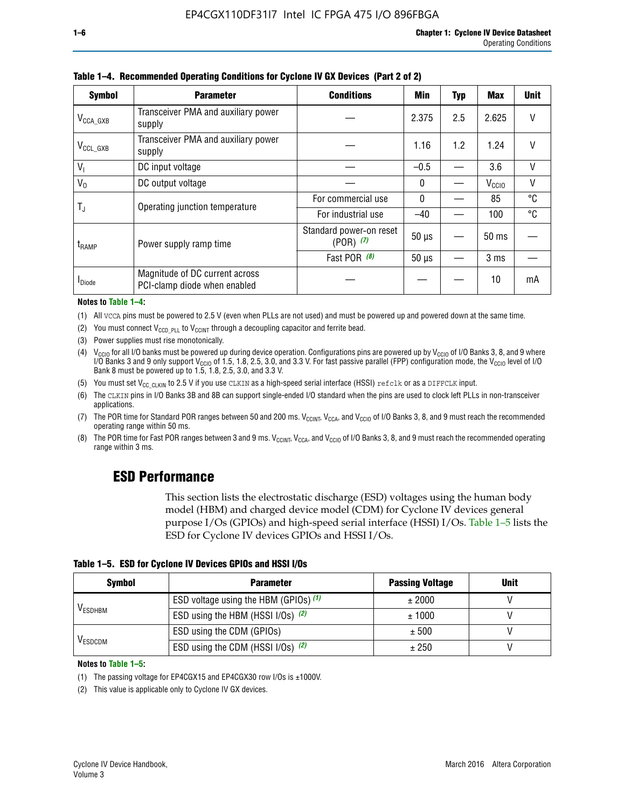| <b>Symbol</b>         | <b>Parameter</b>                                               | <b>Conditions</b>                        | Min          | Typ | <b>Max</b>        | <b>Unit</b> |
|-----------------------|----------------------------------------------------------------|------------------------------------------|--------------|-----|-------------------|-------------|
| $V_{\text{CCA\_GXB}}$ | Transceiver PMA and auxiliary power<br>supply                  |                                          | 2.375        | 2.5 | 2.625             | V           |
| $V_{\rm CCL\_GXB}$    | Transceiver PMA and auxiliary power<br>supply                  |                                          | 1.16         | 1.2 | 1.24              | V           |
| $V_{1}$               | DC input voltage                                               |                                          | $-0.5$       |     | 3.6               | V           |
| $V_0$                 | DC output voltage                                              |                                          | $\mathbf{0}$ |     | V <sub>CCIO</sub> | ٧           |
|                       | Operating junction temperature                                 | For commercial use                       | $\mathbf{0}$ |     | 85                | °C          |
| T,                    |                                                                | For industrial use                       | $-40$        |     | 100               | °C          |
| t <sub>RAMP</sub>     | Power supply ramp time                                         | Standard power-on reset<br>$(POR)$ $(7)$ | $50 \mu s$   |     | $50$ ms           |             |
|                       |                                                                | Fast POR (8)                             | $50 \mu s$   |     | 3 <sub>ms</sub>   |             |
| <sup>I</sup> Diode    | Magnitude of DC current across<br>PCI-clamp diode when enabled |                                          |              |     | 10                | mA          |

#### **Table 1–4. Recommended Operating Conditions for Cyclone IV GX Devices (Part 2 of 2)**

**Notes to Table 1–4:**

- (1) All VCCA pins must be powered to 2.5 V (even when PLLs are not used) and must be powered up and powered down at the same time.
- (2) You must connect  $V_{CCD\_PLL}$  to  $V_{CCINT}$  through a decoupling capacitor and ferrite bead.
- (3) Power supplies must rise monotonically.
- (4)  $V_{\text{CCIO}}$  for all I/O banks must be powered up during device operation. Configurations pins are powered up by V<sub>CCIO</sub> of I/O Banks 3, 8, and 9 where I/O Banks 3 and 9 only support V<sub>CCIO</sub> of 1.5, 1.8, 2.5, 3.0, and 3.3 V. For fast passive parallel (FPP) configuration mode, the V<sub>CCIO</sub> level of I/O<br>Bank 8 must be powered up to 1.5, 1.8, 2.5, 3.0, and 3.3 V.
- (5) You must set  $V_{CC_CCLKIN}$  to 2.5 V if you use CLKIN as a high-speed serial interface (HSSI) refclk or as a DIFFCLK input.
- (6) The CLKIN pins in I/O Banks 3B and 8B can support single-ended I/O standard when the pins are used to clock left PLLs in non-transceiver applications.
- (7) The POR time for Standard POR ranges between 50 and 200 ms.  $V_{\text{CCIA}}$ ,  $V_{\text{CCIA}}$ , and  $V_{\text{CCIO}}$  of I/O Banks 3, 8, and 9 must reach the recommended operating range within 50 ms.
- (8) The POR time for Fast POR ranges between 3 and 9 ms.  $V_{\text{CCH},T}$ ,  $V_{\text{CCA}}$ , and  $V_{\text{CCI}}$  of I/O Banks 3, 8, and 9 must reach the recommended operating range within 3 ms.

### **ESD Performance**

This section lists the electrostatic discharge (ESD) voltages using the human body model (HBM) and charged device model (CDM) for Cyclone IV devices general purpose I/Os (GPIOs) and high-speed serial interface (HSSI) I/Os. Table 1–5 lists the ESD for Cyclone IV devices GPIOs and HSSI I/Os.

|  |  |  |  |  |  |  | Table 1–5. ESD for Cyclone IV Devices GPIOs and HSSI I/Os |  |  |
|--|--|--|--|--|--|--|-----------------------------------------------------------|--|--|
|--|--|--|--|--|--|--|-----------------------------------------------------------|--|--|

| <b>Symbol</b>  | <b>Parameter</b>                      | <b>Passing Voltage</b> | <b>Unit</b> |
|----------------|---------------------------------------|------------------------|-------------|
|                | ESD voltage using the HBM (GPIOs) (1) | ± 2000                 |             |
| <b>VESDHBM</b> | ESD using the HBM (HSSI I/Os) (2)     | ± 1000                 |             |
|                | ESD using the CDM (GPIOs)             | ± 500                  |             |
| <b>VESDCDM</b> | ESD using the CDM (HSSI I/Os) (2)     | ± 250                  |             |

#### **Notes to Table 1–5:**

(1) The passing voltage for EP4CGX15 and EP4CGX30 row I/Os is ±1000V.

(2) This value is applicable only to Cyclone IV GX devices.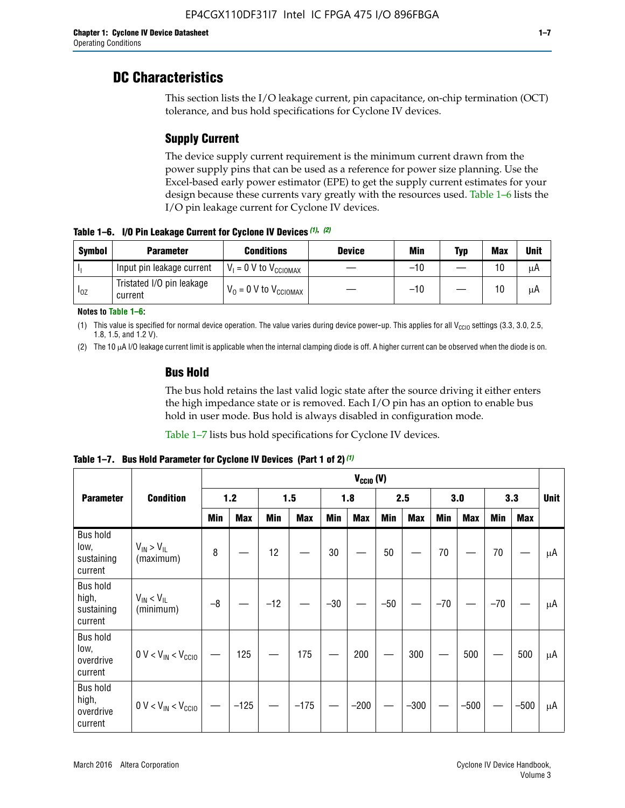### **DC Characteristics**

This section lists the I/O leakage current, pin capacitance, on-chip termination (OCT) tolerance, and bus hold specifications for Cyclone IV devices.

### **Supply Current**

The device supply current requirement is the minimum current drawn from the power supply pins that can be used as a reference for power size planning. Use the Excel-based early power estimator (EPE) to get the supply current estimates for your design because these currents vary greatly with the resources used. Table 1–6 lists the I/O pin leakage current for Cyclone IV devices.

**Table 1–6. I/O Pin Leakage Current for Cyclone IV Devices** *(1)***,** *(2)*

| <b>Symbol</b> | <b>Parameter</b>                     | <b>Conditions</b>                     | <b>Device</b> | Min   | Typ | <b>Max</b> | <b>Unit</b> |
|---------------|--------------------------------------|---------------------------------------|---------------|-------|-----|------------|-------------|
| -lı           | Input pin leakage current            | $V_1 = 0$ V to $V_{\text{CCIOMAX}}$   |               | $-10$ |     | 10         | μA          |
| $I_{0Z}$      | Tristated I/O pin leakage<br>current | $V_0 = 0 V$ to $V_{\text{CCIOMAX}}$ I |               | $-10$ |     | 10         | μA          |

**Notes to Table 1–6:**

(1) This value is specified for normal device operation. The value varies during device power-up. This applies for all V<sub>CCIO</sub> settings (3.3, 3.0, 2.5, 1.8, 1.5, and 1.2 V).

(2) The 10 µA I/O leakage current limit is applicable when the internal clamping diode is off. A higher current can be observed when the diode is on.

### **Bus Hold**

The bus hold retains the last valid logic state after the source driving it either enters the high impedance state or is removed. Each I/O pin has an option to enable bus hold in user mode. Bus hold is always disabled in configuration mode.

Table 1–7 lists bus hold specifications for Cyclone IV devices.

|                                                   |                                  | $V_{CCIO} (V)$ |            |       |            |            |            |            |            |       |            |       |            |    |
|---------------------------------------------------|----------------------------------|----------------|------------|-------|------------|------------|------------|------------|------------|-------|------------|-------|------------|----|
| <b>Parameter</b>                                  | <b>Condition</b>                 | 1.2            |            |       | 1.5        |            | 1.8        |            | 2.5        |       | 3.0        |       | 3.3        |    |
|                                                   |                                  | <b>Min</b>     | <b>Max</b> | Min   | <b>Max</b> | <b>Min</b> | <b>Max</b> | <b>Min</b> | <b>Max</b> | Min   | <b>Max</b> | Min   | <b>Max</b> |    |
| <b>Bus hold</b><br>low,<br>sustaining<br>current  | $V_{IN}$ > $V_{IL}$<br>(maximum) | 8              |            | 12    |            | 30         |            | 50         |            | 70    |            | 70    |            | μA |
| <b>Bus hold</b><br>high,<br>sustaining<br>current | $V_{IN}$ < $V_{IL}$<br>(minimum) | $-8$           |            | $-12$ |            | $-30$      |            | $-50$      |            | $-70$ |            | $-70$ |            | μA |
| <b>Bus hold</b><br>low,<br>overdrive<br>current   | $0 V < V_{IN} < V_{CG10}$        |                | 125        |       | 175        |            | 200        |            | 300        |       | 500        |       | 500        | μA |
| <b>Bus hold</b><br>high,<br>overdrive<br>current  | $0 V < V_{IN} < V_{CG10}$        |                | $-125$     |       | $-175$     |            | $-200$     |            | $-300$     |       | $-500$     |       | $-500$     | μA |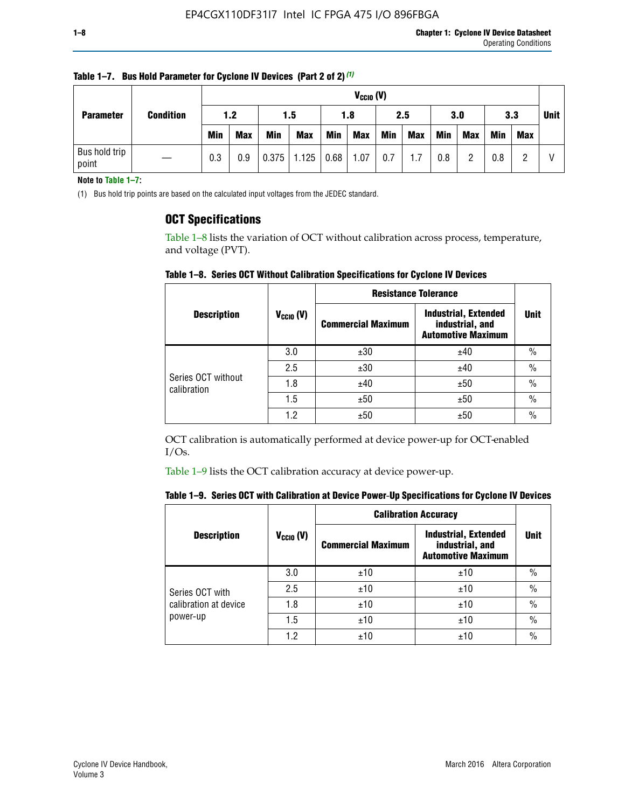| <b>Parameter</b>       | <b>Condition</b> |            | $V_{CClO}$ (V) |            |            |      |            |     |     |     |            |            |     |  |
|------------------------|------------------|------------|----------------|------------|------------|------|------------|-----|-----|-----|------------|------------|-----|--|
|                        |                  | 1.2        |                |            | 1.5        |      | 1.8        |     | 2.5 |     | 3.0        |            | 3.3 |  |
|                        |                  | <b>Min</b> | <b>Max</b>     | <b>Min</b> | <b>Max</b> | Min  | <b>Max</b> | Min | Max | Min | <b>Max</b> | <b>Min</b> | Max |  |
| Bus hold trip<br>point |                  | 0.3        | 0.9            | 0.375      | 1.125      | 0.68 | 1.07       | 0.7 | 1.7 | 0.8 | റ          | 0.8        |     |  |

**Table 1–7. Bus Hold Parameter for Cyclone IV Devices (Part 2 of 2)** *(1)*

**Note to Table 1–7:**

(1) Bus hold trip points are based on the calculated input voltages from the JEDEC standard.

### **OCT Specifications**

Table 1–8 lists the variation of OCT without calibration across process, temperature, and voltage (PVT).

**Table 1–8. Series OCT Without Calibration Specifications for Cyclone IV Devices**

|                                   |                      | <b>Resistance Tolerance</b> |                                                                             |               |
|-----------------------------------|----------------------|-----------------------------|-----------------------------------------------------------------------------|---------------|
| <b>Description</b>                | $V_{\text{CCIO}}(V)$ | <b>Commercial Maximum</b>   | <b>Industrial, Extended</b><br>industrial, and<br><b>Automotive Maximum</b> | <b>Unit</b>   |
|                                   | 3.0                  | ±30                         | ±40                                                                         | $\frac{0}{0}$ |
|                                   | 2.5                  | ±30                         | ±40                                                                         | $\frac{0}{0}$ |
| Series OCT without<br>calibration | 1.8                  | ±40                         | ±50                                                                         | $\frac{0}{0}$ |
|                                   | 1.5                  | ±50                         | ±50                                                                         | $\frac{0}{0}$ |
|                                   | 1.2                  | ±50                         | ±50                                                                         | $\frac{0}{0}$ |

OCT calibration is automatically performed at device power-up for OCT-enabled I/Os.

Table 1–9 lists the OCT calibration accuracy at device power-up.

|  | Table 1–9.  Series OCT with Calibration at Device Power-Up Specifications for Cyclone IV Devices |  |  |  |
|--|--------------------------------------------------------------------------------------------------|--|--|--|
|--|--------------------------------------------------------------------------------------------------|--|--|--|

|                       |                | <b>Calibration Accuracy</b> |                                                                             |               |
|-----------------------|----------------|-----------------------------|-----------------------------------------------------------------------------|---------------|
| <b>Description</b>    | $V_{CGI0} (V)$ | <b>Commercial Maximum</b>   | <b>Industrial, Extended</b><br>industrial, and<br><b>Automotive Maximum</b> | Unit          |
|                       | 3.0            | ±10                         | ±10                                                                         | $\%$          |
| Series OCT with       | 2.5            | ±10                         | ±10                                                                         | $\%$          |
| calibration at device | 1.8            | ±10                         | ±10                                                                         | $\frac{0}{0}$ |
| power-up              | 1.5            | ±10                         | ±10                                                                         | $\frac{0}{0}$ |
|                       | 1.2            | ±10                         | ±10                                                                         | $\frac{0}{0}$ |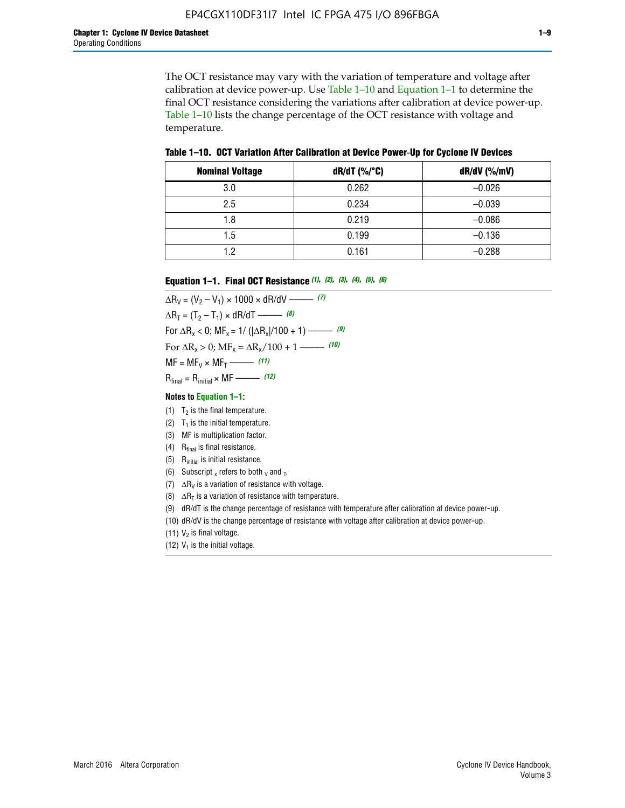The OCT resistance may vary with the variation of temperature and voltage after calibration at device power-up. Use Table 1–10 and Equation 1–1 to determine the final OCT resistance considering the variations after calibration at device power-up. Table 1–10 lists the change percentage of the OCT resistance with voltage and temperature.

**Table 1–10. OCT Variation After Calibration at Device Power**-**Up for Cyclone IV Devices**

| <b>Nominal Voltage</b> | dR/dT (%/°C) | $dR/dV$ (%/mV) |
|------------------------|--------------|----------------|
| 3.0                    | 0.262        | $-0.026$       |
| 2.5                    | 0.234        | $-0.039$       |
| 1.8                    | 0.219        | $-0.086$       |
| 1.5                    | 0.199        | $-0.136$       |
| 1.2                    | 0.161        | $-0.288$       |

#### **Equation 1–1. Final OCT Resistance** *(1)***,** *(2)***,** *(3)***,** *(4)***,** *(5)***,** *(6)*

 $\Delta R_V = (V_2 - V_1) \times 1000 \times dR/dV$  ––––––––––––(7)  $\Delta R_T = (T_2 - T_1) \times dR/dT$  ––––––– (8) For  $\Delta R_x < 0$ ; MF<sub>x</sub> = 1/ ( $|\Delta R_x|/100 + 1$ ) –––––– (9) For  $\Delta R_x > 0$ ;  $\text{MF}_x = \Delta R_x / 100 + 1$  ——– (10)  $MF = MF_V \times MF_T$  –––––––––––(11) Rfinal = Rinitial × MF ––––– *(12)*

#### **Notes to Equation 1–1:**

- (1)  $T_2$  is the final temperature.
- (2)  $T_1$  is the initial temperature.
- (3) MF is multiplication factor.
- (4)  $R<sub>final</sub>$  is final resistance.
- (5) Rinitial is initial resistance.
- (6) Subscript x refers to both  $\sqrt{v}$  and  $\sqrt{v}$ .
- (7)  $\Delta R_V$  is a variation of resistance with voltage.
- (8)  $\Delta R_T$  is a variation of resistance with temperature.
- (9) dR/dT is the change percentage of resistance with temperature after calibration at device power-up.
- (10) dR/dV is the change percentage of resistance with voltage after calibration at device power-up.
- (11)  $V_2$  is final voltage.
- (12)  $V_1$  is the initial voltage.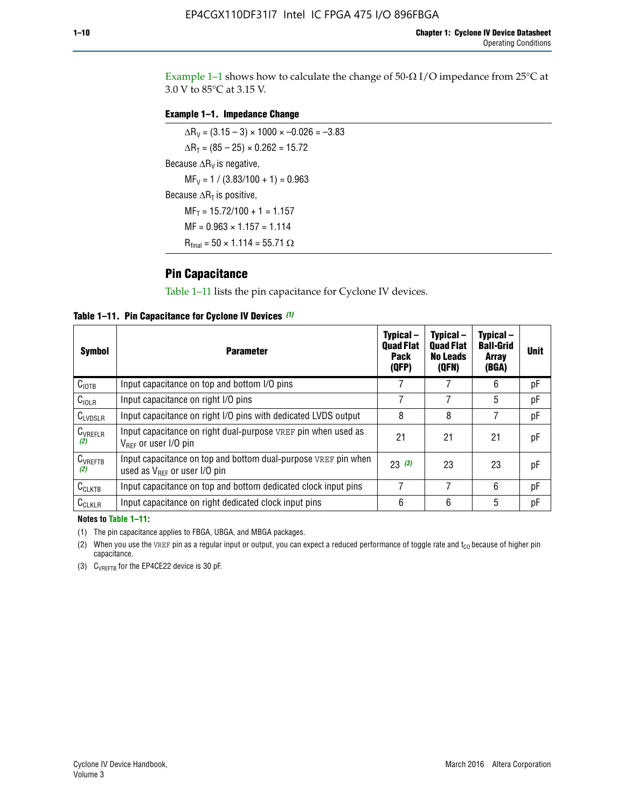Example 1-1 shows how to calculate the change of  $50$ - $\Omega$  I/O impedance from 25°C at 3.0 V to 85°C at 3.15 V.

### **Example 1–1. Impedance Change**

 $\Delta R_V = (3.15 - 3) \times 1000 \times -0.026 = -3.83$  $\Delta R_T = (85 - 25) \times 0.262 = 15.72$ Because  $\Delta R_V$  is negative,  $MF_V = 1 / (3.83/100 + 1) = 0.963$ Because  $\Delta R_T$  is positive,  $MF_T = 15.72/100 + 1 = 1.157$  $MF = 0.963 \times 1.157 = 1.114$  $R_{final} = 50 \times 1.114 = 55.71 \Omega$ 

### **Pin Capacitance**

Table 1–11 lists the pin capacitance for Cyclone IV devices.

**Table 1–11. Pin Capacitance for Cyclone IV Devices** *(1)*

| <b>Symbol</b>       | <b>Parameter</b>                                                                                    | Typical-<br><b>Quad Flat</b><br><b>Pack</b><br>(QFP) | Typical-<br><b>Quad Flat</b><br><b>No Leads</b><br>(QFN) | Typical-<br><b>Ball-Grid</b><br><b>Array</b><br>(BGA) | <b>Unit</b> |
|---------------------|-----------------------------------------------------------------------------------------------------|------------------------------------------------------|----------------------------------------------------------|-------------------------------------------------------|-------------|
| C <sub>IOTB</sub>   | Input capacitance on top and bottom I/O pins                                                        |                                                      |                                                          | 6                                                     | рF          |
| $C_{IOLR}$          | Input capacitance on right I/O pins                                                                 |                                                      |                                                          | 5                                                     | pF          |
| $C_{LVDSLR}$        | Input capacitance on right I/O pins with dedicated LVDS output                                      | 8                                                    | 8                                                        | 7                                                     | рF          |
| $C_{VREFLR}$<br>(2) | Input capacitance on right dual-purpose VREF pin when used as<br>$V_{BFF}$ or user I/O pin          | 21                                                   | 21                                                       | 21                                                    | pF          |
| $C_{VREFTB}$<br>(2) | Input capacitance on top and bottom dual-purpose VREF pin when<br>used as $V_{BFF}$ or user I/O pin | 23(3)                                                | 23                                                       | 23                                                    | рF          |
| $C_{CLKTB}$         | Input capacitance on top and bottom dedicated clock input pins                                      |                                                      | 7                                                        | 6                                                     | рF          |
| $C_{CLKLR}$         | Input capacitance on right dedicated clock input pins                                               | 6                                                    | 6                                                        | 5                                                     | рF          |

#### **Notes to Table 1–11:**

(1) The pin capacitance applies to FBGA, UBGA, and MBGA packages.

(2) When you use the VREF pin as a regular input or output, you can expect a reduced performance of toggle rate and  $t_{\rm CO}$  because of higher pin capacitance.

(3) CVREFTB for the EP4CE22 device is 30 pF.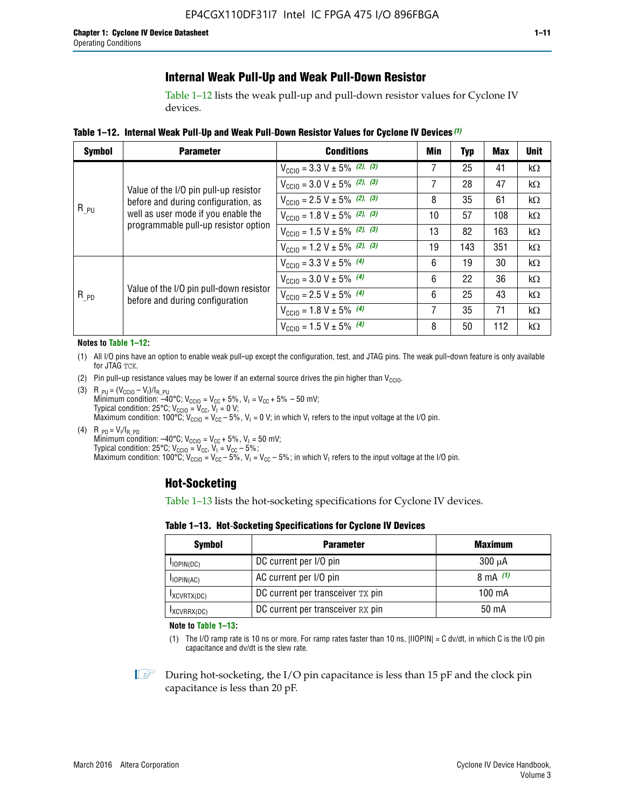### **Internal Weak Pull-Up and Weak Pull-Down Resistor**

Table 1–12 lists the weak pull-up and pull-down resistor values for Cyclone IV devices.

**Table 1–12. Internal Weak Pull**-**Up and Weak Pull**-**Down Resistor Values for Cyclone IV Devices** *(1)*

| <b>Symbol</b> | <b>Parameter</b>                                                            | <b>Conditions</b>                                  | Min | <b>Typ</b> | <b>Max</b> | <b>Unit</b> |
|---------------|-----------------------------------------------------------------------------|----------------------------------------------------|-----|------------|------------|-------------|
|               |                                                                             | $V_{\text{CC10}} = 3.3 \text{ V} \pm 5\%$ (2), (3) | 7   | 25         | 41         | $k\Omega$   |
|               | Value of the I/O pin pull-up resistor                                       | $V_{\text{CC10}} = 3.0 \text{ V} \pm 5\%$ (2), (3) | 7   | 28         | 47         | kΩ          |
|               | before and during configuration, as                                         | $V_{\text{CC10}} = 2.5 V \pm 5\%$ (2), (3)         | 8   | 35         | 61         | kΩ          |
| $R_{PU}$      | well as user mode if you enable the<br>programmable pull-up resistor option | $V_{\text{CGI0}} = 1.8 V \pm 5\%$ (2), (3)         | 10  | 57         | 108        | $k\Omega$   |
|               |                                                                             | $V_{\text{CC10}} = 1.5 V \pm 5\%$ (2), (3)         | 13  | 82         | 163        | $k\Omega$   |
|               |                                                                             | $V_{\text{CC10}} = 1.2 V \pm 5\%$ (2), (3)         | 19  | 143        | 351        | kΩ          |
|               |                                                                             | $V_{\text{CC10}} = 3.3 V \pm 5\%$ (4)              | 6   | 19         | 30         | kΩ          |
|               |                                                                             | $V_{\text{CC10}} = 3.0 V \pm 5\%$ (4)              | 6   | 22         | 36         | $k\Omega$   |
| $R_{PD}$      | Value of the I/O pin pull-down resistor<br>before and during configuration  | $V_{\text{CC10}} = 2.5 V \pm 5\%$ (4)              | 6   | 25         | 43         | kΩ          |
|               |                                                                             | $V_{\text{CC10}} = 1.8 V \pm 5\%$ (4)              | 7   | 35         | 71         | $k\Omega$   |
|               |                                                                             | $V_{\text{CC10}} = 1.5 V \pm 5\%$ (4)              | 8   | 50         | 112        | kΩ          |

#### **Notes to Table 1–12:**

- (1) All I/O pins have an option to enable weak pull-up except the configuration, test, and JTAG pins. The weak pull-down feature is only available for JTAG TCK.
- (2) Pin pull-up resistance values may be lower if an external source drives the pin higher than  $V_{\text{CCIO}}$ .
- (3)  $R_{PU} = (V_{CC10} V_1)/I_{R_PU}$ Minimum condition: –40°C; V<sub>CCIO</sub> = V<sub>CC</sub> + 5%, V<sub>I</sub> = V<sub>CC</sub> + 5% – 50 mV; Typical condition: 25°C; V<sub>CCIO</sub> = V<sub>CC</sub>, V<sub>I</sub> = 0 V; Maximum condition: 100°C;  $V_{\text{CCIO}} = V_{\text{CC}} - 5\%$ ,  $V_1 = 0$  V; in which V<sub>I</sub> refers to the input voltage at the I/O pin.
- (4)  $R_{PD} = V_I/I_{R_PD}$ Minimum condition:  $-40^{\circ}$ C; V<sub>CCIO</sub> = V<sub>CC</sub> + 5%, V<sub>I</sub> = 50 mV; Typical condition: 25°C;  $V_{\text{CCIO}} = V_{\text{CC}}$ ,  $V_{\text{I}} = V_{\text{CC}} - 5\%$ ; Maximum condition: 100°C; V<sub>CClO</sub> = V<sub>CC</sub> – 5%, V<sub>I</sub> = V<sub>CC</sub> – 5%; in which V<sub>I</sub> refers to the input voltage at the I/O pin.

### **Hot-Socketing**

Table 1–13 lists the hot-socketing specifications for Cyclone IV devices.

**Table 1–13. Hot**-**Socketing Specifications for Cyclone IV Devices**

| <b>Symbol</b> | <b>Maximum</b>                    |             |
|---------------|-----------------------------------|-------------|
| $I$ IOPIN(DC) | DC current per I/O pin            | $300 \mu A$ |
| $I$ IOPIN(AC) | AC current per I/O pin            | 8 mA $(1)$  |
| IXCVRTX(DC)   | DC current per transceiver TX pin | 100 mA      |
| IXCVRRX(DC)   | DC current per transceiver RX pin | 50 mA       |

**Note to Table 1–13:**

(1) The I/O ramp rate is 10 ns or more. For ramp rates faster than 10 ns, |IIOPIN| = C dv/dt, in which C is the I/O pin capacitance and dv/dt is the slew rate.

 $\mathbb{I} \rightarrow \mathbb{I}$  During hot-socketing, the I/O pin capacitance is less than 15 pF and the clock pin capacitance is less than 20 pF.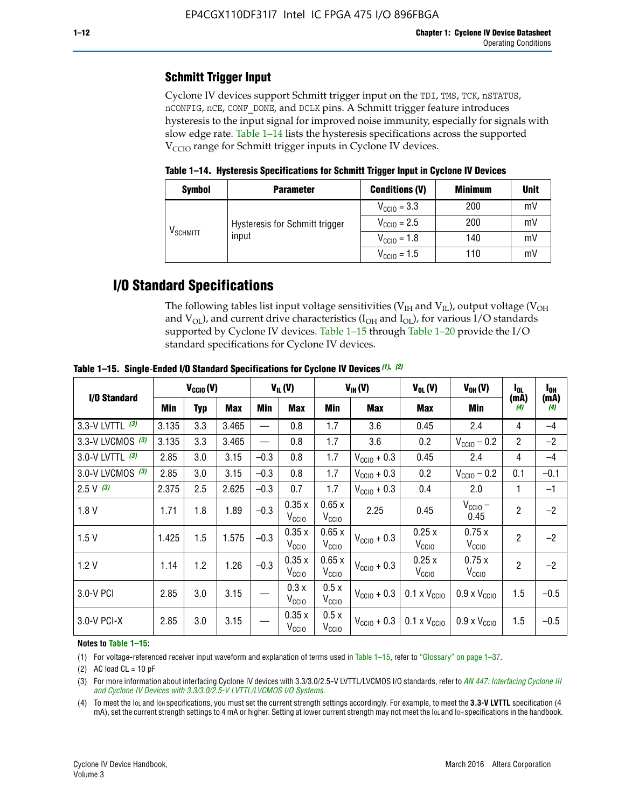### **Schmitt Trigger Input**

Cyclone IV devices support Schmitt trigger input on the TDI, TMS, TCK, nSTATUS, nCONFIG, nCE, CONF\_DONE, and DCLK pins. A Schmitt trigger feature introduces hysteresis to the input signal for improved noise immunity, especially for signals with slow edge rate. Table 1–14 lists the hysteresis specifications across the supported  $V<sub>CCIO</sub>$  range for Schmitt trigger inputs in Cyclone IV devices.

**Table 1–14. Hysteresis Specifications for Schmitt Trigger Input in Cyclone IV Devices**

| <b>Symbol</b>        | <b>Parameter</b>               | <b>Conditions (V)</b>   | <b>Minimum</b> | <b>Unit</b> |
|----------------------|--------------------------------|-------------------------|----------------|-------------|
| V <sub>SCHMITT</sub> |                                | $V_{\text{CCIO}} = 3.3$ | 200            | mV          |
|                      | Hysteresis for Schmitt trigger | $V_{\text{CC10}} = 2.5$ | 200            | mV          |
|                      | input                          | $V_{\text{CCIO}} = 1.8$ | 140            | mV          |
|                      |                                | $V_{\text{CC10}} = 1.5$ | 110            | mV          |

## **I/O Standard Specifications**

The following tables list input voltage sensitivities ( $V<sub>IH</sub>$  and  $V<sub>II</sub>$ ), output voltage ( $V<sub>OH</sub>$ and  $V_{OL}$ ), and current drive characteristics ( $I_{OH}$  and  $I_{OL}$ ), for various I/O standards supported by Cyclone IV devices. Table 1–15 through Table 1–20 provide the I/O standard specifications for Cyclone IV devices.

|                    | $V_{CClO}(V)$ |            | $V_{IL}(V)$ |        |                            | $V_{IH} (V)$               | $V_{OL}(V)$             | $V_{OH} (V)$                 | l <sub>OL</sub>              | l <sub>oh</sub> |             |
|--------------------|---------------|------------|-------------|--------|----------------------------|----------------------------|-------------------------|------------------------------|------------------------------|-----------------|-------------|
| I/O Standard       | <b>Min</b>    | <b>Typ</b> | <b>Max</b>  | Min    | <b>Max</b>                 | Min                        | Max                     | Max                          | Min                          | (mA)<br>(4)     | (mA)<br>(4) |
| 3.3-V LVTTL (3)    | 3.135         | 3.3        | 3.465       |        | 0.8                        | 1.7                        | 3.6                     | 0.45                         | 2.4                          | 4               | $-4$        |
| 3.3-V LVCMOS $(3)$ | 3.135         | 3.3        | 3.465       |        | 0.8                        | 1.7                        | 3.6                     | 0.2                          | $V_{\text{CC10}} - 0.2$      | $\overline{2}$  | $-2$        |
| 3.0-V LVTTL $(3)$  | 2.85          | 3.0        | 3.15        | $-0.3$ | 0.8                        | 1.7                        | $V_{\text{CC}10}$ + 0.3 | 0.45                         | 2.4                          | 4               | $-4$        |
| 3.0-V LVCMOS (3)   | 2.85          | 3.0        | 3.15        | $-0.3$ | 0.8                        | 1.7                        | $V_{\rm CClO}$ + 0.3    | 0.2                          | $V_{\text{CC10}} - 0.2$      | 0.1             | $-0.1$      |
| $2.5 V$ (3)        | 2.375         | 2.5        | 2.625       | $-0.3$ | 0.7                        | 1.7                        | $V_{\text{CCIO}} + 0.3$ | 0.4                          | 2.0                          | 1               | $-1$        |
| 1.8V               | 1.71          | 1.8        | 1.89        | $-0.3$ | 0.35x<br>V <sub>CCIO</sub> | 0.65x<br>V <sub>CCIO</sub> | 2.25                    | 0.45                         | $V_{CGIO}$ –<br>0.45         | $\overline{2}$  | $-2$        |
| 1.5V               | 1.425         | 1.5        | 1.575       | $-0.3$ | 0.35x<br>V <sub>CCIO</sub> | 0.65x<br>V <sub>CCIO</sub> | $V_{\text{CC10}} + 0.3$ | 0.25x<br>V <sub>CClO</sub>   | 0.75x<br>V <sub>CCIO</sub>   | $\overline{2}$  | $-2$        |
| 1.2V               | 1.14          | 1.2        | 1.26        | $-0.3$ | 0.35x<br>V <sub>CCIO</sub> | 0.65x<br>V <sub>CCIO</sub> | $V_{\text{CC10}} + 0.3$ | 0.25x<br>V <sub>CClO</sub>   | 0.75x<br>V <sub>CCIO</sub>   | $\overline{2}$  | $-2$        |
| 3.0-V PCI          | 2.85          | 3.0        | 3.15        |        | 0.3x<br>V <sub>CCIO</sub>  | 0.5x<br>V <sub>CCIO</sub>  | $V_{\text{CCI0}} + 0.3$ | $0.1 \times V_{\text{CCIO}}$ | $0.9 \times V_{\text{CC10}}$ | 1.5             | $-0.5$      |
| $3.0 - V$ PCI-X    | 2.85          | 3.0        | 3.15        |        | 0.35x<br>V <sub>CCIO</sub> | 0.5x<br>V <sub>CCIO</sub>  | $V_{\text{CCI0}} + 0.3$ | $0.1 \times V_{\text{CCIO}}$ | $0.9 \times V_{\text{CC10}}$ | 1.5             | $-0.5$      |

**Table 1–15. Single**-**Ended I/O Standard Specifications for Cyclone IV Devices** *(1)***,** *(2)*

#### **Notes to Table 1–15:**

(1) For voltage-referenced receiver input waveform and explanation of terms used in Table 1–15, refer to "Glossary" on page 1–37.

(2) AC load  $CL = 10$  pF

(3) For more information about interfacing Cyclone IV devices with 3.3/3.0/2.5-V LVTTL/LVCMOS I/O standards, refer to *[AN 447: Interfacing Cyclone III](http://www.altera.com/literature/an/an447.pdf)  [and Cyclone IV Devices with 3.3/3.0/2.5-V LVTTL/LVCMOS I/O Systems](http://www.altera.com/literature/an/an447.pdf)*.

(4) To meet the IOL and IOH specifications, you must set the current strength settings accordingly. For example, to meet the **3.3-V LVTTL** specification (4 mA), set the current strength settings to 4 mA or higher. Setting at lower current strength may not meet the lou and lon specifications in the handbook.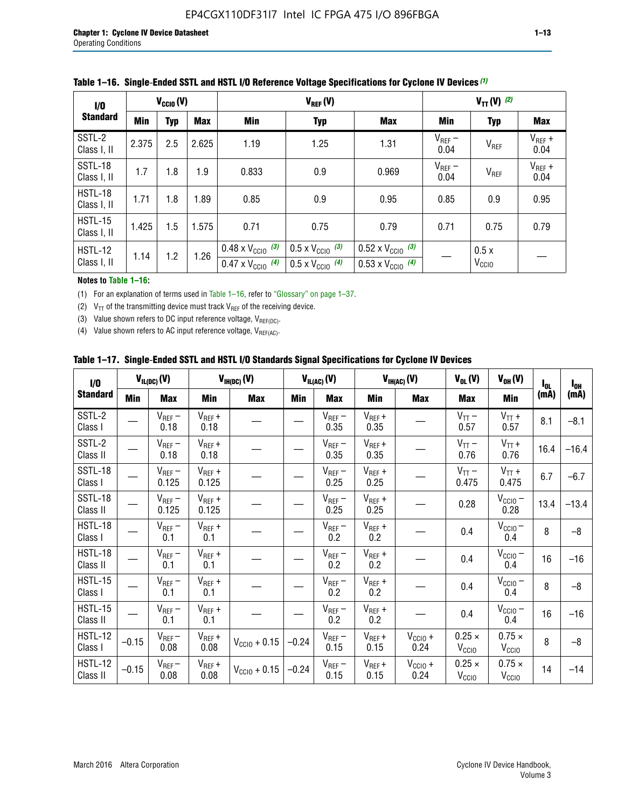| 1/0                           | $V_{CGI0}(V)$ |            |            |                                                                        | $V_{REF}(V)$                                                         |                                                                        |                     |                           | $V_{TT} (V)$ (2)    |  |  |  |
|-------------------------------|---------------|------------|------------|------------------------------------------------------------------------|----------------------------------------------------------------------|------------------------------------------------------------------------|---------------------|---------------------------|---------------------|--|--|--|
| <b>Standard</b>               | Min           | <b>Typ</b> | <b>Max</b> | Min                                                                    | <b>Typ</b>                                                           | <b>Max</b>                                                             | Min                 | <b>Typ</b>                | Max                 |  |  |  |
| SSTL-2<br>Class I, II         | 2.375         | 2.5        | 2.625      | 1.19                                                                   | 1.25                                                                 | 1.31                                                                   | $V_{REF}$ –<br>0.04 | V <sub>REF</sub>          | $V_{REF}$ +<br>0.04 |  |  |  |
| SSTL-18<br>Class I, II        | 1.7           | 1.8        | 1.9        | 0.833                                                                  | 0.9                                                                  | 0.969                                                                  | $V_{REF}$ –<br>0.04 | V <sub>REF</sub>          | $V_{REF}$ +<br>0.04 |  |  |  |
| HSTL-18<br>Class I, II        | 1.71          | 1.8        | .89        | 0.85                                                                   | 0.9                                                                  | 0.95                                                                   | 0.85                | 0.9                       | 0.95                |  |  |  |
| <b>HSTL-15</b><br>Class I, II | 1.425         | 1.5        | 1.575      | 0.71                                                                   | 0.75                                                                 | 0.79                                                                   | 0.71                | 0.75                      | 0.79                |  |  |  |
| HSTL-12<br>Class I, II        | 1.14          | 1.2        | 1.26       | $0.48 \times V_{\text{CC10}}$ (3)<br>$0.47 \times V_{\text{CC10}}$ (4) | $0.5 \times V_{\text{CC10}}$ (3)<br>$0.5 \times V_{\text{CC10}}$ (4) | $0.52 \times V_{\text{CC10}}$ (3)<br>$0.53 \times V_{\text{CC10}}$ (4) |                     | 0.5x<br>V <sub>CCIO</sub> |                     |  |  |  |

|  |  |  |  | Table 1–16. Single-Ended SSTL and HSTL I/O Reference Voltage Specifications for Cyclone IV Devices (1) |
|--|--|--|--|--------------------------------------------------------------------------------------------------------|
|--|--|--|--|--------------------------------------------------------------------------------------------------------|

#### **Notes to Table 1–16:**

(1) For an explanation of terms used in Table 1–16, refer to "Glossary" on page 1–37.

(2)  $V_{TT}$  of the transmitting device must track  $V_{REF}$  of the receiving device.

(3) Value shown refers to DC input reference voltage,  $V_{REF(DC)}$ .

(4) Value shown refers to AC input reference voltage,  $V_{REF(AC)}$ .

|  | Table 1–17.  Single-Ended SSTL and HSTL I/O Standards Signal Specifications for Cyclone IV Devices |  |  |  |  |  |
|--|----------------------------------------------------------------------------------------------------|--|--|--|--|--|
|--|----------------------------------------------------------------------------------------------------|--|--|--|--|--|

| $\mathbf{I}/\mathbf{0}$    |            | $V_{IL(DC)}(V)$      |                      | $V_{IH(DC)}(V)$   |         | $V_{IL(AC)}(V)$     |                     | $V_{IH(AC)}(V)$      | $V_{OL}(V)$                        | $V_{OH} (V)$                       | $I_{0L}$ | $I_{0H}$ |
|----------------------------|------------|----------------------|----------------------|-------------------|---------|---------------------|---------------------|----------------------|------------------------------------|------------------------------------|----------|----------|
| <b>Standard</b>            | <b>Min</b> | <b>Max</b>           | <b>Min</b>           | <b>Max</b>        | Min     | <b>Max</b>          | <b>Min</b>          | <b>Max</b>           | <b>Max</b>                         | Min                                | (mA)     | (mA)     |
| SSTL-2<br>Class I          |            | $V_{REF}$ –<br>0.18  | $V_{REF} +$<br>0.18  |                   |         | $V_{REF}$ –<br>0.35 | $V_{REF} +$<br>0.35 |                      | $V_{TT}$ –<br>0.57                 | $V_{TT}$ +<br>0.57                 | 8.1      | $-8.1$   |
| SSTL-2<br>Class II         |            | $V_{REF}$ –<br>0.18  | $V_{REF} +$<br>0.18  |                   |         | $V_{REF}$ –<br>0.35 | $V_{REF} +$<br>0.35 |                      | $V_{TT}$ –<br>0.76                 | $V_{TT}$ +<br>0.76                 | 16.4     | $-16.4$  |
| SSTL-18<br>Class I         |            | $V_{REF}$ –<br>0.125 | $V_{REF} +$<br>0.125 |                   |         | $V_{REF}$ –<br>0.25 | $V_{REF}$ +<br>0.25 |                      | $V_{TT}$ –<br>0.475                | $V_{TT}$ +<br>0.475                | 6.7      | $-6.7$   |
| SSTL-18<br>Class II        |            | $V_{REF}$ –<br>0.125 | $V_{REF}$ +<br>0.125 |                   |         | $V_{REF}$ –<br>0.25 | $V_{REF}$ +<br>0.25 |                      | 0.28                               | $V_{CC10} -$<br>0.28               | 13.4     | $-13.4$  |
| HSTL-18<br>Class I         |            | $V_{REF}$ –<br>0.1   | $V_{REF}$ +<br>0.1   |                   |         | $V_{REF}$ –<br>0.2  | $V_{REF}$ +<br>0.2  |                      | 0.4                                | $V_{CCIO}$ –<br>0.4                | 8        | $-8$     |
| HSTL-18<br>Class II        |            | $V_{REF}$ –<br>0.1   | $V_{REF}$ +<br>0.1   |                   |         | $V_{REF}$ –<br>0.2  | $V_{REF}$ +<br>0.2  |                      | 0.4                                | $V_{CCIO}$ –<br>0.4                | 16       | $-16$    |
| HSTL-15<br>Class I         |            | $V_{REF}$ –<br>0.1   | $V_{REF} +$<br>0.1   |                   |         | $V_{REF}$ –<br>0.2  | $V_{REF}$ +<br>0.2  |                      | 0.4                                | $V_{\text{CC10}} -$<br>0.4         | 8        | $-8$     |
| HSTL-15<br>Class II        |            | $V_{REF}$ –<br>0.1   | $V_{REF} +$<br>0.1   |                   |         | $V_{REF}$ –<br>0.2  | $V_{REF}$ +<br>0.2  |                      | 0.4                                | $V_{CC10}$ –<br>0.4                | 16       | $-16$    |
| <b>HSTL-12</b><br>Class I  | $-0.15$    | $V_{REF}$ –<br>0.08  | $V_{REF} +$<br>0.08  | $V_{CGI0} + 0.15$ | $-0.24$ | $V_{REF}$ –<br>0.15 | $V_{REF} +$<br>0.15 | $V_{CCIO} +$<br>0.24 | $0.25 \times$<br>V <sub>CCIO</sub> | $0.75 \times$<br>V <sub>CCIO</sub> | 8        | $-8$     |
| <b>HSTL-12</b><br>Class II | $-0.15$    | $V_{REF}-$<br>0.08   | $V_{REF} +$<br>0.08  | $V_{CGI0} + 0.15$ | $-0.24$ | $V_{REF}$ –<br>0.15 | $V_{REF} +$<br>0.15 | $V_{CCIO}$ +<br>0.24 | $0.25 \times$<br>V <sub>CCIO</sub> | $0.75 \times$<br>V <sub>CCIO</sub> | 14       | $-14$    |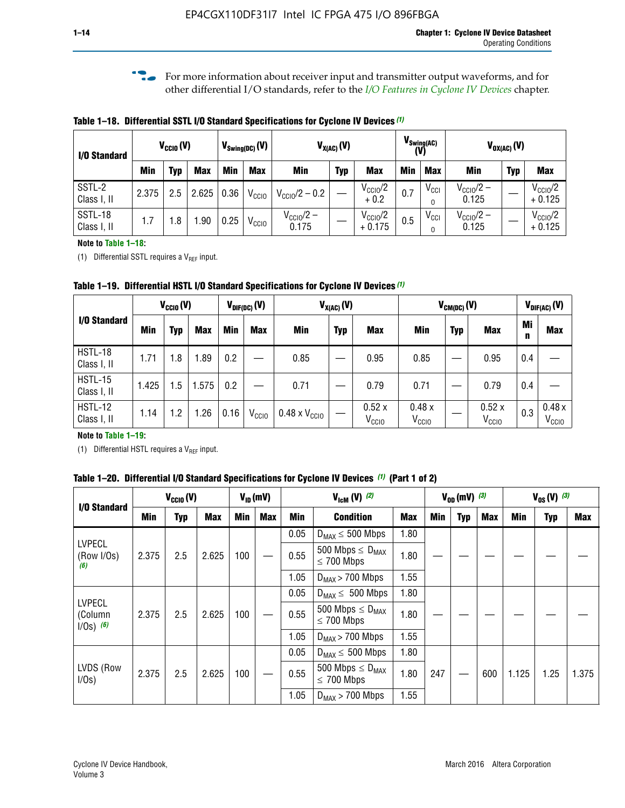**f For more information about receiver input and transmitter output waveforms, and for** other differential I/O standards, refer to the *[I/O Features in Cyclone IV Devices](http://www.altera.com/literature/hb/cyclone-iv/cyiv-51006.pdf)* chapter*.*

**Table 1–18. Differential SSTL I/O Standard Specifications for Cyclone IV Devices** *(1)*

| I/O Standard           |       | $V_{\text{CCIO}}(V)$ |            | $V_{\text{Swing(DC)}}(V)$ |                   |                           | $V_{X(AC)}(V)$ |                                 | (V) | $V_{\text{Swing}(AC)}$       |                                | $V_{OX(AC)}(V)$ |                                 |
|------------------------|-------|----------------------|------------|---------------------------|-------------------|---------------------------|----------------|---------------------------------|-----|------------------------------|--------------------------------|-----------------|---------------------------------|
|                        | Min   | Typ                  | <b>Max</b> | Min                       | <b>Max</b>        | <b>Min</b>                | <b>Typ</b>     | <b>Max</b>                      | Min | <b>Max</b>                   | Min                            | <b>Typ</b>      | <b>Max</b>                      |
| SSTL-2<br>Class I, II  | 2.375 | 2.5                  | 2.625      | 0.36                      | V <sub>CCIO</sub> | $V_{\text{CC10}}/2 - 0.2$ |                | $V_{\text{CC10}}/2$<br>$+0.2$   | 0.7 | $V_{\text{CCI}}$<br>$\Omega$ | $V_{\text{CC10}}/2 -$<br>0.125 |                 | $V_{\text{CC10}}/2$<br>$+0.125$ |
| SSTL-18<br>Class I, II | 1.7   | .8                   | .90        | 0.25                      | V <sub>CCIO</sub> | $V_{CC10}/2 -$<br>0.175   |                | $V_{\text{CC10}}/2$<br>$+0.175$ | 0.5 | $V_{\text{CCI}}$<br>0        | $V_{\text{CC10}}/2 -$<br>0.125 |                 | $V_{\text{CC10}}/2$<br>$+0.125$ |

#### **Note to Table 1–18:**

(1) Differential SSTL requires a  $V_{REF}$  input.

**Table 1–19. Differential HSTL I/O Standard Specifications for Cyclone IV Devices** *(1)*

|                               |       | $V_{CClO}(V)$ |            |         | $V_{\text{DIF(DC)}}(V)$ | $V_{X(AC)}(V)$                |            |                            | $V_{CM(DC)}(V)$            |            |                            |         | $V_{\text{DIF(AC)}}(V)$    |
|-------------------------------|-------|---------------|------------|---------|-------------------------|-------------------------------|------------|----------------------------|----------------------------|------------|----------------------------|---------|----------------------------|
| I/O Standard                  | Min   | Typ           | <b>Max</b> | Min     | <b>Max</b>              | Min                           | <b>Typ</b> | <b>Max</b>                 | Min                        | <b>Typ</b> | <b>Max</b>                 | Mi<br>n | <b>Max</b>                 |
| HSTL-18<br>Class I, II        | 1.71  | 1.8           | .89        | 0.2     |                         | 0.85                          |            | 0.95                       | 0.85                       |            | 0.95                       | 0.4     |                            |
| <b>HSTL-15</b><br>Class I, II | 1.425 | 1.5           | .575       | $0.2\,$ |                         | 0.71                          |            | 0.79                       | 0.71                       |            | 0.79                       | 0.4     |                            |
| <b>HSTL-12</b><br>Class I, II | 1.14  | 1.2           | 1.26       | 0.16    | V <sub>CCIO</sub>       | $0.48 \times V_{\text{CC10}}$ |            | 0.52x<br>V <sub>CCIO</sub> | 0.48x<br>V <sub>CCIO</sub> |            | 0.52x<br>V <sub>CCIO</sub> | 0.3     | 0.48x<br>V <sub>CCIO</sub> |

### **Note to Table 1–19:**

(1) Differential HSTL requires a  $V_{REF}$  input.

**Table 1–20. Differential I/O Standard Specifications for Cyclone IV Devices** *(1)* **(Part 1 of 2)**

| I/O Standard                            |       | $V_{CCl0} (V)$ |            | $V_{ID}$ (mV) |            |      | $V_{\text{lcm}}(V)^{(2)}$                           |            | $V_{0D}$ (mV) $(3)$ |     |     |       | $V_{0S} (V)^{(3)}$ |       |
|-----------------------------------------|-------|----------------|------------|---------------|------------|------|-----------------------------------------------------|------------|---------------------|-----|-----|-------|--------------------|-------|
|                                         | Min   | Typ            | <b>Max</b> | <b>Min</b>    | <b>Max</b> | Min  | <b>Condition</b>                                    | <b>Max</b> | Min                 | Typ | Max | Min   | <b>Typ</b>         | Max   |
|                                         |       |                |            |               |            | 0.05 | $D_{MAX} \leq 500$ Mbps                             | 1.80       |                     |     |     |       |                    |       |
| <b>LVPECL</b><br>(Row I/Os)<br>(6)      | 2.375 | 2.5            | 2.625      | 100           |            | 0.55 | 500 Mbps $\leq$ D <sub>MAX</sub><br>$\leq$ 700 Mbps | 1.80       |                     |     |     |       |                    |       |
|                                         |       |                |            |               |            | 1.05 | $D_{MAX}$ > 700 Mbps                                | 1.55       |                     |     |     |       |                    |       |
|                                         |       |                |            |               |            | 0.05 | $D_{MAX} \leq 500$ Mbps                             | 1.80       |                     |     |     |       |                    |       |
| <b>LVPECL</b><br>(Column<br>$1/Os)$ (6) | 2.375 | 2.5            | 2.625      | 100           |            | 0.55 | 500 Mbps $\leq D_{MAX}$<br>$\leq$ 700 Mbps          | 1.80       |                     |     |     |       |                    |       |
|                                         |       |                |            |               |            | 1.05 | $D_{MAX}$ > 700 Mbps                                | 1.55       |                     |     |     |       |                    |       |
|                                         |       |                |            |               |            | 0.05 | $D_{MAX} \leq 500$ Mbps                             | 1.80       |                     |     |     |       |                    |       |
| LVDS (Row<br>I/Os)                      | 2.375 | 2.5            | 2.625      | 100           |            | 0.55 | 500 Mbps $\leq D_{MAX}$<br>$\leq 700$ Mbps          | 1.80       | 247                 |     | 600 | 1.125 | 1.25               | 1.375 |
|                                         |       |                |            |               |            | 1.05 | $D_{MAX}$ > 700 Mbps                                | 1.55       |                     |     |     |       |                    |       |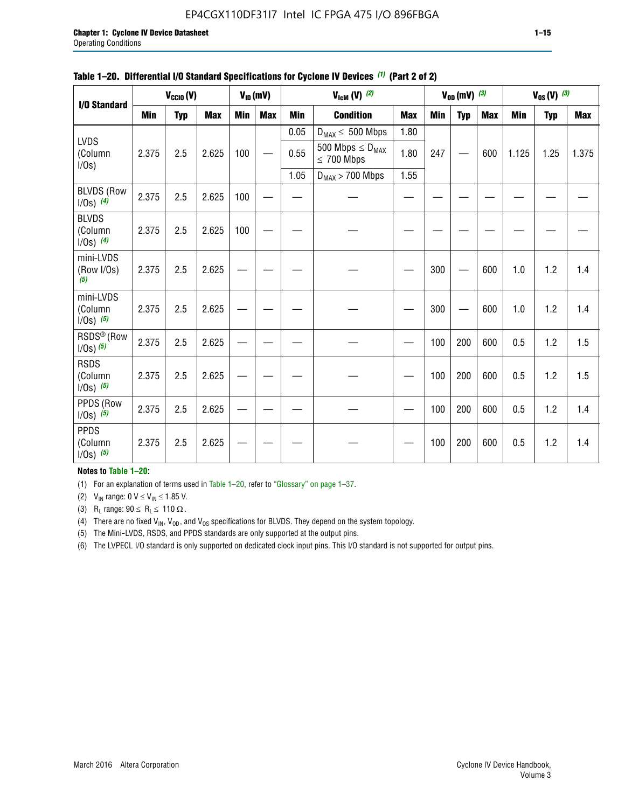### EP4CGX110DF31I7 Intel IC FPGA 475 I/O 896FBGA

| I/O Standard                             |            | $V_{\text{CCIO}}(V)$ |            |                                                | $V_{ID}(mV)$     |            | $V_{\text{lcm}}(V)$ (2)                    |            |            | $V_{0D}$ (mV) $(3)$ |            |            | $V_{0S} (V)$ (3) |       |  |
|------------------------------------------|------------|----------------------|------------|------------------------------------------------|------------------|------------|--------------------------------------------|------------|------------|---------------------|------------|------------|------------------|-------|--|
|                                          | <b>Min</b> | <b>Typ</b>           | <b>Max</b> | <b>Min</b><br><b>Max</b><br><b>Min</b><br>0.05 | <b>Condition</b> | <b>Max</b> | Min                                        | <b>Typ</b> | <b>Max</b> | <b>Min</b>          | <b>Typ</b> | <b>Max</b> |                  |       |  |
|                                          |            |                      |            |                                                |                  |            | $D_{MAX} \leq 500$ Mbps                    | 1.80       |            |                     |            |            |                  |       |  |
| <b>LVDS</b><br>(Column<br>I/Os)          | 2.375      | 2.5                  | 2.625      | 100                                            |                  | 0.55       | 500 Mbps $\leq D_{MAX}$<br>$\leq 700$ Mbps | 1.80       | 247        |                     | 600        | 1.125      | 1.25             | 1.375 |  |
|                                          |            |                      |            |                                                |                  | 1.05       | $D_{MAX}$ > 700 Mbps                       | 1.55       |            |                     |            |            |                  |       |  |
| <b>BLVDS (Row</b><br>$1/0s)$ (4)         | 2.375      | 2.5                  | 2.625      | 100                                            |                  |            |                                            |            |            |                     |            |            |                  |       |  |
| <b>BLVDS</b><br>(Column<br>$1/0s)$ (4)   | 2.375      | 2.5                  | 2.625      | 100                                            |                  |            |                                            |            |            |                     |            |            |                  |       |  |
| mini-LVDS<br>(Row I/Os)<br>(5)           | 2.375      | 2.5                  | 2.625      |                                                |                  |            |                                            |            | 300        |                     | 600        | 1.0        | 1.2              | 1.4   |  |
| mini-LVDS<br>(Column<br>$1/Os)$ (5)      | 2.375      | 2.5                  | 2.625      |                                                |                  |            |                                            |            | 300        |                     | 600        | 1.0        | 1.2              | 1.4   |  |
| RSDS <sup>®</sup> (Row<br>$1/0s$ ) $(5)$ | 2.375      | 2.5                  | 2.625      |                                                |                  |            |                                            |            | 100        | 200                 | 600        | 0.5        | 1.2              | 1.5   |  |
| <b>RSDS</b><br>(Column<br>$1/Os)$ (5)    | 2.375      | 2.5                  | 2.625      |                                                |                  |            |                                            |            | 100        | 200                 | 600        | 0.5        | 1.2              | 1.5   |  |
| PPDS (Row<br>$1/0s)$ (5)                 | 2.375      | 2.5                  | 2.625      |                                                |                  |            |                                            |            | 100        | 200                 | 600        | 0.5        | 1.2              | 1.4   |  |
| <b>PPDS</b><br>(Column<br>$1/0s)$ (5)    | 2.375      | 2.5                  | 2.625      |                                                |                  |            |                                            |            | 100        | 200                 | 600        | 0.5        | 1.2              | 1.4   |  |

### **Table 1–20. Differential I/O Standard Specifications for Cyclone IV Devices** *(1)* **(Part 2 of 2)**

### **Notes to Table 1–20:**

(1) For an explanation of terms used in Table 1–20, refer to "Glossary" on page 1–37.

(2)  $V_{IN}$  range: 0  $V \le V_{IN} \le 1.85$  V.

(3) R<sub>L</sub> range:  $90 \le R_L \le 110 \Omega$ .

(4) There are no fixed  $V_{IN}$ ,  $V_{OD}$ , and  $V_{OS}$  specifications for BLVDS. They depend on the system topology.

(5) The Mini-LVDS, RSDS, and PPDS standards are only supported at the output pins.

(6) The LVPECL I/O standard is only supported on dedicated clock input pins. This I/O standard is not supported for output pins.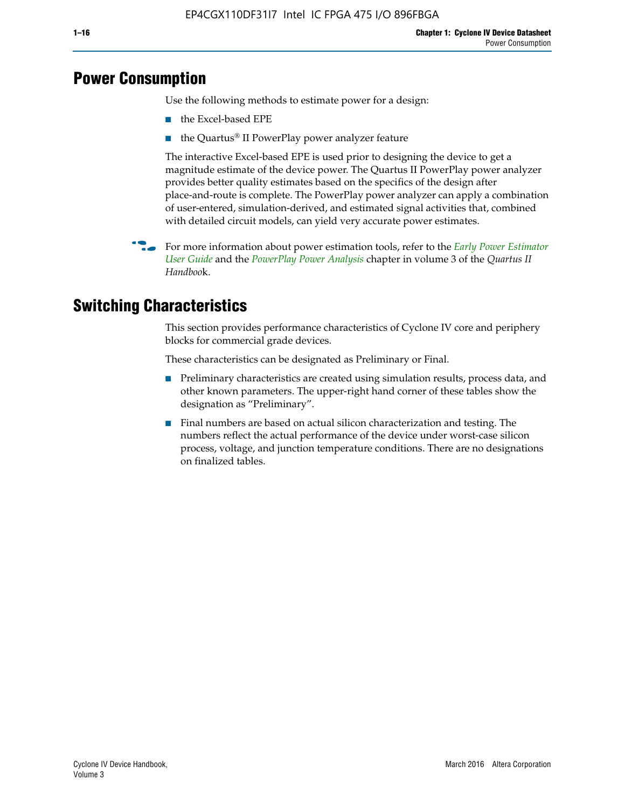## **Power Consumption**

Use the following methods to estimate power for a design:

- the Excel-based EPE
- the Quartus® II PowerPlay power analyzer feature

The interactive Excel-based EPE is used prior to designing the device to get a magnitude estimate of the device power. The Quartus II PowerPlay power analyzer provides better quality estimates based on the specifics of the design after place-and-route is complete. The PowerPlay power analyzer can apply a combination of user-entered, simulation-derived, and estimated signal activities that, combined with detailed circuit models, can yield very accurate power estimates.

f For more information about power estimation tools, refer to the *[Early Power Estimator](http://www.altera.com/literature/ug/ug_epe.pdf
)  [User Guide](http://www.altera.com/literature/ug/ug_epe.pdf
)* and the *[PowerPlay Power Analysis](http://www.altera.com/literature/hb/qts/qts_qii53013.pdf)* chapter in volume 3 of the *Quartus II Handboo*k.

## **Switching Characteristics**

This section provides performance characteristics of Cyclone IV core and periphery blocks for commercial grade devices.

These characteristics can be designated as Preliminary or Final.

- Preliminary characteristics are created using simulation results, process data, and other known parameters. The upper-right hand corner of these tables show the designation as "Preliminary".
- Final numbers are based on actual silicon characterization and testing. The numbers reflect the actual performance of the device under worst-case silicon process, voltage, and junction temperature conditions. There are no designations on finalized tables.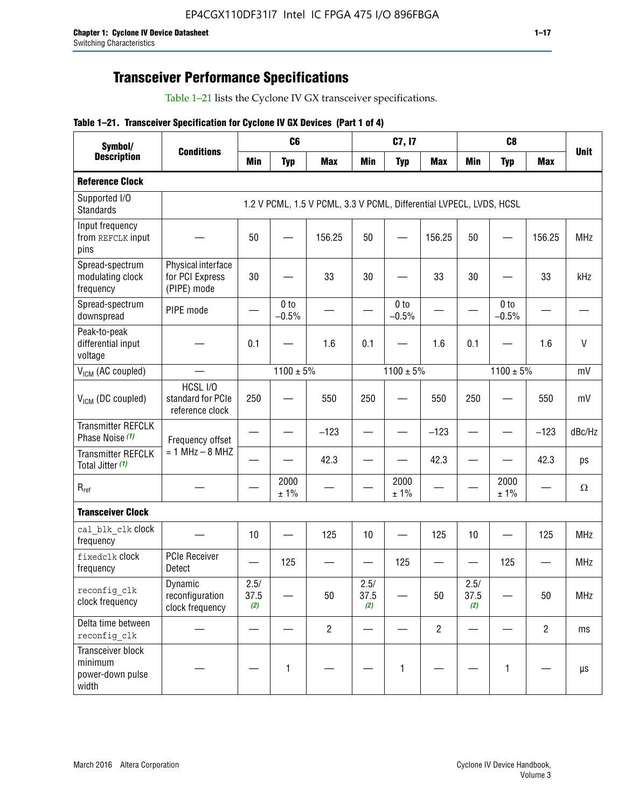## **Transceiver Performance Specifications**

Table 1–21 lists the Cyclone IV GX transceiver specifications.

### **Table 1–21. Transceiver Specification for Cyclone IV GX Devices (Part 1 of 4)**

| Symbol/                                                   |                                                      |                     | C <sub>6</sub>             |                                                                     |                     | C7, I7                     |                               |                     | C <sub>8</sub>             |                |              |
|-----------------------------------------------------------|------------------------------------------------------|---------------------|----------------------------|---------------------------------------------------------------------|---------------------|----------------------------|-------------------------------|---------------------|----------------------------|----------------|--------------|
| <b>Description</b>                                        | <b>Conditions</b>                                    | <b>Min</b>          | <b>Typ</b>                 | <b>Max</b>                                                          | <b>Min</b>          | <b>Typ</b>                 | <b>Max</b>                    | <b>Min</b>          | <b>Typ</b>                 | <b>Max</b>     | <b>Unit</b>  |
| <b>Reference Clock</b>                                    |                                                      |                     |                            |                                                                     |                     |                            |                               |                     |                            |                |              |
| Supported I/O<br><b>Standards</b>                         |                                                      |                     |                            | 1.2 V PCML, 1.5 V PCML, 3.3 V PCML, Differential LVPECL, LVDS, HCSL |                     |                            |                               |                     |                            |                |              |
| Input frequency<br>from REFCLK input<br>pins              |                                                      | 50                  |                            | 156.25                                                              | 50                  |                            | 156.25                        | 50                  | —                          | 156.25         | <b>MHz</b>   |
| Spread-spectrum<br>modulating clock<br>frequency          | Physical interface<br>for PCI Express<br>(PIPE) mode | 30                  |                            | 33                                                                  | 30                  |                            | 33                            | 30                  |                            | 33             | kHz          |
| Spread-spectrum<br>downspread                             | PIPE mode                                            |                     | 0 <sub>to</sub><br>$-0.5%$ |                                                                     |                     | 0 <sub>to</sub><br>$-0.5%$ |                               |                     | 0 <sub>to</sub><br>$-0.5%$ |                |              |
| Peak-to-peak<br>differential input<br>voltage             |                                                      | 0.1                 |                            | 1.6                                                                 | 0.1                 |                            | 1.6                           | 0.1                 |                            | 1.6            | $\mathsf{V}$ |
| V <sub>ICM</sub> (AC coupled)                             |                                                      |                     | $1100 \pm 5\%$             |                                                                     |                     | $1100 \pm 5\%$             |                               |                     | $1100 \pm 5\%$             |                | mV           |
| V <sub>ICM</sub> (DC coupled)                             | HCSL I/O<br>standard for PCIe<br>reference clock     | 250                 |                            | 550                                                                 | 250                 |                            | 550                           | 250                 |                            | 550            | mV           |
| <b>Transmitter REFCLK</b><br>Phase Noise (1)              | Frequency offset                                     |                     |                            | $-123$                                                              |                     |                            | $-123$                        |                     |                            | $-123$         | dBc/Hz       |
| <b>Transmitter REFCLK</b><br>Total Jitter (1)             | $= 1$ MHz $- 8$ MHZ                                  |                     |                            | 42.3                                                                |                     |                            | 42.3                          |                     |                            | 42.3           | ps           |
| $R_{ref}$                                                 |                                                      |                     | 2000<br>± 1%               |                                                                     |                     | 2000<br>± 1%               |                               |                     | 2000<br>± 1%               |                | $\Omega$     |
| <b>Transceiver Clock</b>                                  |                                                      |                     |                            |                                                                     |                     |                            |                               |                     |                            |                |              |
| cal blk clk clock<br>frequency                            |                                                      | 10                  |                            | 125                                                                 | 10                  |                            | 125                           | 10                  |                            | 125            | <b>MHz</b>   |
| fixedclk Clock<br>frequency                               | <b>PCIe Receiver</b><br>Detect                       |                     | 125                        |                                                                     |                     | 125                        | $\overbrace{\phantom{aaaaa}}$ |                     | 125                        |                | <b>MHz</b>   |
| reconfig_clk<br>clock frequency                           | Dynamic<br>reconfiguration<br>clock frequency        | 2.5/<br>37.5<br>(2) |                            | 50                                                                  | 2.5/<br>37.5<br>(2) |                            | 50                            | 2.5/<br>37.5<br>(2) |                            | 50             | <b>MHz</b>   |
| Delta time between<br>reconfig clk                        |                                                      |                     |                            | $\overline{c}$                                                      |                     |                            | $\overline{c}$                |                     |                            | $\overline{2}$ | ms           |
| Transceiver block<br>minimum<br>power-down pulse<br>width |                                                      |                     | 1                          |                                                                     |                     | 1                          |                               |                     | $\mathbf{1}$               |                | $\mu s$      |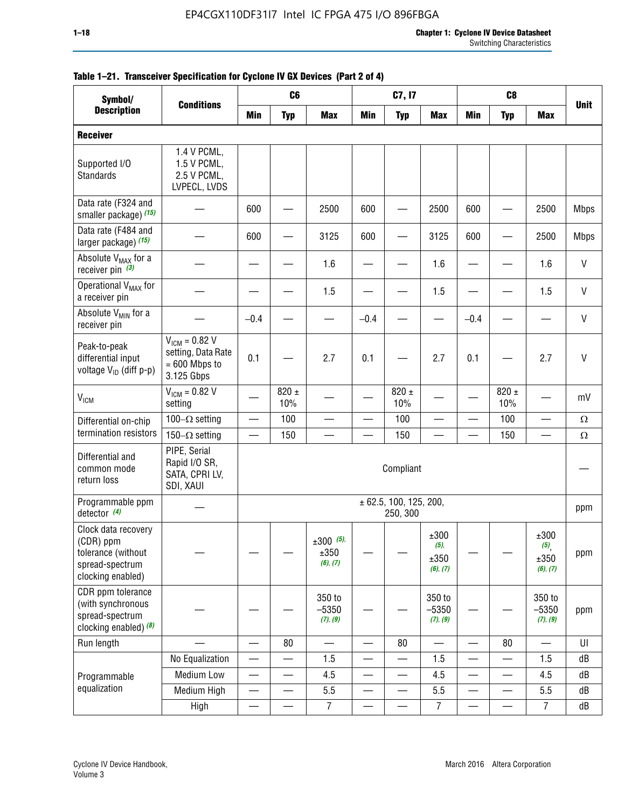| Symbol/                                                                                        | <b>ET:</b> TRINGULTURE OPOURTUREDIN TUL UYURUN IT WA DUTIOUS (FMILE UL T) |        | C <sub>6</sub>   |                                 |            | C7, I7                             |                                     |            | C <sub>8</sub>   |                                                |              |
|------------------------------------------------------------------------------------------------|---------------------------------------------------------------------------|--------|------------------|---------------------------------|------------|------------------------------------|-------------------------------------|------------|------------------|------------------------------------------------|--------------|
| <b>Description</b>                                                                             | <b>Conditions</b>                                                         | Min    | <b>Typ</b>       | <b>Max</b>                      | <b>Min</b> | <b>Typ</b>                         | <b>Max</b>                          | <b>Min</b> | <b>Typ</b>       | <b>Max</b>                                     | <b>Unit</b>  |
| <b>Receiver</b>                                                                                |                                                                           |        |                  |                                 |            |                                    |                                     |            |                  |                                                |              |
| Supported I/O<br><b>Standards</b>                                                              | 1.4 V PCML,<br>1.5 V PCML,<br>2.5 V PCML,<br>LVPECL, LVDS                 |        |                  |                                 |            |                                    |                                     |            |                  |                                                |              |
| Data rate (F324 and<br>smaller package) (15)                                                   |                                                                           | 600    |                  | 2500                            | 600        |                                    | 2500                                | 600        |                  | 2500                                           | <b>Mbps</b>  |
| Data rate (F484 and<br>larger package) (15)                                                    |                                                                           | 600    |                  | 3125                            | 600        |                                    | 3125                                | 600        |                  | 2500                                           | <b>Mbps</b>  |
| Absolute V <sub>MAX</sub> for a<br>receiver pin $(3)$                                          |                                                                           |        |                  | 1.6                             |            |                                    | 1.6                                 |            |                  | 1.6                                            | V            |
| Operational V <sub>MAX</sub> for<br>a receiver pin                                             |                                                                           |        |                  | 1.5                             |            |                                    | 1.5                                 |            |                  | 1.5                                            | V            |
| Absolute V <sub>MIN</sub> for a<br>receiver pin                                                |                                                                           | $-0.4$ |                  |                                 | $-0.4$     |                                    |                                     | $-0.4$     |                  |                                                | V            |
| Peak-to-peak<br>differential input<br>voltage $V_{1D}$ (diff p-p)                              | $V_{IGM} = 0.82 V$<br>setting, Data Rate<br>$= 600$ Mbps to<br>3.125 Gbps | 0.1    |                  | 2.7                             | 0.1        |                                    | 2.7                                 | 0.1        |                  | 2.7                                            | $\mathsf{V}$ |
| <b>V<sub>ICM</sub></b>                                                                         | $V_{ICM} = 0.82 V$<br>setting                                             |        | $820 \pm$<br>10% |                                 |            | $820 \pm$<br>10%                   |                                     |            | $820 \pm$<br>10% |                                                | mV           |
| Differential on-chip                                                                           | 100 $-\Omega$ setting                                                     |        | 100              |                                 |            | 100                                |                                     |            | 100              |                                                | $\Omega$     |
| termination resistors                                                                          | 150 $-\Omega$ setting                                                     |        | 150              |                                 |            | 150                                |                                     |            | 150              |                                                | Ω            |
| Differential and<br>common mode<br>return loss                                                 | PIPE, Serial<br>Rapid I/O SR,<br>SATA, CPRI LV,<br>SDI, XAUI              |        |                  |                                 |            | Compliant                          |                                     |            |                  |                                                |              |
| Programmable ppm<br>detector (4)                                                               |                                                                           |        |                  |                                 |            | ± 62.5, 100, 125, 200,<br>250, 300 |                                     |            |                  |                                                | ppm          |
| Clock data recovery<br>(CDR) ppm<br>tolerance (without<br>spread-spectrum<br>clocking enabled) |                                                                           |        |                  | $±300$ (5),<br>±350<br>(6), (7) |            |                                    | ±300<br>$(5)$ ,<br>±350<br>(6), (7) |            |                  | ±300<br>$(5)$ <sub>,</sub><br>±350<br>(6), (7) | ppm          |
| CDR ppm tolerance<br>(with synchronous<br>spread-spectrum<br>clocking enabled) (8)             |                                                                           |        |                  | 350 to<br>$-5350$<br>(7), (9)   |            |                                    | 350 to<br>$-5350$<br>(7), (9)       |            |                  | 350 to<br>$-5350$<br>(7), (9)                  | ppm          |
| Run length                                                                                     |                                                                           |        | 80               | $\overline{\phantom{0}}$        | —          | 80                                 |                                     |            | 80               |                                                | UI           |
|                                                                                                | No Equalization                                                           |        |                  | 1.5                             |            |                                    | 1.5                                 | —          |                  | 1.5                                            | dB           |
| Programmable                                                                                   | <b>Medium Low</b>                                                         | —      | —                | 4.5                             | —          | —                                  | 4.5                                 | —          |                  | 4.5                                            | dB           |
| equalization                                                                                   | Medium High                                                               |        |                  | 5.5                             |            |                                    | 5.5                                 |            |                  | 5.5                                            | dB           |
|                                                                                                | High                                                                      |        |                  | $\overline{7}$                  |            |                                    | $\overline{7}$                      |            |                  | $\overline{7}$                                 | dB           |

### **Table 1–21. Transceiver Specification for Cyclone IV GX Devices (Part 2 of 4)**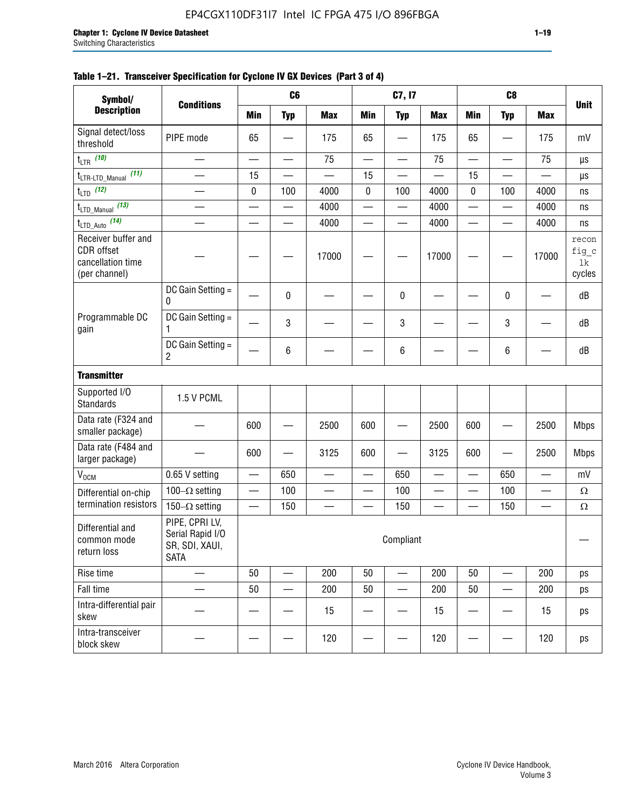| Symbol/                                                                        |                                                                     |            | C6                       |            |                          | C7, I7                   |                          |                                           | C <sub>8</sub>           |                          |                                |
|--------------------------------------------------------------------------------|---------------------------------------------------------------------|------------|--------------------------|------------|--------------------------|--------------------------|--------------------------|-------------------------------------------|--------------------------|--------------------------|--------------------------------|
| <b>Description</b>                                                             | <b>Conditions</b>                                                   | <b>Min</b> | <b>Typ</b>               | <b>Max</b> | <b>Min</b>               | <b>Typ</b>               | <b>Max</b>               | <b>Min</b>                                | <b>Typ</b>               | <b>Max</b>               | <b>Unit</b>                    |
| Signal detect/loss<br>threshold                                                | PIPE mode                                                           | 65         |                          | 175        | 65                       |                          | 175                      | 65                                        |                          | 175                      | mV                             |
| $t_{LTR}$ (10)                                                                 | $\overline{\phantom{0}}$                                            |            | $\overline{\phantom{0}}$ | 75         | $\overline{\phantom{0}}$ |                          | 75                       | $\overline{\phantom{0}}$                  |                          | 75                       | μs                             |
| (11)<br>$t_{\text{LTR-LTD\_Manual}}$                                           |                                                                     | 15         |                          |            | 15                       |                          |                          | 15                                        |                          |                          | μs                             |
| $t_{LTD}$ (12)                                                                 |                                                                     | 0          | 100                      | 4000       | $\pmb{0}$                | 100                      | 4000                     | 0                                         | 100                      | 4000                     | ns                             |
| $t_{\text{LTD\_Manual}}$ (13)                                                  |                                                                     |            | —                        | 4000       | —                        | $\overline{\phantom{0}}$ | 4000                     |                                           | —                        | 4000                     | ns                             |
| $t_{LTD\_Auto}$ (14)                                                           | $\sim$                                                              |            | $\overline{\phantom{0}}$ | 4000       | $\overline{\phantom{0}}$ | $\overline{\phantom{0}}$ | 4000                     |                                           | $\overline{\phantom{0}}$ | 4000                     | ns                             |
| Receiver buffer and<br><b>CDR</b> offset<br>cancellation time<br>(per channel) |                                                                     |            |                          | 17000      |                          |                          | 17000                    |                                           |                          | 17000                    | recon<br>fig_c<br>lk<br>cycles |
|                                                                                | DC Gain Setting =<br>$\mathbf{0}$                                   |            | 0                        |            |                          | 0                        |                          |                                           | 0                        |                          | dB                             |
| Programmable DC<br>gain                                                        | DC Gain Setting =<br>1                                              |            | 3                        |            |                          | 3                        |                          |                                           | 3                        |                          | dB                             |
|                                                                                | DC Gain Setting =<br>2                                              |            | 6                        |            |                          | 6                        |                          |                                           | 6                        |                          | dB                             |
| <b>Transmitter</b>                                                             |                                                                     |            |                          |            |                          |                          |                          |                                           |                          |                          |                                |
| Supported I/O<br><b>Standards</b>                                              | 1.5 V PCML                                                          |            |                          |            |                          |                          |                          |                                           |                          |                          |                                |
| Data rate (F324 and<br>smaller package)                                        |                                                                     | 600        |                          | 2500       | 600                      |                          | 2500                     | 600                                       |                          | 2500                     | <b>Mbps</b>                    |
| Data rate (F484 and<br>larger package)                                         |                                                                     | 600        |                          | 3125       | 600                      |                          | 3125                     | 600                                       |                          | 2500                     | <b>Mbps</b>                    |
| V <sub>OCM</sub>                                                               | 0.65 V setting                                                      |            | 650                      |            |                          | 650                      |                          |                                           | 650                      |                          | mV                             |
| Differential on-chip                                                           | 100 $-\Omega$ setting                                               | —          | 100                      |            | $\overline{\phantom{0}}$ | 100                      | $\overline{\phantom{0}}$ | $\overline{\phantom{0}}$                  | 100                      | $\overline{\phantom{0}}$ | $\Omega$                       |
| termination resistors                                                          | 150 $-\Omega$ setting                                               |            | 150                      |            |                          | 150                      | $\sim$                   | $\qquad \qquad \overline{\qquad \qquad }$ | 150                      |                          | $\Omega$                       |
| Differential and<br>common mode<br>return loss                                 | PIPE, CPRI LV,<br>Serial Rapid I/O<br>SR, SDI, XAUI,<br><b>SATA</b> |            |                          |            |                          | Compliant                |                          |                                           |                          |                          |                                |
| Rise time                                                                      |                                                                     | 50         |                          | 200        | 50                       |                          | 200                      | 50                                        |                          | 200                      | ps                             |
| Fall time                                                                      |                                                                     | 50         |                          | 200        | 50                       |                          | 200                      | 50                                        |                          | 200                      | ps                             |
| Intra-differential pair<br>skew                                                |                                                                     |            |                          | 15         |                          |                          | 15                       |                                           |                          | 15                       | ps                             |
| Intra-transceiver<br>block skew                                                |                                                                     |            |                          | 120        |                          |                          | 120                      |                                           |                          | 120                      | ps                             |

### **Table 1–21. Transceiver Specification for Cyclone IV GX Devices (Part 3 of 4)**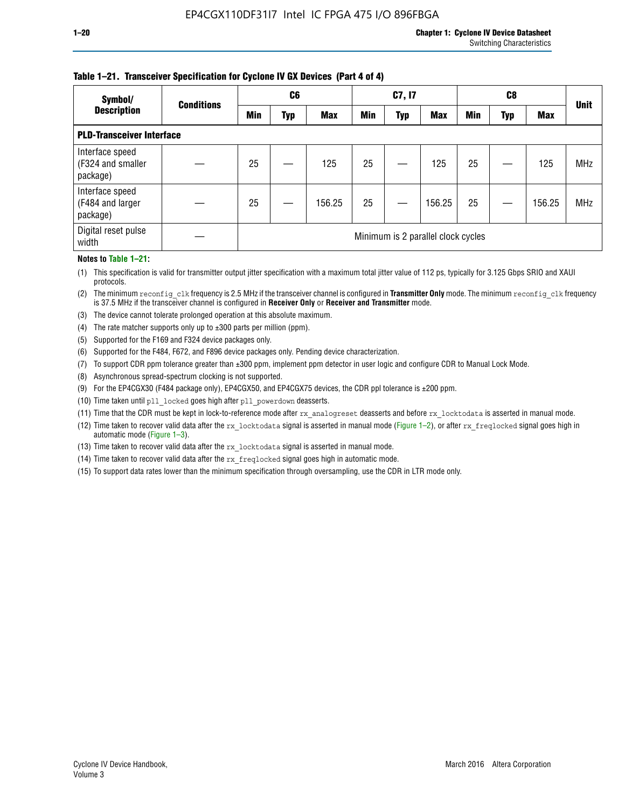### **Table 1–21. Transceiver Specification for Cyclone IV GX Devices (Part 4 of 4)**

| Symbol/                                          | <b>Conditions</b> | C <sub>6</sub> |     | C7, I7     |                                    |            |            |            | <b>Unit</b> |            |            |  |
|--------------------------------------------------|-------------------|----------------|-----|------------|------------------------------------|------------|------------|------------|-------------|------------|------------|--|
| <b>Description</b>                               |                   | Min            | Typ | <b>Max</b> | <b>Min</b>                         | <b>Typ</b> | <b>Max</b> | <b>Min</b> | Typ         | <b>Max</b> |            |  |
| <b>PLD-Transceiver Interface</b>                 |                   |                |     |            |                                    |            |            |            |             |            |            |  |
| Interface speed<br>(F324 and smaller<br>package) |                   | 25             |     | 125        | 25                                 |            | 125        | 25         |             | 125        | <b>MHz</b> |  |
| Interface speed<br>(F484 and larger<br>package)  |                   | 25             |     | 156.25     | 25                                 |            | 156.25     | 25         |             | 156.25     | <b>MHz</b> |  |
| Digital reset pulse<br>width                     |                   |                |     |            | Minimum is 2 parallel clock cycles |            |            |            |             |            |            |  |

#### **Notes to Table 1–21:**

(1) This specification is valid for transmitter output jitter specification with a maximum total jitter value of 112 ps, typically for 3.125 Gbps SRIO and XAUI protocols.

(2) The minimum reconfig\_clk frequency is 2.5 MHz if the transceiver channel is configured in **Transmitter Only** mode. The minimum reconfig\_clk frequency is 37.5 MHz if the transceiver channel is configured in **Receiver Only** or **Receiver and Transmitter** mode.

(3) The device cannot tolerate prolonged operation at this absolute maximum.

- (4) The rate matcher supports only up to  $\pm 300$  parts per million (ppm).
- (5) Supported for the F169 and F324 device packages only.
- (6) Supported for the F484, F672, and F896 device packages only. Pending device characterization.
- (7) To support CDR ppm tolerance greater than ±300 ppm, implement ppm detector in user logic and configure CDR to Manual Lock Mode.
- (8) Asynchronous spread-spectrum clocking is not supported.
- (9) For the EP4CGX30 (F484 package only), EP4CGX50, and EP4CGX75 devices, the CDR ppl tolerance is ±200 ppm.
- (10) Time taken until pll\_locked goes high after pll\_powerdown deasserts.
- (11) Time that the CDR must be kept in lock-to-reference mode after rx analogreset deasserts and before rx locktodata is asserted in manual mode.

(12) Time taken to recover valid data after the rx locktodata signal is asserted in manual mode (Figure 1–2), or after rx freqlocked signal goes high in automatic mode (Figure 1–3).

(13) Time taken to recover valid data after the rx locktodata signal is asserted in manual mode.

- (14) Time taken to recover valid data after the rx freqlocked signal goes high in automatic mode.
- (15) To support data rates lower than the minimum specification through oversampling, use the CDR in LTR mode only.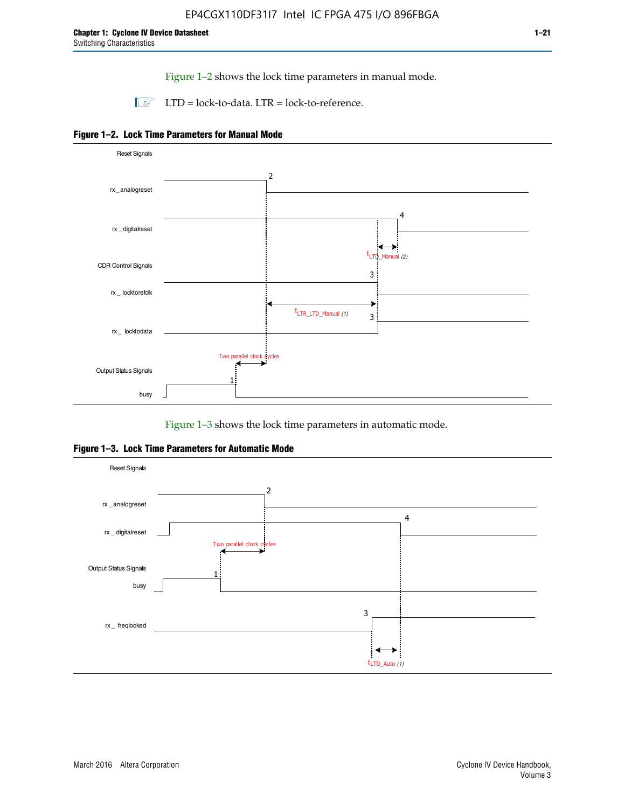Figure 1–2 shows the lock time parameters in manual mode.

 $\Box$  LTD = lock-to-data. LTR = lock-to-reference.





Figure 1–3 shows the lock time parameters in automatic mode.

**Figure 1–3. Lock Time Parameters for Automatic Mode**

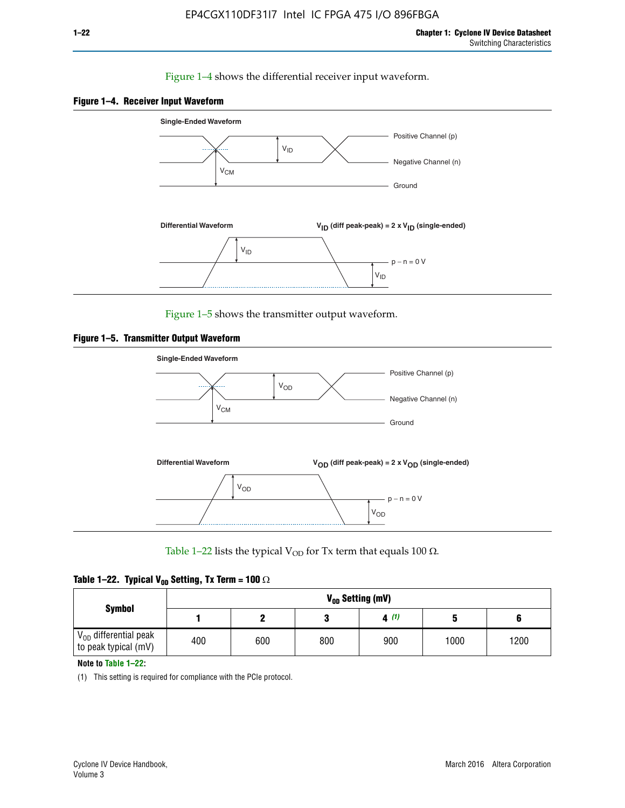### Figure 1–4 shows the differential receiver input waveform.





Figure 1–5 shows the transmitter output waveform.





Table 1–22 lists the typical V<sub>OD</sub> for Tx term that equals 100  $\Omega$ .

|  |  | Table 1–22. Typical V <sub>0D</sub> Setting, Tx Term = 100 $\Omega$ |  |  |
|--|--|---------------------------------------------------------------------|--|--|
|--|--|---------------------------------------------------------------------|--|--|

| <b>Symbol</b>                                          |     | V <sub>on</sub> Setting (mV) |     |      |      |      |  |  |  |  |  |  |  |
|--------------------------------------------------------|-----|------------------------------|-----|------|------|------|--|--|--|--|--|--|--|
|                                                        |     |                              |     | 4(1) |      |      |  |  |  |  |  |  |  |
| $\rm V_{OD}$ differential peak<br>to peak typical (mV) | 400 | 600                          | 800 | 900  | 1000 | 1200 |  |  |  |  |  |  |  |

**Note to Table 1–22:**

(1) This setting is required for compliance with the PCIe protocol.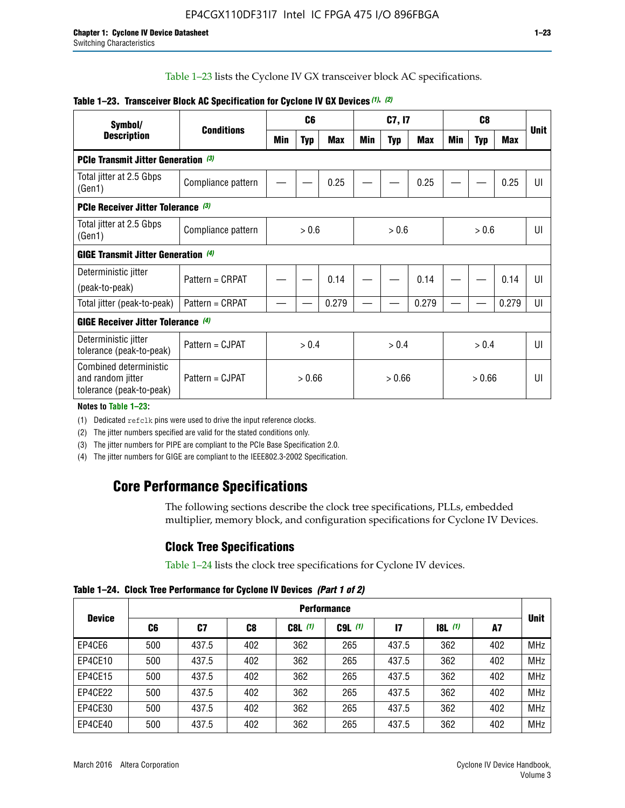Table 1–23 lists the Cyclone IV GX transceiver block AC specifications.

| Symbol/                                                                 | <b>Conditions</b>  |       | C <sub>6</sub> |            | C7, I7 |            |       |     |            | <b>Unit</b> |                |
|-------------------------------------------------------------------------|--------------------|-------|----------------|------------|--------|------------|-------|-----|------------|-------------|----------------|
| <b>Description</b>                                                      |                    | Min   | <b>Typ</b>     | <b>Max</b> | Min    | <b>Typ</b> | Max   | Min | <b>Typ</b> | <b>Max</b>  |                |
| <b>PCIe Transmit Jitter Generation (3)</b>                              |                    |       |                |            |        |            |       |     |            |             |                |
| Total jitter at 2.5 Gbps<br>(Gen1)                                      | Compliance pattern |       |                | 0.25       |        |            | 0.25  |     |            | 0.25        | UI             |
| <b>PCIe Receiver Jitter Tolerance (3)</b>                               |                    |       |                |            |        |            |       |     |            |             |                |
| Total jitter at 2.5 Gbps<br>(Gen1)                                      | Compliance pattern | > 0.6 |                |            | > 0.6  |            |       |     | > 0.6      |             | UI             |
| <b>GIGE Transmit Jitter Generation (4)</b>                              |                    |       |                |            |        |            |       |     |            |             |                |
| Deterministic jitter                                                    | Pattern = CRPAT    |       |                | 0.14       |        |            | 0.14  |     |            | 0.14        | UI             |
| (peak-to-peak)                                                          |                    |       |                |            |        |            |       |     |            |             |                |
| Total jitter (peak-to-peak)                                             | Pattern = CRPAT    |       |                | 0.279      |        |            | 0.279 |     |            | 0.279       | UI             |
| <b>GIGE Receiver Jitter Tolerance</b> (4)                               |                    |       |                |            |        |            |       |     |            |             |                |
| Deterministic jitter<br>tolerance (peak-to-peak)                        | Pattern = CJPAT    |       | > 0.4          |            |        | > 0.4      |       |     | > 0.4      |             | $\mathsf{III}$ |
| Combined deterministic<br>and random jitter<br>tolerance (peak-to-peak) | Pattern = CJPAT    |       | > 0.66         |            |        | > 0.66     |       |     | > 0.66     |             | UI             |

### **Table 1–23. Transceiver Block AC Specification for Cyclone IV GX Devices** *(1)***,** *(2)*

**Notes to Table 1–23:**

(1) Dedicated refclk pins were used to drive the input reference clocks.

(2) The jitter numbers specified are valid for the stated conditions only.

(3) The jitter numbers for PIPE are compliant to the PCIe Base Specification 2.0.

(4) The jitter numbers for GIGE are compliant to the IEEE802.3-2002 Specification.

## **Core Performance Specifications**

The following sections describe the clock tree specifications, PLLs, embedded multiplier, memory block, and configuration specifications for Cyclone IV Devices.

### **Clock Tree Specifications**

Table 1–24 lists the clock tree specifications for Cyclone IV devices.

**Table 1–24. Clock Tree Performance for Cyclone IV Devices** *(Part 1 of 2)*

| <b>Device</b> |     | <b>Performance</b> |     |           |             |               |                  |     |             |  |  |  |  |  |  |
|---------------|-----|--------------------|-----|-----------|-------------|---------------|------------------|-----|-------------|--|--|--|--|--|--|
|               | C6  | C7                 | C8  | $C8L$ (1) | $C9L$ $(1)$ | $\mathsf{I}7$ | <b>18L</b> $(1)$ | A7  | <b>Unit</b> |  |  |  |  |  |  |
| EP4CE6        | 500 | 437.5              | 402 | 362       | 265         | 437.5         | 362              | 402 | <b>MHz</b>  |  |  |  |  |  |  |
| EP4CE10       | 500 | 437.5              | 402 | 362       | 265         | 437.5         | 362              | 402 | <b>MHz</b>  |  |  |  |  |  |  |
| EP4CE15       | 500 | 437.5              | 402 | 362       | 265         | 437.5         | 362              | 402 | <b>MHz</b>  |  |  |  |  |  |  |
| EP4CE22       | 500 | 437.5              | 402 | 362       | 265         | 437.5         | 362              | 402 | <b>MHz</b>  |  |  |  |  |  |  |
| EP4CE30       | 500 | 437.5              | 402 | 362       | 265         | 437.5         | 362              | 402 | <b>MHz</b>  |  |  |  |  |  |  |
| EP4CE40       | 500 | 437.5              | 402 | 362       | 265         | 437.5         | 362              | 402 | <b>MHz</b>  |  |  |  |  |  |  |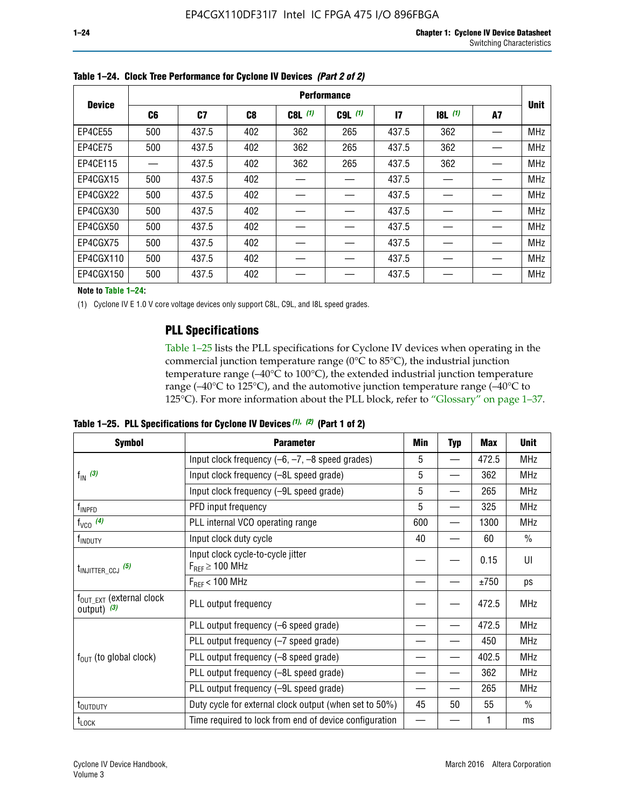|               |     | <b>Performance</b> |                |             |           |              |           |    |             |  |  |  |  |  |  |
|---------------|-----|--------------------|----------------|-------------|-----------|--------------|-----------|----|-------------|--|--|--|--|--|--|
| <b>Device</b> | C6  | C7                 | C <sub>8</sub> | $C8L$ $(1)$ | $C9L$ (1) | $\mathbf{I}$ | $18L$ (1) | A7 | <b>Unit</b> |  |  |  |  |  |  |
| EP4CE55       | 500 | 437.5              | 402            | 362         | 265       | 437.5        | 362       |    | <b>MHz</b>  |  |  |  |  |  |  |
| EP4CE75       | 500 | 437.5              | 402            | 362         | 265       | 437.5        | 362       |    | <b>MHz</b>  |  |  |  |  |  |  |
| EP4CE115      |     | 437.5              | 402            | 362         | 265       | 437.5        | 362       |    | <b>MHz</b>  |  |  |  |  |  |  |
| EP4CGX15      | 500 | 437.5              | 402            |             |           | 437.5        |           |    | <b>MHz</b>  |  |  |  |  |  |  |
| EP4CGX22      | 500 | 437.5              | 402            |             |           | 437.5        |           |    | <b>MHz</b>  |  |  |  |  |  |  |
| EP4CGX30      | 500 | 437.5              | 402            |             |           | 437.5        |           |    | <b>MHz</b>  |  |  |  |  |  |  |
| EP4CGX50      | 500 | 437.5              | 402            |             |           | 437.5        |           |    | <b>MHz</b>  |  |  |  |  |  |  |
| EP4CGX75      | 500 | 437.5              | 402            |             |           | 437.5        |           |    | <b>MHz</b>  |  |  |  |  |  |  |
| EP4CGX110     | 500 | 437.5              | 402            |             |           | 437.5        |           |    | <b>MHz</b>  |  |  |  |  |  |  |
| EP4CGX150     | 500 | 437.5              | 402            |             |           | 437.5        |           |    | <b>MHz</b>  |  |  |  |  |  |  |

**Table 1–24. Clock Tree Performance for Cyclone IV Devices** *(Part 2 of 2)*

**Note to Table 1–24:**

(1) Cyclone IV E 1.0 V core voltage devices only support C8L, C9L, and I8L speed grades.

### **PLL Specifications**

Table 1–25 lists the PLL specifications for Cyclone IV devices when operating in the commercial junction temperature range (0°C to 85°C), the industrial junction temperature range (–40°C to 100°C), the extended industrial junction temperature range (–40°C to 125°C), and the automotive junction temperature range (–40°C to 125°C). For more information about the PLL block, refer to "Glossary" on page 1–37.

|  |  | Table 1–25. PLL Specifications for Cyclone IV Devices $(1)$ , $(2)$ (Part 1 of 2) |  |
|--|--|-----------------------------------------------------------------------------------|--|
|--|--|-----------------------------------------------------------------------------------|--|

| <b>Symbol</b>                                          | <b>Parameter</b>                                            | Min | <b>Typ</b>               | Max   | <b>Unit</b>   |
|--------------------------------------------------------|-------------------------------------------------------------|-----|--------------------------|-------|---------------|
|                                                        | Input clock frequency $(-6, -7, -8)$ speed grades)          | 5   | —                        | 472.5 | <b>MHz</b>    |
| $f_{\text{IN}}$ (3)                                    | Input clock frequency (-8L speed grade)                     | 5   |                          | 362   | <b>MHz</b>    |
|                                                        | Input clock frequency (-9L speed grade)                     | 5   |                          | 265   | <b>MHz</b>    |
| f <sub>INPFD</sub>                                     | PFD input frequency                                         | 5   |                          | 325   | <b>MHz</b>    |
| $f_{VCO}$ (4)                                          | PLL internal VCO operating range                            | 600 | $\overline{\phantom{0}}$ | 1300  | <b>MHz</b>    |
| f <sub>INDUTY</sub>                                    | Input clock duty cycle                                      | 40  |                          | 60    | $\frac{0}{0}$ |
| $t_{\text{INJITTER\_CCJ}}$ (5)                         | Input clock cycle-to-cycle jitter<br>$F_{REF} \geq 100$ MHz |     |                          | 0.15  | UI            |
|                                                        | $F_{RFF}$ < 100 MHz                                         |     |                          | ±750  | ps            |
| $f_{\text{OUT\_EXT}}$ (external clock<br>output) $(3)$ | PLL output frequency                                        |     |                          | 472.5 | <b>MHz</b>    |
|                                                        | PLL output frequency (-6 speed grade)                       |     |                          | 472.5 | <b>MHz</b>    |
|                                                        | PLL output frequency (-7 speed grade)                       |     |                          | 450   | <b>MHz</b>    |
| $f_{OUT}$ (to global clock)                            | PLL output frequency (-8 speed grade)                       |     |                          | 402.5 | <b>MHz</b>    |
|                                                        | PLL output frequency (-8L speed grade)                      |     |                          | 362   | <b>MHz</b>    |
|                                                        | PLL output frequency (-9L speed grade)                      |     |                          | 265   | <b>MHz</b>    |
| t <sub>outputy</sub>                                   | Duty cycle for external clock output (when set to 50%)      | 45  | 50                       | 55    | $\frac{0}{0}$ |
| $t_{\text{LOCK}}$                                      | Time required to lock from end of device configuration      |     |                          |       | ms            |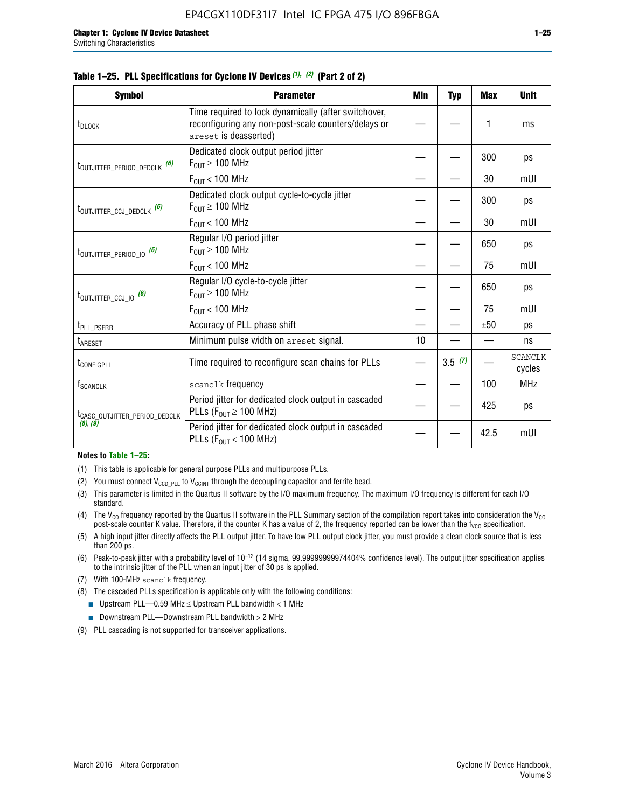|  |  | Table 1–25. PLL Specifications for Cyclone IV Devices (1), (2) (Part 2 of 2) |  |
|--|--|------------------------------------------------------------------------------|--|
|--|--|------------------------------------------------------------------------------|--|

| <b>Symbol</b>                             | <b>Parameter</b>                                                                                                                     | Min | <b>Typ</b> | <b>Max</b> | <b>Unit</b>              |
|-------------------------------------------|--------------------------------------------------------------------------------------------------------------------------------------|-----|------------|------------|--------------------------|
| t <sub>DLOCK</sub>                        | Time required to lock dynamically (after switchover,<br>reconfiguring any non-post-scale counters/delays or<br>areset is deasserted) |     |            | 1          | ms                       |
| t <sub>outjitter_period_dedclk</sub> (6)  | Dedicated clock output period jitter<br>$F_{OIII} \geq 100$ MHz                                                                      |     |            | 300        | ps                       |
|                                           | $F_{OIII}$ < 100 MHz                                                                                                                 |     |            | 30         | mUI                      |
| t <sub>outjitter_ccj_dedclk</sub> (6)     | Dedicated clock output cycle-to-cycle jitter<br>$F_{OUT} \geq 100$ MHz                                                               |     |            | 300        | ps                       |
|                                           | $F_{\text{OUT}}$ < 100 MHz                                                                                                           |     |            | 30         | mUI                      |
| t <sub>outjitter_period_io</sub> (6)      | Regular I/O period jitter<br>$F_{OUT} \geq 100$ MHz                                                                                  |     |            | 650        | ps                       |
|                                           | $F_{OUT}$ < 100 MHz                                                                                                                  |     |            | 75         | mUI                      |
| t <sub>outjitter_ccj_io</sub> (6)         | Regular I/O cycle-to-cycle jitter<br>$F_{OUT} \ge 100$ MHz                                                                           |     |            | 650        | ps                       |
|                                           | $F_{\text{OUT}}$ < 100 MHz                                                                                                           |     |            | 75         | mUI                      |
| t <sub>PLL_PSERR</sub>                    | Accuracy of PLL phase shift                                                                                                          |     |            | ±50        | ps                       |
| t <sub>ARESET</sub>                       | Minimum pulse width on areset signal.                                                                                                | 10  |            |            | ns                       |
| t <sub>configpll</sub>                    | Time required to reconfigure scan chains for PLLs                                                                                    |     | 3.5(7)     |            | <b>SCANCLK</b><br>cycles |
| f <sub>SCANCLK</sub>                      | scanclk frequency                                                                                                                    |     |            | 100        | <b>MHz</b>               |
| t <sub>CASC_OUTJITTER_PERIOD_DEDCLK</sub> | Period jitter for dedicated clock output in cascaded<br>PLLs ( $F_{OUT} \ge 100$ MHz)                                                |     |            | 425        | ps                       |
| (8), (9)                                  | Period jitter for dedicated clock output in cascaded<br>PLLs ( $F_{OUT}$ < 100 MHz)                                                  |     |            | 42.5       | mUI                      |

#### **Notes to Table 1–25:**

- (1) This table is applicable for general purpose PLLs and multipurpose PLLs.
- (2) You must connect  $V_{CCD-PLL}$  to  $V_{CCINT}$  through the decoupling capacitor and ferrite bead.
- (3) This parameter is limited in the Quartus II software by the I/O maximum frequency. The maximum I/O frequency is different for each I/O standard.
- (4) The  $V_{CO}$  frequency reported by the Quartus II software in the PLL Summary section of the compilation report takes into consideration the  $V_{CO}$ post-scale counter K value. Therefore, if the counter K has a value of 2, the frequency reported can be lower than the f<sub>VCO</sub> specification.
- (5) A high input jitter directly affects the PLL output jitter. To have low PLL output clock jitter, you must provide a clean clock source that is less than 200 ps.
- (6) Peak-to-peak jitter with a probability level of 10–12 (14 sigma, 99.99999999974404% confidence level). The output jitter specification applies to the intrinsic jitter of the PLL when an input jitter of 30 ps is applied.
- (7) With 100-MHz scanclk frequency.
- (8) The cascaded PLLs specification is applicable only with the following conditions:
	- **■** Upstream PLL—0.59 MHz  $\leq$  Upstream PLL bandwidth  $<$  1 MHz
	- Downstream PLL—Downstream PLL bandwidth > 2 MHz
- (9) PLL cascading is not supported for transceiver applications.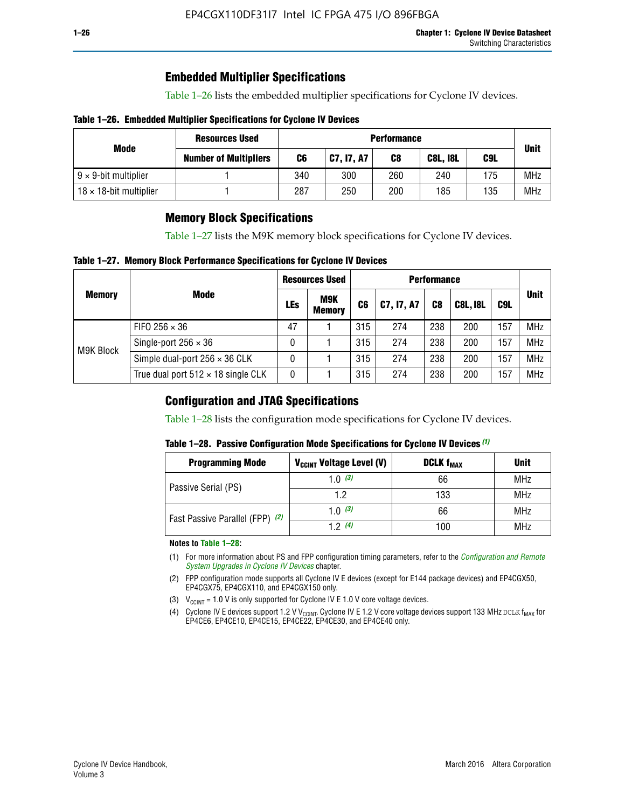### **Embedded Multiplier Specifications**

Table 1–26 lists the embedded multiplier specifications for Cyclone IV devices.

### **Table 1–26. Embedded Multiplier Specifications for Cyclone IV Devices**

|                                | <b>Resources Used</b>        | <b>Performance</b> |            |     |                        |     |            |  |  |  |
|--------------------------------|------------------------------|--------------------|------------|-----|------------------------|-----|------------|--|--|--|
| Mode                           | <b>Number of Multipliers</b> | C6                 | C7, I7, A7 | C8  | C9L<br><b>C8L, I8L</b> |     |            |  |  |  |
| $9 \times 9$ -bit multiplier   |                              | 340                | 300        | 260 | 240                    | 175 | <b>MHz</b> |  |  |  |
| $18 \times 18$ -bit multiplier |                              | 287                | 250        | 200 | 185                    | 135 | <b>MHz</b> |  |  |  |

### **Memory Block Specifications**

Table 1–27 lists the M9K memory block specifications for Cyclone IV devices.

### **Table 1–27. Memory Block Performance Specifications for Cyclone IV Devices**

|               |                                           |     | <b>Resources Used</b>       |                |            |                |                 |     |             |
|---------------|-------------------------------------------|-----|-----------------------------|----------------|------------|----------------|-----------------|-----|-------------|
| <b>Memory</b> | <b>Mode</b>                               | LEs | <b>M9K</b><br><b>Memory</b> | C <sub>6</sub> | C7, I7, A7 | C <sub>8</sub> | <b>C8L, I8L</b> | C9L | <b>Unit</b> |
| M9K Block     | FIFO 256 $\times$ 36                      | 47  |                             | 315            | 274        | 238            | 200             | 157 | <b>MHz</b>  |
|               | Single-port $256 \times 36$               | 0   |                             | 315            | 274        | 238            | 200             | 157 | <b>MHz</b>  |
|               | Simple dual-port $256 \times 36$ CLK      | 0   |                             | 315            | 274        | 238            | 200             | 157 | <b>MHz</b>  |
|               | True dual port $512 \times 18$ single CLK | 0   |                             | 315            | 274        | 238            | 200             | 157 | <b>MHz</b>  |

### **Configuration and JTAG Specifications**

Table 1–28 lists the configuration mode specifications for Cyclone IV devices.

### **Table 1–28. Passive Configuration Mode Specifications for Cyclone IV Devices** *(1)*

| <b>Programming Mode</b>         | V <sub>CCINT</sub> Voltage Level (V) | <b>DCLK f<sub>MAX</sub></b> | <b>Unit</b> |
|---------------------------------|--------------------------------------|-----------------------------|-------------|
| Passive Serial (PS)             | 1.0 $(3)$                            | 66                          | MHz         |
|                                 | 1.2                                  | 133                         | MHz         |
| Fast Passive Parallel (FPP) (2) | 1.0 $(3)$                            | 66                          | <b>MHz</b>  |
|                                 | 12(4)                                | 100                         | <b>MHz</b>  |

#### **Notes to Table 1–28:**

- (1) For more information about PS and FPP configuration timing parameters, refer to the *[Configuration and Remote](http://www.altera.com/literature/hb/cyclone-iv/cyiv-51008.pdf)  [System Upgrades in Cyclone IV Devices](http://www.altera.com/literature/hb/cyclone-iv/cyiv-51008.pdf)* chapter.
- (2) FPP configuration mode supports all Cyclone IV E devices (except for E144 package devices) and EP4CGX50, EP4CGX75, EP4CGX110, and EP4CGX150 only.
- (3)  $V_{CCMT}$  = 1.0 V is only supported for Cyclone IV E 1.0 V core voltage devices.
- (4) Cyclone IV E devices support 1.2 V V<sub>CCINT</sub>. Cyclone IV E 1.2 V core voltage devices support 133 MHz DCLK f<sub>MAX</sub> for EP4CE6, EP4CE10, EP4CE15, EP4CE22, EP4CE30, and EP4CE40 only.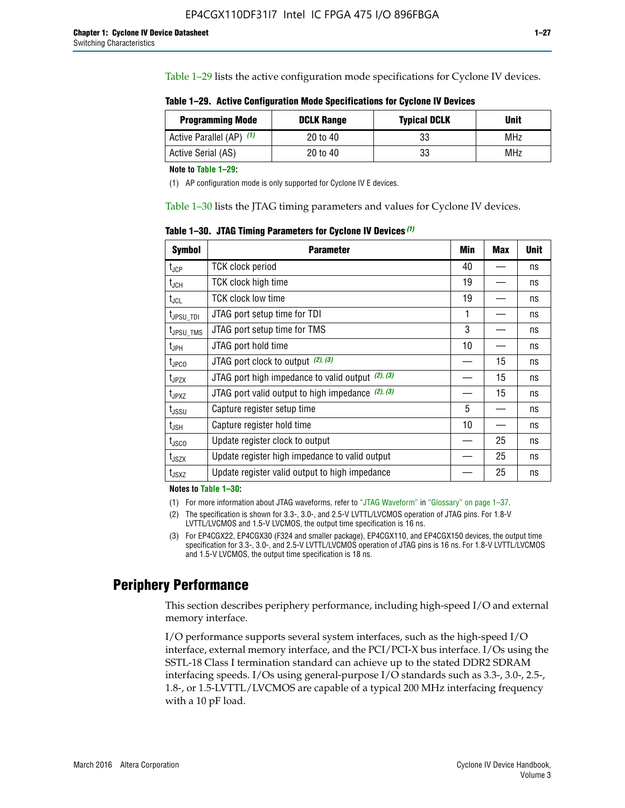Table 1–29 lists the active configuration mode specifications for Cyclone IV devices.

**Table 1–29. Active Configuration Mode Specifications for Cyclone IV Devices**

| <b>Programming Mode</b>  | <b>DCLK Range</b> | <b>Typical DCLK</b> | <b>Unit</b> |
|--------------------------|-------------------|---------------------|-------------|
| Active Parallel (AP) (1) | 20 to 40          | 33                  | MHz         |
| Active Serial (AS)       | 20 to 40          | 33                  | MHz         |

**Note to Table 1–29:**

(1) AP configuration mode is only supported for Cyclone IV E devices.

Table 1–30 lists the JTAG timing parameters and values for Cyclone IV devices.

**Table 1–30. JTAG Timing Parameters for Cyclone IV Devices** *(1)*

| <b>Symbol</b>         | <b>Parameter</b>                                       | Min | <b>Max</b> | <b>Unit</b> |
|-----------------------|--------------------------------------------------------|-----|------------|-------------|
| $t_{JCP}$             | <b>TCK clock period</b>                                | 40  |            | ns          |
| $t_{\rm JCH}$         | TCK clock high time                                    | 19  |            | ns          |
| $t_{JCL}$             | TCK clock low time                                     | 19  |            | ns          |
| $t_{JPSU\_TDI}$       | JTAG port setup time for TDI                           | 1   |            | ns          |
| t <sub>JPSU_TMS</sub> | JTAG port setup time for TMS                           | 3   |            | ns          |
| t <sub>JPH</sub>      | JTAG port hold time                                    | 10  |            | ns          |
| t <sub>JPCO</sub>     | JTAG port clock to output $(2)$ , $(3)$                |     | 15         | ns          |
| t <sub>JPZX</sub>     | JTAG port high impedance to valid output $(2)$ , $(3)$ |     | 15         | ns          |
| t <sub>JPXZ</sub>     | JTAG port valid output to high impedance $(2)$ , $(3)$ |     | 15         | ns          |
| $t_{\rm JSSU}$        | Capture register setup time                            | 5   |            | ns          |
| $t_{\mathsf{JSH}}$    | Capture register hold time                             | 10  |            | ns          |
| $t_{\rm JSCO}$        | Update register clock to output                        |     | 25         | ns          |
| $t_{\text{JSZX}}$     | Update register high impedance to valid output         |     | 25         | ns          |
| t <sub>JSXZ</sub>     | Update register valid output to high impedance         |     | 25         | ns          |

**Notes to Table 1–30:**

(1) For more information about JTAG waveforms, refer to "JTAG Waveform" in "Glossary" on page 1–37.

(2) The specification is shown for 3.3-, 3.0-, and 2.5-V LVTTL/LVCMOS operation of JTAG pins. For 1.8-V LVTTL/LVCMOS and 1.5-V LVCMOS, the output time specification is 16 ns.

(3) For EP4CGX22, EP4CGX30 (F324 and smaller package), EP4CGX110, and EP4CGX150 devices, the output time specification for 3.3-, 3.0-, and 2.5-V LVTTL/LVCMOS operation of JTAG pins is 16 ns. For 1.8-V LVTTL/LVCMOS and 1.5-V LVCMOS, the output time specification is 18 ns.

### **Periphery Performance**

This section describes periphery performance, including high-speed I/O and external memory interface.

I/O performance supports several system interfaces, such as the high-speed I/O interface, external memory interface, and the PCI/PCI-X bus interface. I/Os using the SSTL-18 Class I termination standard can achieve up to the stated DDR2 SDRAM interfacing speeds. I/Os using general-purpose I/O standards such as 3.3-, 3.0-, 2.5-, 1.8-, or 1.5-LVTTL/LVCMOS are capable of a typical 200 MHz interfacing frequency with a 10 pF load.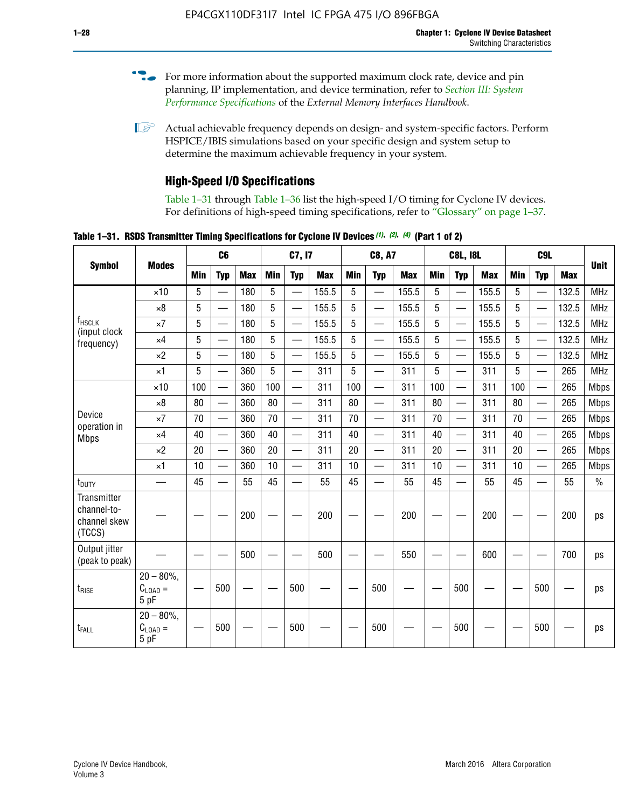- For more information about the supported maximum clock rate, device and pin planning, IP implementation, and device termination, refer to *[Section III: System](http://www.altera.com/literature/hb/external-memory/emi_intro_specs.pdf)  [Performance Specifications](http://www.altera.com/literature/hb/external-memory/emi_intro_specs.pdf)* of the *External Memory Interfaces Handbook*.
- **1 Actual achievable frequency depends on design- and system-specific factors. Perform** HSPICE/IBIS simulations based on your specific design and system setup to determine the maximum achievable frequency in your system.

### **High-Speed I/O Specifications**

Table 1–31 through Table 1–36 list the high-speed I/O timing for Cyclone IV devices. For definitions of high-speed timing specifications, refer to "Glossary" on page 1–37.

**Table 1–31. RSDS Transmitter Timing Specifications for Cyclone IV Devices** *(1)***,** *(2)***,** *(4)* **(Part 1 of 2)**

|                                                      |                                                     |                 | C6                       |            | C7, I7     |                          | <b>C8, A7</b> |            |                          | <b>C8L, I8L</b> |            |                          | C <sub>9</sub> L |            |                          |            |               |
|------------------------------------------------------|-----------------------------------------------------|-----------------|--------------------------|------------|------------|--------------------------|---------------|------------|--------------------------|-----------------|------------|--------------------------|------------------|------------|--------------------------|------------|---------------|
| <b>Symbol</b>                                        | <b>Modes</b>                                        | Min             | <b>Typ</b>               | <b>Max</b> | <b>Min</b> | <b>Typ</b>               | <b>Max</b>    | <b>Min</b> | <b>Typ</b>               | <b>Max</b>      | <b>Min</b> | <b>Typ</b>               | <b>Max</b>       | <b>Min</b> | <b>Typ</b>               | <b>Max</b> | <b>Unit</b>   |
|                                                      | $\times$ 10                                         | 5               | —                        | 180        | 5          | ÷,                       | 155.5         | 5          | $\overline{\phantom{0}}$ | 155.5           | 5          |                          | 155.5            | 5          |                          | 132.5      | <b>MHz</b>    |
|                                                      | $\times 8$                                          | 5               |                          | 180        | 5          |                          | 155.5         | 5          | $\overline{\phantom{0}}$ | 155.5           | 5          |                          | 155.5            | 5          |                          | 132.5      | <b>MHz</b>    |
| f <sub>HSCLK</sub><br>(input clock                   | $\times 7$                                          | 5               |                          | 180        | 5          |                          | 155.5         | 5          | $\overline{\phantom{0}}$ | 155.5           | 5          |                          | 155.5            | 5          |                          | 132.5      | <b>MHz</b>    |
| frequency)                                           | $\times$ 4                                          | 5               |                          | 180        | 5          | $\overline{\phantom{0}}$ | 155.5         | 5          | $\qquad \qquad$          | 155.5           | 5          |                          | 155.5            | 5          | $\overline{\phantom{0}}$ | 132.5      | <b>MHz</b>    |
|                                                      | $\times 2$                                          | 5               |                          | 180        | 5          |                          | 155.5         | 5          | $\equiv$                 | 155.5           | 5          | $\overline{\phantom{0}}$ | 155.5            | 5          | $\overline{\phantom{0}}$ | 132.5      | <b>MHz</b>    |
|                                                      | $\times$ 1                                          | 5               |                          | 360        | 5          |                          | 311           | 5          | $\overline{\phantom{0}}$ | 311             | 5          | $\equiv$                 | 311              | 5          | $\equiv$                 | 265        | <b>MHz</b>    |
|                                                      | $\times$ 10                                         | 100             |                          | 360        | 100        |                          | 311           | 100        | $\equiv$                 | 311             | 100        |                          | 311              | 100        | $\equiv$                 | 265        | <b>Mbps</b>   |
|                                                      | $\times 8$                                          | 80              |                          | 360        | 80         |                          | 311           | 80         | $\overline{\phantom{0}}$ | 311             | 80         |                          | 311              | 80         | $\overline{\phantom{0}}$ | 265        | <b>Mbps</b>   |
| Device<br>operation in                               | $\times 7$                                          | 70              |                          | 360        | 70         | $\overline{\phantom{0}}$ | 311           | 70         | $\overline{\phantom{0}}$ | 311             | 70         |                          | 311              | 70         | $\equiv$                 | 265        | <b>Mbps</b>   |
| <b>Mbps</b>                                          | $\times$ 4                                          | 40              | $\overline{\phantom{0}}$ | 360        | 40         |                          | 311           | 40         | $\overline{\phantom{0}}$ | 311             | 40         |                          | 311              | 40         | $\overline{\phantom{0}}$ | 265        | <b>Mbps</b>   |
|                                                      | $\times 2$                                          | 20              | $\overline{\phantom{0}}$ | 360        | 20         | $\overline{\phantom{0}}$ | 311           | 20         | $\overline{\phantom{0}}$ | 311             | 20         | $\qquad \qquad$          | 311              | 20         |                          | 265        | <b>Mbps</b>   |
|                                                      | $\times$ 1                                          | 10              | $\overline{\phantom{0}}$ | 360        | 10         |                          | 311           | 10         | $\overline{\phantom{0}}$ | 311             | 10         | $\overline{\phantom{0}}$ | 311              | 10         | $\overline{\phantom{0}}$ | 265        | <b>Mbps</b>   |
| t <sub>DUTY</sub>                                    | —                                                   | 45              | $\qquad \qquad$          | 55         | 45         |                          | 55            | 45         | $\overline{\phantom{0}}$ | 55              | 45         |                          | 55               | 45         |                          | 55         | $\frac{0}{0}$ |
| Transmitter<br>channel-to-<br>channel skew<br>(TCCS) |                                                     |                 |                          | 200        |            |                          | 200           |            |                          | 200             |            |                          | 200              |            |                          | 200        | ps            |
| Output jitter<br>(peak to peak)                      |                                                     |                 |                          | 500        |            |                          | 500           |            |                          | 550             |            |                          | 600              |            |                          | 700        | ps            |
| t <sub>rise</sub>                                    | $20 - 80\%$<br>$\mathrm{C}_{\text{LOAD}}$ =<br>5 pF | $\qquad \qquad$ | 500                      |            |            | 500                      |               |            | 500                      |                 |            | 500                      |                  |            | 500                      |            | ps            |
| t <sub>FALL</sub>                                    | $20 - 80\%$<br>$C_{LOAD} =$<br>5 pF                 |                 | 500                      |            |            | 500                      |               |            | 500                      |                 |            | 500                      |                  |            | 500                      |            | ps            |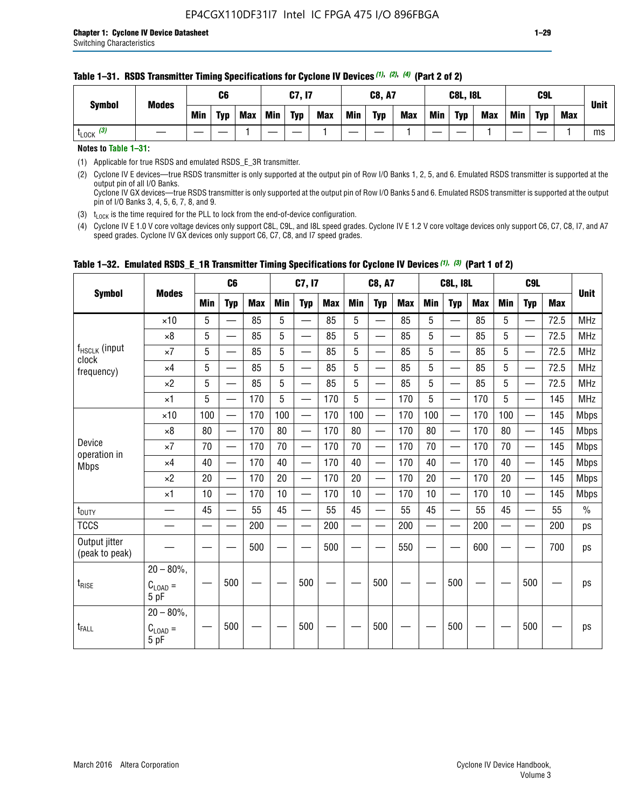#### **Table 1–31. RSDS Transmitter Timing Specifications for Cyclone IV Devices** *(1)***,** *(2)***,** *(4)* **(Part 2 of 2)**

**Notes to Table 1–31:**

(1) Applicable for true RSDS and emulated RSDS\_E\_3R transmitter.

(2) Cyclone IV E devices—true RSDS transmitter is only supported at the output pin of Row I/O Banks 1, 2, 5, and 6. Emulated RSDS transmitter is supported at the output pin of all I/O Banks. Cyclone IV GX devices—true RSDS transmitter is only supported at the output pin of Row I/O Banks 5 and 6. Emulated RSDS transmitter is supported at the output

pin of I/O Banks 3, 4, 5, 6, 7, 8, and 9.

(3)  $t_{\text{LOCK}}$  is the time required for the PLL to lock from the end-of-device configuration.

(4) Cyclone IV E 1.0 V core voltage devices only support C8L, C9L, and I8L speed grades. Cyclone IV E 1.2 V core voltage devices only support C6, C7, C8, I7, and A7 speed grades. Cyclone IV GX devices only support C6, C7, C8, and I7 speed grades.

|                                 |                                              |     | C <sub>6</sub>           |     |     | C7, I7                   |            |        | <b>C8, A7</b>            |     |            | <b>C8L, I8L</b>          |            |     | C <sub>9</sub> L         |            |               |
|---------------------------------|----------------------------------------------|-----|--------------------------|-----|-----|--------------------------|------------|--------|--------------------------|-----|------------|--------------------------|------------|-----|--------------------------|------------|---------------|
| <b>Symbol</b>                   | <b>Modes</b>                                 | Min | <b>Typ</b>               | Max | Min | <b>Typ</b>               | <b>Max</b> | Min    | <b>Typ</b>               | Max | <b>Min</b> | <b>Typ</b>               | <b>Max</b> | Min | <b>Typ</b>               | <b>Max</b> | <b>Unit</b>   |
|                                 | $\times$ 10                                  | 5   |                          | 85  | 5   |                          | 85         | 5      |                          | 85  | 5          |                          | 85         | 5   |                          | 72.5       | <b>MHz</b>    |
|                                 | $\times 8$                                   | 5   | —                        | 85  | 5   | —                        | 85         | 5      | $\qquad \qquad$          | 85  | 5          | —                        | 85         | 5   | —                        | 72.5       | <b>MHz</b>    |
| f <sub>HSCLK</sub> (input       | $\times 7$                                   | 5   | —                        | 85  | 5   |                          | 85         | 5      | $\overline{\phantom{0}}$ | 85  | 5          | —                        | 85         | 5   | —<br>—                   | 72.5       | <b>MHz</b>    |
| clock<br>frequency)             | $\times$ 4                                   | 5   | $\overline{\phantom{0}}$ | 85  | 5   | $\sim$                   | 85         | 5      | $\overline{\phantom{0}}$ | 85  | 5          | $\overline{\phantom{0}}$ | 85         | 5   | $\overline{\phantom{0}}$ | 72.5       | <b>MHz</b>    |
|                                 | $\times 2$                                   | 5   | —                        | 85  | 5   | —                        | 85         | 5      |                          | 85  | 5          | —                        | 85         | 5   | $\hspace{0.05cm}$        | 72.5       | <b>MHz</b>    |
|                                 | $\times$ 1                                   | 5   | $\overline{\phantom{0}}$ | 170 | 5   | $\overline{\phantom{0}}$ | 170        | 5      | $\overline{\phantom{0}}$ | 170 | 5          | $\overline{\phantom{0}}$ | 170        | 5   |                          | 145        | <b>MHz</b>    |
|                                 | $\times$ 10                                  | 100 | $\equiv$                 | 170 | 100 | $\overline{\phantom{0}}$ | 170        | 100    | $\overline{\phantom{0}}$ | 170 | 100        | $\overline{\phantom{0}}$ | 170        | 100 |                          | 145        | <b>Mbps</b>   |
|                                 | $\times 8$                                   | 80  | $\qquad \qquad$          | 170 | 80  | —                        | 170        | 80     | —                        | 170 | 80         | $\overline{\phantom{0}}$ | 170        | 80  |                          | 145        | <b>Mbps</b>   |
| Device                          | $\times 7$                                   | 70  | $\overline{\phantom{0}}$ | 170 | 70  | $\overline{\phantom{0}}$ | 170        | 70     | $\overline{\phantom{0}}$ | 170 | 70         | $\overline{\phantom{0}}$ | 170        | 70  |                          | 145        | <b>Mbps</b>   |
| operation in<br><b>Mbps</b>     | $\times$ 4                                   | 40  | $\qquad \qquad$          | 170 | 40  | —                        | 170        | 40     | $\overline{\phantom{0}}$ | 170 | 40         | $\overline{\phantom{0}}$ | 170        | 40  | —                        | 145        | <b>Mbps</b>   |
|                                 | $\times 2$                                   | 20  | $\overline{\phantom{0}}$ | 170 | 20  | $\overline{\phantom{0}}$ | 170        | 20     | $\overline{\phantom{0}}$ | 170 | 20         |                          | 170        | 20  | $\overline{\phantom{0}}$ | 145        | <b>Mbps</b>   |
|                                 | $\times$ 1                                   | 10  | $\overline{\phantom{0}}$ | 170 | 10  | $\overline{\phantom{0}}$ | 170        | 10     | $\overline{\phantom{0}}$ | 170 | 10         | $\overline{\phantom{0}}$ | 170        | 10  |                          | 145        | <b>Mbps</b>   |
| t <sub>DUTY</sub>               | $\overline{\phantom{0}}$                     | 45  | $\equiv$                 | 55  | 45  | $\sim$                   | 55         | 45     | $\overline{\phantom{0}}$ | 55  | 45         | $\overline{\phantom{0}}$ | 55         | 45  |                          | 55         | $\frac{0}{0}$ |
| <b>TCCS</b>                     |                                              |     |                          | 200 |     |                          | 200        | $\sim$ |                          | 200 |            | <u>—</u>                 | 200        |     |                          | 200        | ps            |
| Output jitter<br>(peak to peak) |                                              |     |                          | 500 |     |                          | 500        |        |                          | 550 |            |                          | 600        |     |                          | 700        | ps            |
| $t_{\text{RISE}}$               | $20 - 80\%$ ,<br>$C_{LOAD} =$<br>5 pF        |     | 500                      |     |     | 500                      |            |        | 500                      |     |            | 500                      |            |     | 500                      |            | ps            |
| t <sub>FALL</sub>               | $20 - 80\%$ ,<br>$C_{\text{LOAD}} =$<br>5 pF |     | 500                      |     |     | 500                      |            |        | 500                      |     |            | 500                      |            |     | 500                      |            | ps            |

### **Table 1–32. Emulated RSDS\_E\_1R Transmitter Timing Specifications for Cyclone IV Devices** *(1), (3)* **(Part 1 of 2)**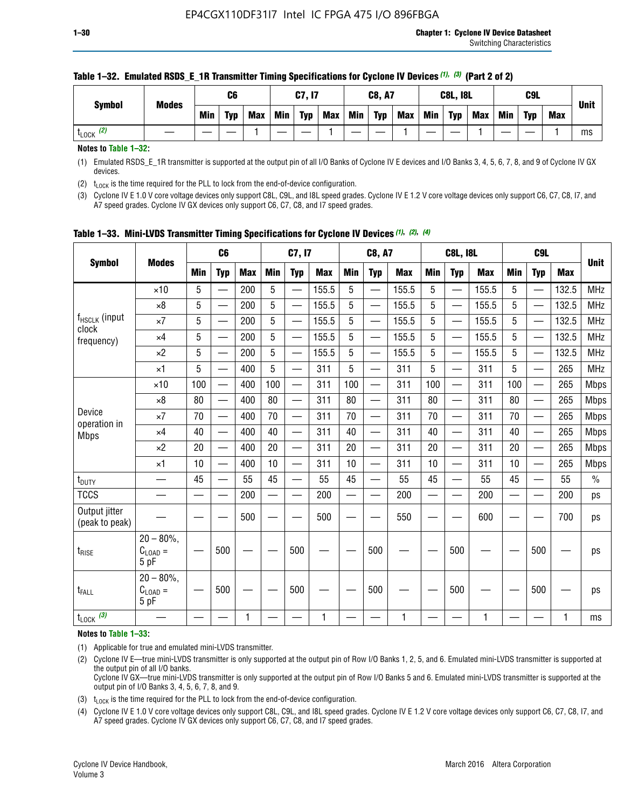| <b>Symbol</b>        | <b>Modes</b> |            | C6         |            |            | C7, I7     |            |     | <b>C8, A7</b> |            |            | <b>C8L, I8L</b> |            |     | C9L        |            | <b>Unit</b> |
|----------------------|--------------|------------|------------|------------|------------|------------|------------|-----|---------------|------------|------------|-----------------|------------|-----|------------|------------|-------------|
|                      |              | <b>Min</b> | <b>Typ</b> | <b>Max</b> | <b>Min</b> | <b>Typ</b> | <b>Max</b> | Min | <b>Typ</b>    | <b>Max</b> | <b>Min</b> | <b>Typ</b>      | <b>Max</b> | Min | <b>Typ</b> | <b>Max</b> |             |
| (2)<br><b>L</b> LOCK |              |            |            |            |            |            |            |     |               |            |            |                 |            |     |            |            | ms          |

#### **Table 1–32. Emulated RSDS\_E\_1R Transmitter Timing Specifications for Cyclone IV Devices** *(1), (3)* **(Part 2 of 2)**

**Notes to Table 1–32:**

(1) Emulated RSDS\_E\_1R transmitter is supported at the output pin of all I/O Banks of Cyclone IV E devices and I/O Banks 3, 4, 5, 6, 7, 8, and 9 of Cyclone IV GX devices.

(2)  $t_{\text{LOCK}}$  is the time required for the PLL to lock from the end-of-device configuration.

(3) Cyclone IV E 1.0 V core voltage devices only support C8L, C9L, and I8L speed grades. Cyclone IV E 1.2 V core voltage devices only support C6, C7, C8, I7, and A7 speed grades. Cyclone IV GX devices only support C6, C7, C8, and I7 speed grades.

|                                 |                                       |            | C <sub>6</sub>           |            |            | C7, I7                   |            |            | <b>C8, A7</b>            |            |                          | <b>C8L, I8L</b>          |            |            | C <sub>9</sub> L |            |             |
|---------------------------------|---------------------------------------|------------|--------------------------|------------|------------|--------------------------|------------|------------|--------------------------|------------|--------------------------|--------------------------|------------|------------|------------------|------------|-------------|
| <b>Symbol</b>                   | <b>Modes</b>                          | <b>Min</b> | <b>Typ</b>               | <b>Max</b> | <b>Min</b> | <b>Typ</b>               | <b>Max</b> | <b>Min</b> | <b>Typ</b>               | <b>Max</b> | <b>Min</b>               | <b>Typ</b>               | <b>Max</b> | <b>Min</b> | <b>Typ</b>       | <b>Max</b> | <b>Unit</b> |
|                                 | $\times$ 10                           | 5          | —<br>—                   | 200        | 5          |                          | 155.5      | 5          | ÷,                       | 155.5      | 5                        | $\overline{\phantom{0}}$ | 155.5      | 5          |                  | 132.5      | <b>MHz</b>  |
|                                 | $\times 8$                            | 5          | $\overline{\phantom{0}}$ | 200        | 5          | $\overline{\phantom{0}}$ | 155.5      | 5          | —                        | 155.5      | 5                        |                          | 155.5      | 5          |                  | 132.5      | <b>MHz</b>  |
| f <sub>HSCLK</sub> (input       | $\times 7$                            | 5          | $\overline{\phantom{0}}$ | 200        | 5          | —                        | 155.5      | 5          | $\overline{\phantom{0}}$ | 155.5      | 5                        |                          | 155.5      | 5          | —                | 132.5      | <b>MHz</b>  |
| clock<br>frequency)             | $\times$ 4                            | 5          | $\overline{\phantom{0}}$ | 200        | 5          | —                        | 155.5      | 5          | $\overline{\phantom{0}}$ | 155.5      | 5                        | $\overline{\phantom{0}}$ | 155.5      | 5          | —                | 132.5      | <b>MHz</b>  |
|                                 | $\times 2$                            | 5          | $\overline{\phantom{0}}$ | 200        | 5          | $\overline{\phantom{0}}$ | 155.5      | 5          | $\overline{\phantom{0}}$ | 155.5      | 5                        | $\overline{\phantom{0}}$ | 155.5      | 5          |                  | 132.5      | <b>MHz</b>  |
|                                 | $\times$ 1                            | 5          | $\overline{\phantom{0}}$ | 400        | 5          |                          | 311        | 5          | —                        | 311        | 5                        | $\overline{\phantom{0}}$ | 311        | 5          |                  | 265        | <b>MHz</b>  |
|                                 | $\times$ 10                           | 100        |                          | 400        | 100        | $\overline{\phantom{0}}$ | 311        | 100        | $\overline{\phantom{0}}$ | 311        | 100                      | $\overline{\phantom{0}}$ | 311        | 100        |                  | 265        | <b>Mbps</b> |
|                                 | $\times 8$                            | 80         | $\overline{\phantom{0}}$ | 400        | 80         | $\equiv$                 | 311        | 80         | $\overline{\phantom{0}}$ | 311        | 80                       | —                        | 311        | 80         |                  | 265        | <b>Mbps</b> |
| Device                          | $\times 7$                            | 70         | $\overline{\phantom{0}}$ | 400        | 70         | $\overline{\phantom{0}}$ | 311        | 70         | $\qquad \qquad$          | 311        | 70                       |                          | 311        | 70         |                  | 265        | <b>Mbps</b> |
| operation in<br><b>Mbps</b>     | $\times 4$                            | 40         | $\overline{\phantom{0}}$ | 400        | 40         |                          | 311        | 40         | er<br>Here               | 311        | 40                       | $\overline{\phantom{0}}$ | 311        | 40         |                  | 265        | <b>Mbps</b> |
|                                 | $\times 2$                            | 20         | $\overline{\phantom{0}}$ | 400        | 20         | —                        | 311        | 20         | $\overline{\phantom{0}}$ | 311        | 20                       | $\overline{\phantom{0}}$ | 311        | 20         |                  | 265        | <b>Mbps</b> |
|                                 | ×1                                    | 10         | $\overline{\phantom{0}}$ | 400        | 10         | —                        | 311        | 10         | $\overline{\phantom{0}}$ | 311        | 10                       | $\overline{\phantom{0}}$ | 311        | 10         |                  | 265        | <b>Mbps</b> |
| t <sub>DUTY</sub>               |                                       | 45         |                          | 55         | 45         |                          | 55         | 45         | $\overline{\phantom{0}}$ | 55         | 45                       | —                        | 55         | 45         |                  | 55         | $\%$        |
| <b>TCCS</b>                     |                                       |            |                          | 200        | —          |                          | 200        |            |                          | 200        | $\overline{\phantom{0}}$ |                          | 200        |            |                  | 200        | ps          |
| Output jitter<br>(peak to peak) |                                       |            |                          | 500        |            |                          | 500        |            |                          | 550        |                          |                          | 600        |            |                  | 700        | ps          |
| $t_{\text{RISE}}$               | $20 - 80\%$<br>$C_{LOAD} =$<br>5 pF   |            | 500                      |            |            | 500                      |            |            | 500                      |            |                          | 500                      |            |            | 500              |            | ps          |
| t <sub>FALL</sub>               | $20 - 80\%$ ,<br>$C_{LOAD} =$<br>5 pF |            | 500                      |            |            | 500                      |            |            | 500                      |            |                          | 500                      |            |            | 500              |            | ps          |
| $t_{\text{LOCK}}$ (3)           |                                       |            |                          | 1          |            |                          | 1          |            |                          | 1          |                          |                          | 1          |            |                  | 1          | ms          |

**Table 1–33. Mini-LVDS Transmitter Timing Specifications for Cyclone IV Devices** *(1)***,** *(2)***,** *(4)*

**Notes to Table 1–33:**

(1) Applicable for true and emulated mini-LVDS transmitter.

(2) Cyclone IV E—true mini-LVDS transmitter is only supported at the output pin of Row I/O Banks 1, 2, 5, and 6. Emulated mini-LVDS transmitter is supported at the output pin of all I/O banks.

Cyclone IV GX—true mini-LVDS transmitter is only supported at the output pin of Row I/O Banks 5 and 6. Emulated mini-LVDS transmitter is supported at the output pin of I/O Banks 3, 4, 5, 6, 7, 8, and 9.

(3)  $t_{\text{LOCK}}$  is the time required for the PLL to lock from the end-of-device configuration.

(4) Cyclone IV E 1.0 V core voltage devices only support C8L, C9L, and I8L speed grades. Cyclone IV E 1.2 V core voltage devices only support C6, C7, C8, I7, and A7 speed grades. Cyclone IV GX devices only support C6, C7, C8, and I7 speed grades.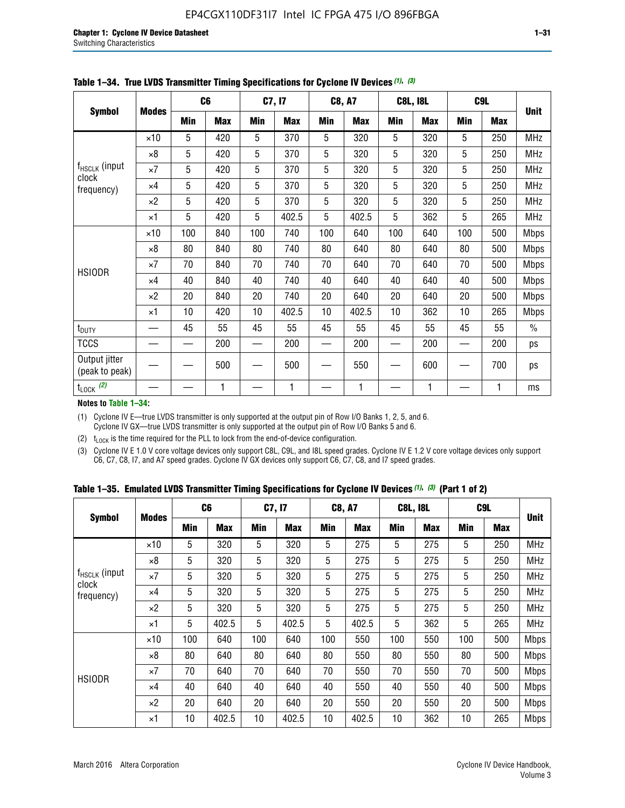|                                 |              |     | C <sub>6</sub> |     | C7, I7     |     | <b>C8, A7</b> |             | <b>C8L, I8L</b> |            | C <sub>9</sub> L | <b>Unit</b>   |
|---------------------------------|--------------|-----|----------------|-----|------------|-----|---------------|-------------|-----------------|------------|------------------|---------------|
| <b>Symbol</b>                   | <b>Modes</b> | Min | <b>Max</b>     | Min | <b>Max</b> | Min | <b>Max</b>    | Min         | <b>Max</b>      | <b>Min</b> | <b>Max</b>       |               |
|                                 | $\times$ 10  | 5   | 420            | 5   | 370        | 5   | 320           | 5           | 320             | 5          | 250              | <b>MHz</b>    |
|                                 | $\times 8$   | 5   | 420            | 5   | 370        | 5   | 320           | $\mathbf 5$ | 320             | 5          | 250              | <b>MHz</b>    |
| $f_{HSCLK}$ (input<br>clock     | $\times 7$   | 5   | 420            | 5   | 370        | 5   | 320           | 5           | 320             | 5          | 250              | <b>MHz</b>    |
| frequency)                      | $\times$ 4   | 5   | 420            | 5   | 370        | 5   | 320           | 5           | 320             | 5          | 250              | MHz           |
|                                 | $\times 2$   | 5   | 420            | 5   | 370        | 5   | 320           | 5           | 320             | 5          | 250              | <b>MHz</b>    |
|                                 | $\times$ 1   | 5   | 420            | 5   | 402.5      | 5   | 402.5         | 5           | 362             | 5          | 265              | <b>MHz</b>    |
|                                 | $\times$ 10  | 100 | 840            | 100 | 740        | 100 | 640           | 100         | 640             | 100        | 500              | Mbps          |
|                                 | $\times 8$   | 80  | 840            | 80  | 740        | 80  | 640           | 80          | 640             | 80         | 500              | <b>Mbps</b>   |
| <b>HSIODR</b>                   | $\times 7$   | 70  | 840            | 70  | 740        | 70  | 640           | 70          | 640             | 70         | 500              | <b>Mbps</b>   |
|                                 | $\times$ 4   | 40  | 840            | 40  | 740        | 40  | 640           | 40          | 640             | 40         | 500              | Mbps          |
|                                 | $\times 2$   | 20  | 840            | 20  | 740        | 20  | 640           | 20          | 640             | 20         | 500              | <b>Mbps</b>   |
|                                 | $\times$ 1   | 10  | 420            | 10  | 402.5      | 10  | 402.5         | 10          | 362             | 10         | 265              | <b>Mbps</b>   |
| t <sub>DUTY</sub>               |              | 45  | 55             | 45  | 55         | 45  | 55            | 45          | 55              | 45         | 55               | $\frac{0}{0}$ |
| <b>TCCS</b>                     |              |     | 200            |     | 200        |     | 200           |             | 200             |            | 200              | ps            |
| Output jitter<br>(peak to peak) |              |     | 500            |     | 500        |     | 550           |             | 600             |            | 700              | ps            |
| $t_{\text{LOCK}}$ (2)           |              |     | 1              |     | 1          |     | 1             |             | 1               |            | 1                | ms            |

**Table 1–34. True LVDS Transmitter Timing Specifications for Cyclone IV Devices** *(1)***,** *(3)*

**Notes to Table 1–34:**

(1) Cyclone IV E—true LVDS transmitter is only supported at the output pin of Row I/O Banks 1, 2, 5, and 6. Cyclone IV GX—true LVDS transmitter is only supported at the output pin of Row I/O Banks 5 and 6.

(2)  $t_{\text{LOCK}}$  is the time required for the PLL to lock from the end-of-device configuration.

(3) Cyclone IV E 1.0 V core voltage devices only support C8L, C9L, and I8L speed grades. Cyclone IV E 1.2 V core voltage devices only support C6, C7, C8, I7, and A7 speed grades. Cyclone IV GX devices only support C6, C7, C8, and I7 speed grades.

|  |  |  |  | Table 1–35. Emulated LVDS Transmitter Timing Specifications for Cyclone IV Devices <sup>(1),</sup> <sup>(3)</sup> (Part 1 of 2) |  |  |
|--|--|--|--|---------------------------------------------------------------------------------------------------------------------------------|--|--|
|--|--|--|--|---------------------------------------------------------------------------------------------------------------------------------|--|--|

| <b>Symbol</b>               |              | C <sub>6</sub> |            | C7, I7     |            | <b>C8, A7</b> |            | <b>C8L, I8L</b> |            | C <sub>9</sub> L |            |             |
|-----------------------------|--------------|----------------|------------|------------|------------|---------------|------------|-----------------|------------|------------------|------------|-------------|
|                             | <b>Modes</b> | Min            | <b>Max</b> | <b>Min</b> | <b>Max</b> | <b>Min</b>    | <b>Max</b> | <b>Min</b>      | <b>Max</b> | <b>Min</b>       | <b>Max</b> | <b>Unit</b> |
|                             | $\times$ 10  | 5              | 320        | 5          | 320        | 5             | 275        | 5               | 275        | 5                | 250        | <b>MHz</b>  |
|                             | $\times 8$   | 5              | 320        | 5          | 320        | 5             | 275        | 5               | 275        | 5                | 250        | <b>MHz</b>  |
| $f_{HSCLK}$ (input<br>clock | $\times 7$   | 5              | 320        | 5          | 320        | 5             | 275        | 5               | 275        | 5                | 250        | <b>MHz</b>  |
| frequency)                  | $\times$ 4   | 5              | 320        | 5          | 320        | 5             | 275        | 5               | 275        | 5                | 250        | <b>MHz</b>  |
|                             | $\times 2$   | 5              | 320        | 5          | 320        | 5             | 275        | 5               | 275        | 5                | 250        | <b>MHz</b>  |
|                             | $\times$ 1   | 5              | 402.5      | 5          | 402.5      | 5             | 402.5      | 5               | 362        | 5                | 265        | <b>MHz</b>  |
|                             | $\times$ 10  | 100            | 640        | 100        | 640        | 100           | 550        | 100             | 550        | 100              | 500        | <b>Mbps</b> |
|                             | $\times 8$   | 80             | 640        | 80         | 640        | 80            | 550        | 80              | 550        | 80               | 500        | <b>Mbps</b> |
| <b>HSIODR</b>               | $\times 7$   | 70             | 640        | 70         | 640        | 70            | 550        | 70              | 550        | 70               | 500        | <b>Mbps</b> |
|                             | $\times$ 4   | 40             | 640        | 40         | 640        | 40            | 550        | 40              | 550        | 40               | 500        | <b>Mbps</b> |
|                             | $\times 2$   | 20             | 640        | 20         | 640        | 20            | 550        | 20              | 550        | 20               | 500        | <b>Mbps</b> |
|                             | $\times$ 1   | 10             | 402.5      | 10         | 402.5      | 10            | 402.5      | 10              | 362        | 10               | 265        | <b>Mbps</b> |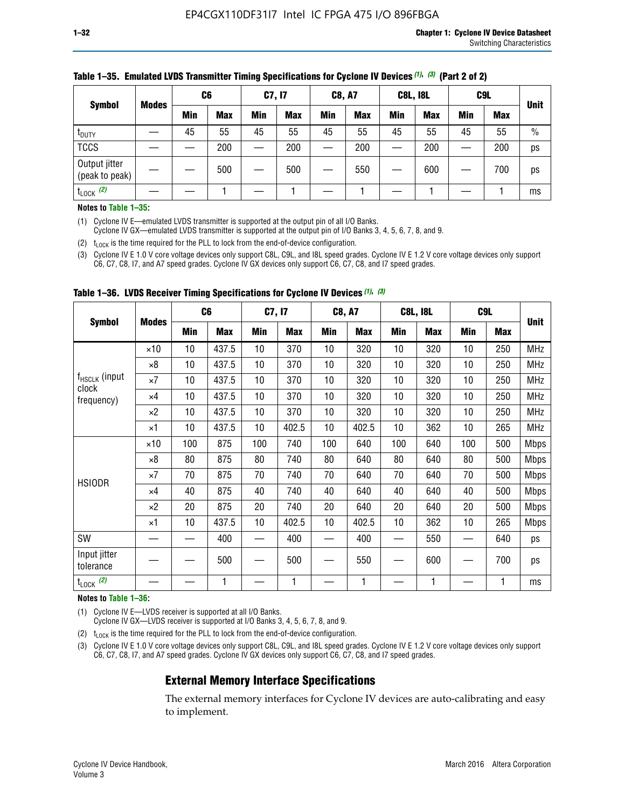| <b>Symbol</b>                   |              | C <sub>6</sub> |            | C7, I7     |            | <b>C8, A7</b> |            | <b>C8L, I8L</b> |            |            | C <sub>9</sub> L |               |
|---------------------------------|--------------|----------------|------------|------------|------------|---------------|------------|-----------------|------------|------------|------------------|---------------|
|                                 | <b>Modes</b> | Min            | <b>Max</b> | <b>Min</b> | <b>Max</b> | <b>Min</b>    | <b>Max</b> | <b>Min</b>      | <b>Max</b> | <b>Min</b> | <b>Max</b>       | <b>Unit</b>   |
| t <sub>DUTY</sub>               |              | 45             | 55         | 45         | 55         | 45            | 55         | 45              | 55         | 45         | 55               | $\frac{0}{0}$ |
| <b>TCCS</b>                     |              |                | 200        |            | 200        |               | 200        |                 | 200        |            | 200              | ps            |
| Output jitter<br>(peak to peak) |              |                | 500        |            | 500        |               | 550        |                 | 600        |            | 700              | ps            |
| $t_{\text{LOCK}}$ (2)           |              |                |            |            |            |               |            |                 |            |            |                  | ms            |

#### **Table 1–35. Emulated LVDS Transmitter Timing Specifications for Cyclone IV Devices** *(1)***,** *(3)* **(Part 2 of 2)**

#### **Notes to Table 1–35:**

(1) Cyclone IV E—emulated LVDS transmitter is supported at the output pin of all I/O Banks.

Cyclone IV GX—emulated LVDS transmitter is supported at the output pin of I/O Banks 3, 4, 5, 6, 7, 8, and 9.

(2)  $t_{\text{LOCK}}$  is the time required for the PLL to lock from the end-of-device configuration.

(3) Cyclone IV E 1.0 V core voltage devices only support C8L, C9L, and I8L speed grades. Cyclone IV E 1.2 V core voltage devices only support C6, C7, C8, I7, and A7 speed grades. Cyclone IV GX devices only support C6, C7, C8, and I7 speed grades.

| <b>Symbol</b>                      |              |     | C <sub>6</sub> | C7, I7 |       | <b>C8, A7</b> |            | <b>C8L, I8L</b> |            | C <sub>9</sub> L |     |             |
|------------------------------------|--------------|-----|----------------|--------|-------|---------------|------------|-----------------|------------|------------------|-----|-------------|
|                                    | <b>Modes</b> | Min | <b>Max</b>     | Min    | Max   | Min           | <b>Max</b> | Min             | <b>Max</b> | Min              | Max | <b>Unit</b> |
|                                    | $\times$ 10  | 10  | 437.5          | 10     | 370   | 10            | 320        | 10              | 320        | 10               | 250 | MHz         |
|                                    | ×8           | 10  | 437.5          | 10     | 370   | 10            | 320        | 10              | 320        | 10               | 250 | <b>MHz</b>  |
| f <sub>HSCLK</sub> (input<br>clock | ×7           | 10  | 437.5          | 10     | 370   | 10            | 320        | 10              | 320        | 10               | 250 | <b>MHz</b>  |
| frequency)                         | $\times 4$   | 10  | 437.5          | 10     | 370   | 10            | 320        | 10              | 320        | 10               | 250 | <b>MHz</b>  |
|                                    | $\times 2$   | 10  | 437.5          | 10     | 370   | 10            | 320        | 10              | 320        | 10               | 250 | <b>MHz</b>  |
|                                    | ×1           | 10  | 437.5          | 10     | 402.5 | 10            | 402.5      | 10              | 362        | 10               | 265 | <b>MHz</b>  |
|                                    | $\times$ 10  | 100 | 875            | 100    | 740   | 100           | 640        | 100             | 640        | 100              | 500 | <b>Mbps</b> |
|                                    | $\times 8$   | 80  | 875            | 80     | 740   | 80            | 640        | 80              | 640        | 80               | 500 | <b>Mbps</b> |
| <b>HSIODR</b>                      | ×7           | 70  | 875            | 70     | 740   | 70            | 640        | 70              | 640        | 70               | 500 | <b>Mbps</b> |
|                                    | $\times 4$   | 40  | 875            | 40     | 740   | 40            | 640        | 40              | 640        | 40               | 500 | <b>Mbps</b> |
|                                    | $\times 2$   | 20  | 875            | 20     | 740   | 20            | 640        | 20              | 640        | 20               | 500 | <b>Mbps</b> |
|                                    | ×1           | 10  | 437.5          | 10     | 402.5 | 10            | 402.5      | 10              | 362        | 10               | 265 | <b>Mbps</b> |
| SW                                 |              |     | 400            |        | 400   |               | 400        |                 | 550        |                  | 640 | ps          |
| Input jitter<br>tolerance          |              |     | 500            |        | 500   |               | 550        |                 | 600        |                  | 700 | ps          |
| $t_{\text{LOCK}}$ (2)              |              |     | 1              |        | 1     |               | 1          |                 | 1          |                  | 1   | ms          |

**Table 1–36. LVDS Receiver Timing Specifications for Cyclone IV Devices** *(1)***,** *(3)*

#### **Notes to Table 1–36:**

(1) Cyclone IV E—LVDS receiver is supported at all I/O Banks.

Cyclone IV GX—LVDS receiver is supported at I/O Banks 3, 4, 5, 6, 7, 8, and 9.

(2)  $t_{\text{LOCK}}$  is the time required for the PLL to lock from the end-of-device configuration.

(3) Cyclone IV E 1.0 V core voltage devices only support C8L, C9L, and I8L speed grades. Cyclone IV E 1.2 V core voltage devices only support C6, C7, C8, I7, and A7 speed grades. Cyclone IV GX devices only support C6, C7, C8, and I7 speed grades.

### **External Memory Interface Specifications**

The external memory interfaces for Cyclone IV devices are auto-calibrating and easy to implement.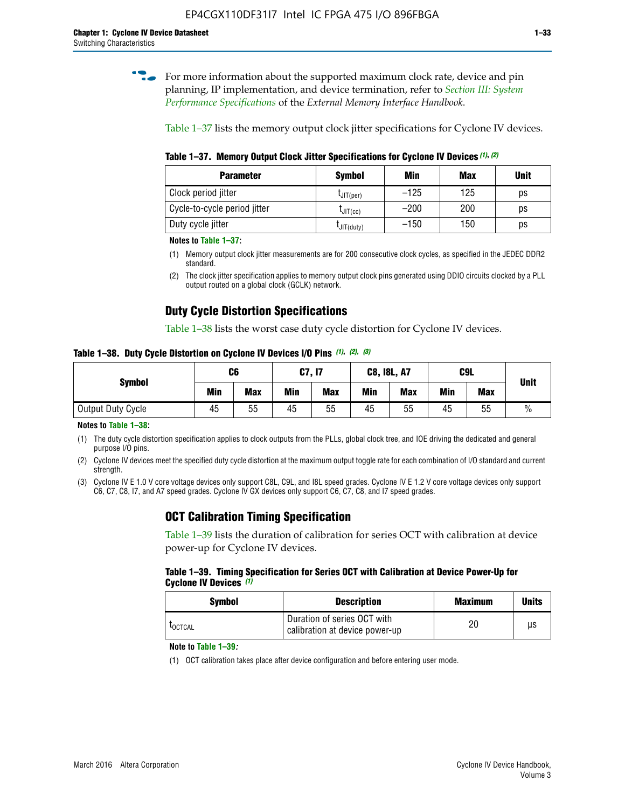**for more information about the supported maximum clock rate, device and pin** planning, IP implementation, and device termination, refer to *[Section III: System](http://www.altera.com/literature/hb/external-memory/emi_intro_specs.pdf)  [Performance Specifications](http://www.altera.com/literature/hb/external-memory/emi_intro_specs.pdf)* of the *External Memory Interface Handbook*.

Table 1–37 lists the memory output clock jitter specifications for Cyclone IV devices.

**Table 1–37. Memory Output Clock Jitter Specifications for Cyclone IV Devices** *(1)***,** *(2)*

| <b>Parameter</b>             | <b>Symbol</b>    | Min    | Max | <b>Unit</b> |
|------------------------------|------------------|--------|-----|-------------|
| Clock period jitter          | $L$ JIT(per)     | $-125$ | 125 | ps          |
| Cycle-to-cycle period jitter | $L$ JIT $(cc)$   | $-200$ | 200 | ps          |
| Duty cycle jitter            | $L$ JIT $(duty)$ | $-150$ | 150 | ps          |

**Notes to Table 1–37:**

- (1) Memory output clock jitter measurements are for 200 consecutive clock cycles, as specified in the JEDEC DDR2 standard.
- (2) The clock jitter specification applies to memory output clock pins generated using DDIO circuits clocked by a PLL output routed on a global clock (GCLK) network.

### **Duty Cycle Distortion Specifications**

Table 1–38 lists the worst case duty cycle distortion for Cyclone IV devices.

**Table 1–38. Duty Cycle Distortion on Cyclone IV Devices I/O Pins** *(1)***,** *(2), (3)*

| <b>Symbol</b>     | C <sub>6</sub> |            | C7, I7     |            | <b>C8, I8L, A7</b> |            |            | C9L        | <b>Unit</b>   |  |
|-------------------|----------------|------------|------------|------------|--------------------|------------|------------|------------|---------------|--|
|                   | Min            | <b>Max</b> | <b>Min</b> | <b>Max</b> | Min                | <b>Max</b> | <b>Min</b> | <b>Max</b> |               |  |
| Output Duty Cycle | 45             | 55         | 45         | 55         | 45                 | 55         | 45         | 55         | $\frac{0}{0}$ |  |

**Notes to Table 1–38:**

(1) The duty cycle distortion specification applies to clock outputs from the PLLs, global clock tree, and IOE driving the dedicated and general purpose I/O pins.

(2) Cyclone IV devices meet the specified duty cycle distortion at the maximum output toggle rate for each combination of I/O standard and current strength.

(3) Cyclone IV E 1.0 V core voltage devices only support C8L, C9L, and I8L speed grades. Cyclone IV E 1.2 V core voltage devices only support C6, C7, C8, I7, and A7 speed grades. Cyclone IV GX devices only support C6, C7, C8, and I7 speed grades.

### **OCT Calibration Timing Specification**

Table 1–39 lists the duration of calibration for series OCT with calibration at device power-up for Cyclone IV devices.

#### **Table 1–39. Timing Specification for Series OCT with Calibration at Device Power-Up for Cyclone IV Devices** *(1)*

| Symbol  | <b>Description</b>                                            | <b>Maximum</b> | <b>Units</b> |
|---------|---------------------------------------------------------------|----------------|--------------|
| LOCTCAL | Duration of series OCT with<br>calibration at device power-up | 20             | μs           |

#### **Note to Table 1–39***:*

(1) OCT calibration takes place after device configuration and before entering user mode.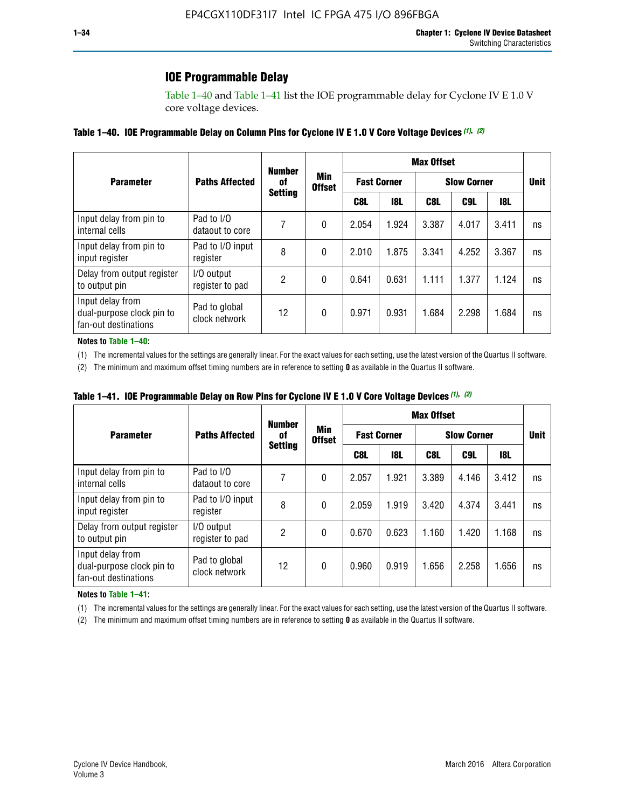### **IOE Programmable Delay**

Table 1–40 and Table 1–41 list the IOE programmable delay for Cyclone IV E 1.0 V core voltage devices.

#### **Table 1–40. IOE Programmable Delay on Column Pins for Cyclone IV E 1.0 V Core Voltage Devices** *(1)***,** *(2)*

|                                                                       |                                | <b>Number</b>  |                      |                    |            | <b>Max Offset</b> |                    |       |             |
|-----------------------------------------------------------------------|--------------------------------|----------------|----------------------|--------------------|------------|-------------------|--------------------|-------|-------------|
| <b>Parameter</b>                                                      | <b>Paths Affected</b>          | 0f             | Min<br><b>Offset</b> | <b>Fast Corner</b> |            |                   | <b>Slow Corner</b> |       | <b>Unit</b> |
|                                                                       |                                | <b>Setting</b> |                      | C8L                | <b>18L</b> | C8L               | C9L                | 18L   |             |
| Input delay from pin to<br>internal cells                             | Pad to I/O<br>dataout to core  |                | 0                    | 2.054              | 1.924      | 3.387             | 4.017              | 3.411 | ns          |
| Input delay from pin to<br>input register                             | Pad to I/O input<br>register   | 8              | 0                    | 2.010              | 1.875      | 3.341             | 4.252              | 3.367 | ns          |
| Delay from output register<br>to output pin                           | I/O output<br>register to pad  | 2              | 0                    | 0.641              | 0.631      | 1.111             | 1.377              | 1.124 | ns          |
| Input delay from<br>dual-purpose clock pin to<br>fan-out destinations | Pad to global<br>clock network | 12             | 0                    | 0.971              | 0.931      | 1.684             | 2.298              | 1.684 | ns          |

#### **Notes to Table 1–40:**

(1) The incremental values for the settings are generally linear. For the exact values for each setting, use the latest version of the Quartus II software.

(2) The minimum and maximum offset timing numbers are in reference to setting **0** as available in the Quartus II software.

| Table 1–41. IOE Programmable Delay on Row Pins for Cyclone IV E 1.0 V Core Voltage Devices (1), (2) |  |  |
|-----------------------------------------------------------------------------------------------------|--|--|
|-----------------------------------------------------------------------------------------------------|--|--|

|                                                                       |                                | <b>Number</b>  |                      | <b>Max Offset</b>  |            |                    |       |       |             |
|-----------------------------------------------------------------------|--------------------------------|----------------|----------------------|--------------------|------------|--------------------|-------|-------|-------------|
| <b>Parameter</b>                                                      | <b>Paths Affected</b>          | 0f             | Min<br><b>Offset</b> | <b>Fast Corner</b> |            | <b>Slow Corner</b> |       |       | <b>Unit</b> |
|                                                                       |                                | <b>Setting</b> |                      | C8L                | <b>18L</b> | C8L                | C9L   | 18L   |             |
| Input delay from pin to<br>internal cells                             | Pad to I/O<br>dataout to core  | 7              | 0                    | 2.057              | 1.921      | 3.389              | 4.146 | 3.412 | ns          |
| Input delay from pin to<br>input register                             | Pad to I/O input<br>register   | 8              | 0                    | 2.059              | 1.919      | 3.420              | 4.374 | 3.441 | ns          |
| Delay from output register<br>to output pin                           | I/O output<br>register to pad  | 2              | 0                    | 0.670              | 0.623      | 1.160              | 1.420 | 1.168 | ns          |
| Input delay from<br>dual-purpose clock pin to<br>fan-out destinations | Pad to global<br>clock network | 12             | 0                    | 0.960              | 0.919      | 1.656              | 2.258 | 1.656 | ns          |

#### **Notes to Table 1–41:**

(1) The incremental values for the settings are generally linear. For the exact values for each setting, use the latest version of the Quartus II software.

(2) The minimum and maximum offset timing numbers are in reference to setting **0** as available in the Quartus II software.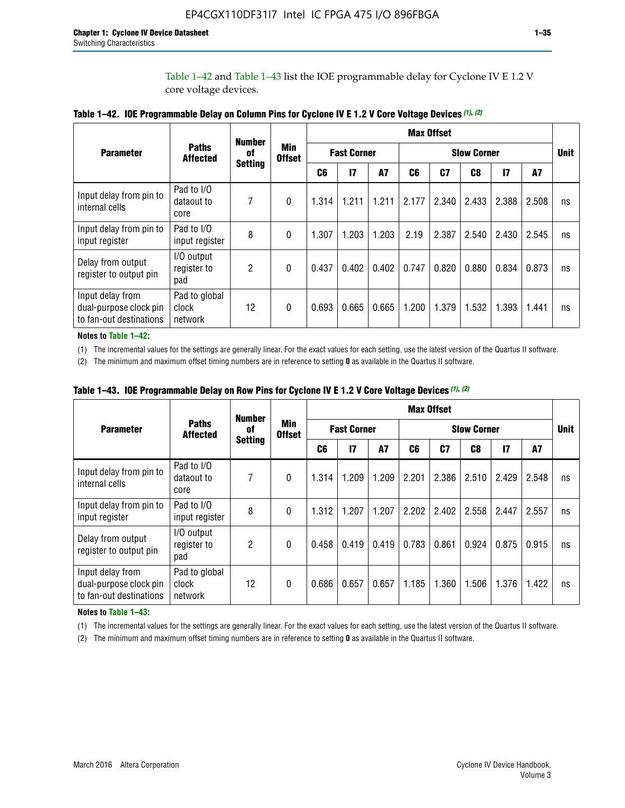Table 1–42 and Table 1–43 list the IOE programmable delay for Cyclone IV E 1.2 V core voltage devices.

|                                                                       |                                   | <b>Number</b>  |                             | <b>Max Offset</b>  |              |           |                    |       |       |               |       |             |
|-----------------------------------------------------------------------|-----------------------------------|----------------|-----------------------------|--------------------|--------------|-----------|--------------------|-------|-------|---------------|-------|-------------|
| <b>Parameter</b>                                                      | <b>Paths</b><br><b>Affected</b>   | of             | <b>Min</b><br><b>Offset</b> | <b>Fast Corner</b> |              |           | <b>Slow Corner</b> |       |       |               |       | <b>Unit</b> |
|                                                                       |                                   | <b>Setting</b> |                             | C <sub>6</sub>     | $\mathbf{I}$ | <b>A7</b> | C6                 | C7    | C8    | $\mathsf{I}7$ | A7    |             |
| Input delay from pin to<br>internal cells                             | Pad to I/O<br>dataout to<br>core  | 7              | 0                           | 1.314              | 1.211        | 1.211     | 2.177              | 2.340 | 2.433 | 2.388         | 2.508 | ns          |
| Input delay from pin to<br>input register                             | Pad to I/O<br>input register      | 8              | $\Omega$                    | 1.307              | 1.203        | 1.203     | 2.19               | 2.387 | 2.540 | 2.430         | 2.545 | ns          |
| Delay from output<br>register to output pin                           | I/O output<br>register to<br>pad  | 2              | 0                           | 0.437              | 0.402        | 0.402     | 0.747              | 0.820 | 0.880 | 0.834         | 0.873 | ns          |
| Input delay from<br>dual-purpose clock pin<br>to fan-out destinations | Pad to global<br>clock<br>network | 12             | 0                           | 0.693              | 0.665        | 0.665     | 1.200              | 1.379 | 1.532 | 1.393         | 1.441 | ns          |

**Table 1–42. IOE Programmable Delay on Column Pins for Cyclone IV E 1.2 V Core Voltage Devices** *(1)***,** *(2)*

**Notes to Table 1–42:**

(1) The incremental values for the settings are generally linear. For the exact values for each setting, use the latest version of the Quartus II software.

(2) The minimum and maximum offset timing numbers are in reference to setting **0** as available in the Quartus II software.

|                                                                       |                                   | <b>Number</b>  | Min<br><b>Offset</b> | <b>Max Offset</b>  |       |       |                    |       |       |               |       |             |
|-----------------------------------------------------------------------|-----------------------------------|----------------|----------------------|--------------------|-------|-------|--------------------|-------|-------|---------------|-------|-------------|
| <b>Parameter</b>                                                      | <b>Paths</b><br><b>Affected</b>   | 0f             |                      | <b>Fast Corner</b> |       |       | <b>Slow Corner</b> |       |       |               |       | <b>Unit</b> |
|                                                                       |                                   | <b>Setting</b> |                      | C6                 | 17    | A7    | C6                 | C7    | C8    | $\mathsf{I}7$ | A7    |             |
| Input delay from pin to<br>internal cells                             | Pad to I/O<br>dataout to<br>core  | 7              | 0                    | 1.314              | 1.209 | 1.209 | 2.201              | 2.386 | 2.510 | 2.429         | 2.548 | ns          |
| Input delay from pin to<br>input register                             | Pad to I/O<br>input register      | 8              | $\theta$             | 1.312              | 1.207 | 1.207 | 2.202              | 2.402 | 2.558 | 2.447         | 2.557 | ns          |
| Delay from output<br>register to output pin                           | I/O output<br>register to<br>pad  | $\overline{2}$ | 0                    | 0.458              | 0.419 | 0.419 | 0.783              | 0.861 | 0.924 | 0.875         | 0.915 | ns          |
| Input delay from<br>dual-purpose clock pin<br>to fan-out destinations | Pad to global<br>clock<br>network | 12             | 0                    | 0.686              | 0.657 | 0.657 | 1.185              | 1.360 | 1.506 | 1.376         | 1.422 | ns          |

**Table 1–43. IOE Programmable Delay on Row Pins for Cyclone IV E 1.2 V Core Voltage Devices** *(1)***,** *(2)*

#### **Notes to Table 1–43:**

(1) The incremental values for the settings are generally linear. For the exact values for each setting, use the latest version of the Quartus II software.

(2) The minimum and maximum offset timing numbers are in reference to setting **0** as available in the Quartus II software.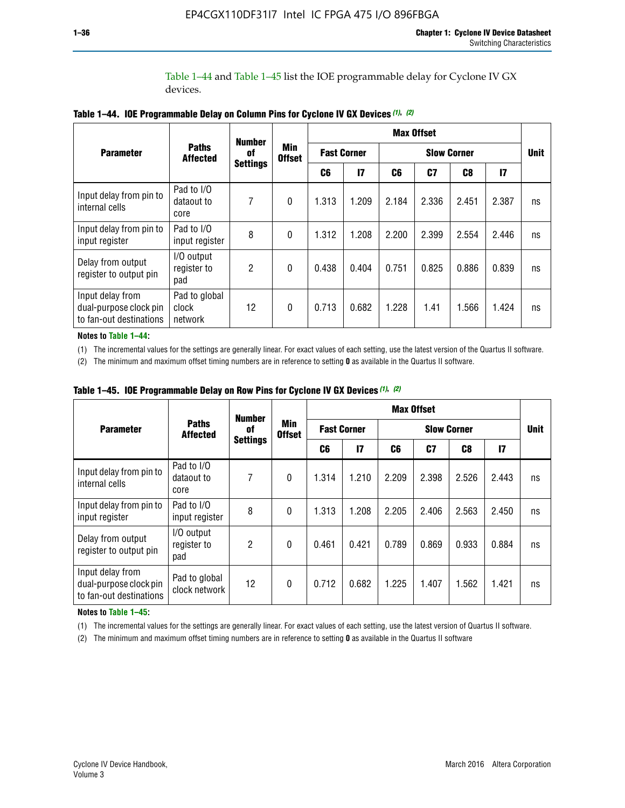Table 1–44 and Table 1–45 list the IOE programmable delay for Cyclone IV GX devices.

|                                                                       |                                   |                                        |                             | <b>Max Offset</b>  |                 |                    |       |       |       |             |
|-----------------------------------------------------------------------|-----------------------------------|----------------------------------------|-----------------------------|--------------------|-----------------|--------------------|-------|-------|-------|-------------|
| <b>Parameter</b>                                                      | <b>Paths</b><br><b>Affected</b>   | <b>Number</b><br>0f<br><b>Settings</b> | <b>Min</b><br><b>Offset</b> | <b>Fast Corner</b> |                 | <b>Slow Corner</b> |       |       |       | <b>Unit</b> |
|                                                                       |                                   |                                        |                             | C6                 | $\overline{17}$ | C6                 | C7    | C8    | 17    |             |
| Input delay from pin to<br>internal cells                             | Pad to I/O<br>dataout to<br>core  | 7                                      | $\mathbf{0}$                | 1.313              | 1.209           | 2.184              | 2.336 | 2.451 | 2.387 | ns          |
| Input delay from pin to<br>input register                             | Pad to I/O<br>input register      | 8                                      | $\Omega$                    | 1.312              | 1.208           | 2.200              | 2.399 | 2.554 | 2.446 | ns          |
| Delay from output<br>register to output pin                           | I/O output<br>register to<br>pad  | 2                                      | $\Omega$                    | 0.438              | 0.404           | 0.751              | 0.825 | 0.886 | 0.839 | ns          |
| Input delay from<br>dual-purpose clock pin<br>to fan-out destinations | Pad to global<br>clock<br>network | 12                                     | $\mathbf{0}$                | 0.713              | 0.682           | 1.228              | 1.41  | 1.566 | 1.424 | ns          |

**Table 1–44. IOE Programmable Delay on Column Pins for Cyclone IV GX Devices** *(1)***,** *(2)*

**Notes to Table 1–44:**

(1) The incremental values for the settings are generally linear. For exact values of each setting, use the latest version of the Quartus II software.

(2) The minimum and maximum offset timing numbers are in reference to setting **0** as available in the Quartus II software.

|                                                                       |                                  | <b>Number</b>  |                                                | <b>Max Offset</b>  |       |                    |       |       |              |             |
|-----------------------------------------------------------------------|----------------------------------|----------------|------------------------------------------------|--------------------|-------|--------------------|-------|-------|--------------|-------------|
| <b>Parameter</b>                                                      | <b>Paths</b><br><b>Affected</b>  | 0f             | <b>Min</b><br><b>Offset</b><br><b>Settings</b> | <b>Fast Corner</b> |       | <b>Slow Corner</b> |       |       |              | <b>Unit</b> |
|                                                                       |                                  |                |                                                | C6                 | 17    | C6                 | C7    | C8    | $\mathbf{I}$ |             |
| Input delay from pin to<br>internal cells                             | Pad to I/O<br>dataout to<br>core | 7              | $\mathbf{0}$                                   | 1.314              | 1.210 | 2.209              | 2.398 | 2.526 | 2.443        | ns          |
| Input delay from pin to<br>input register                             | Pad to I/O<br>input register     | 8              | $\mathbf{0}$                                   | 1.313              | 1.208 | 2.205              | 2.406 | 2.563 | 2.450        | ns          |
| Delay from output<br>register to output pin                           | I/O output<br>register to<br>pad | $\overline{2}$ | $\mathbf{0}$                                   | 0.461              | 0.421 | 0.789              | 0.869 | 0.933 | 0.884        | ns          |
| Input delay from<br>dual-purpose clock pin<br>to fan-out destinations | Pad to global<br>clock network   | 12             | $\mathbf{0}$                                   | 0.712              | 0.682 | 1.225              | 1.407 | 1.562 | 1.421        | ns          |

**Table 1–45. IOE Programmable Delay on Row Pins for Cyclone IV GX Devices** *(1)***,** *(2)*

#### **Notes to Table 1–45:**

(1) The incremental values for the settings are generally linear. For exact values of each setting, use the latest version of Quartus II software.

(2) The minimum and maximum offset timing numbers are in reference to setting **0** as available in the Quartus II software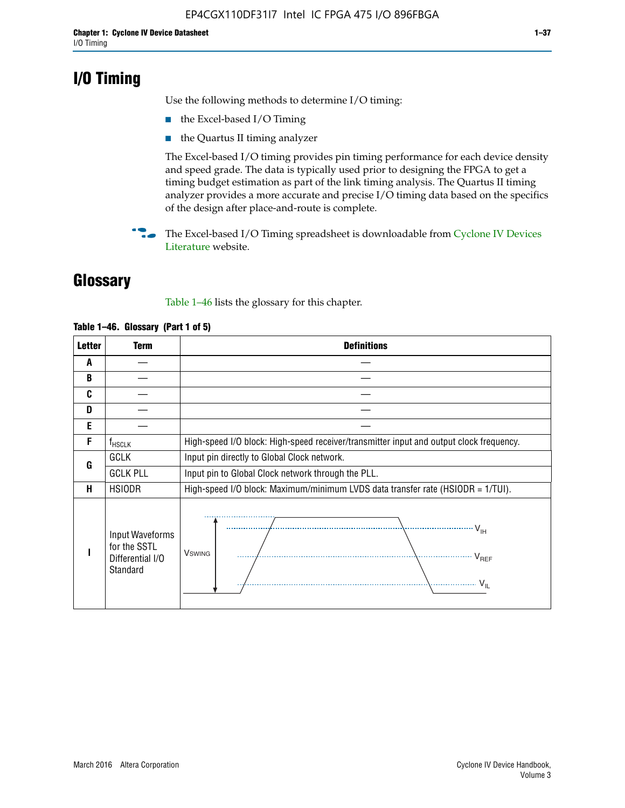## **I/O Timing**

Use the following methods to determine I/O timing:

- the Excel-based I/O Timing
- the Quartus II timing analyzer

The Excel-based I/O timing provides pin timing performance for each device density and speed grade. The data is typically used prior to designing the FPGA to get a timing budget estimation as part of the link timing analysis. The Quartus II timing analyzer provides a more accurate and precise I/O timing data based on the specifics of the design after place-and-route is complete.

**For The Excel-based I/O Timing spreadsheet is downloadable from Cyclone IV Devices** [Literature](http://www.altera.com/literature/lit-cyclone-iv.jsp) website.

## **Glossary**

Table 1–46 lists the glossary for this chapter.

| <b>Letter</b> | <b>Term</b>                                                     | <b>Definitions</b>                                                                                                                               |  |  |  |  |  |  |
|---------------|-----------------------------------------------------------------|--------------------------------------------------------------------------------------------------------------------------------------------------|--|--|--|--|--|--|
| A             |                                                                 |                                                                                                                                                  |  |  |  |  |  |  |
| B             |                                                                 |                                                                                                                                                  |  |  |  |  |  |  |
| C             |                                                                 |                                                                                                                                                  |  |  |  |  |  |  |
| D             |                                                                 |                                                                                                                                                  |  |  |  |  |  |  |
| E             |                                                                 |                                                                                                                                                  |  |  |  |  |  |  |
| F             | $f_{\sf HSCLK}$                                                 | High-speed I/O block: High-speed receiver/transmitter input and output clock frequency.                                                          |  |  |  |  |  |  |
| G             | <b>GCLK</b>                                                     | Input pin directly to Global Clock network.                                                                                                      |  |  |  |  |  |  |
|               | <b>GCLK PLL</b>                                                 | Input pin to Global Clock network through the PLL.                                                                                               |  |  |  |  |  |  |
| н             | <b>HSIODR</b>                                                   | High-speed I/O block: Maximum/minimum LVDS data transfer rate (HSIODR = 1/TUI).                                                                  |  |  |  |  |  |  |
|               | Input Waveforms<br>for the SSTL<br>Differential I/O<br>Standard | $\frac{1}{\sqrt{1+\frac{1}{2}}}\left\{ \frac{1}{\sqrt{1+\frac{1}{2}}}\right\}$<br><b>V</b> swing<br>$\cdots$ $V_{REF}$<br>\<br>$\sim V_{\rm IL}$ |  |  |  |  |  |  |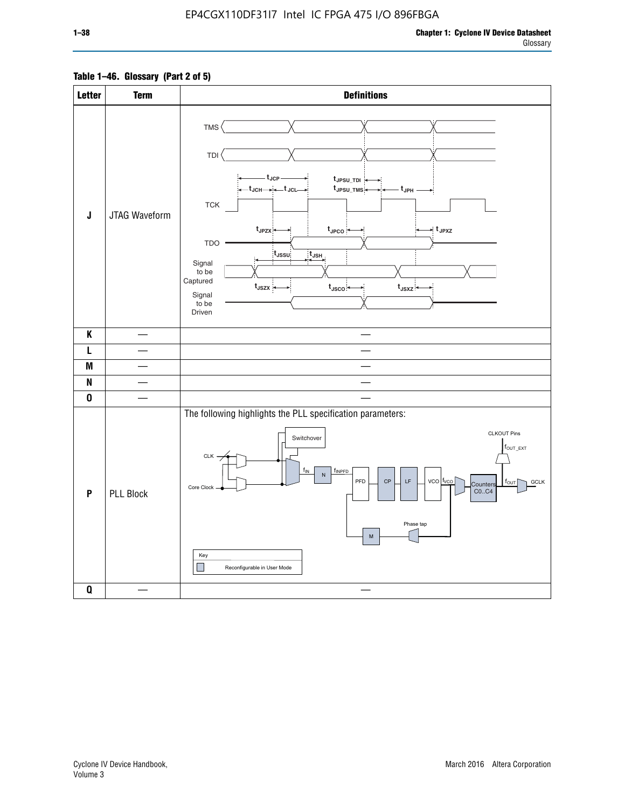### **Table 1–46. Glossary (Part 2 of 5)**

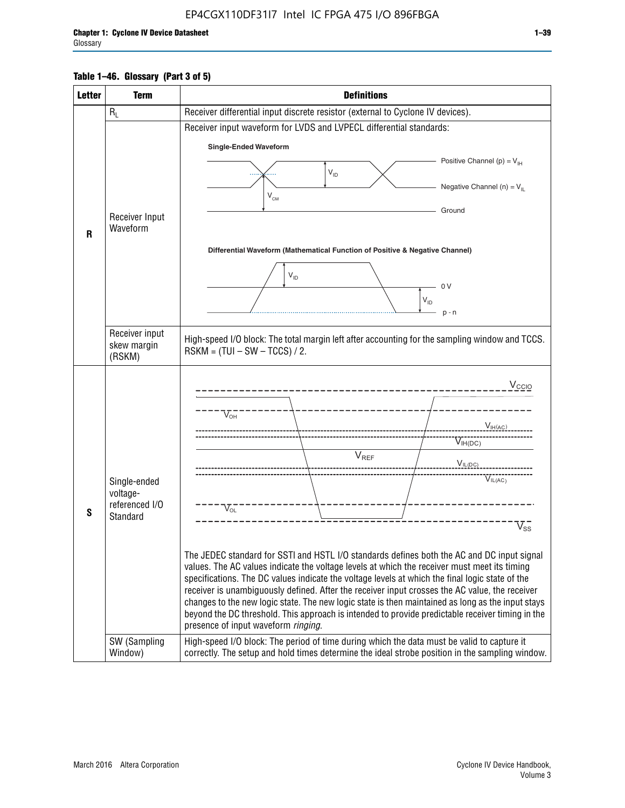### **Table 1–46. Glossary (Part 3 of 5)**

| <b>Letter</b> | <b>Term</b>                | <b>Definitions</b>                                                                                                                                                                                |  |  |  |  |  |  |  |
|---------------|----------------------------|---------------------------------------------------------------------------------------------------------------------------------------------------------------------------------------------------|--|--|--|--|--|--|--|
|               | $R_L$                      | Receiver differential input discrete resistor (external to Cyclone IV devices).                                                                                                                   |  |  |  |  |  |  |  |
|               |                            | Receiver input waveform for LVDS and LVPECL differential standards:                                                                                                                               |  |  |  |  |  |  |  |
|               |                            | <b>Single-Ended Waveform</b>                                                                                                                                                                      |  |  |  |  |  |  |  |
|               |                            | Positive Channel (p) = $V_{\text{H}}$                                                                                                                                                             |  |  |  |  |  |  |  |
|               |                            | $V_{ID}$                                                                                                                                                                                          |  |  |  |  |  |  |  |
|               |                            | Negative Channel (n) = $V_{\parallel}$<br>$V_{CM}$                                                                                                                                                |  |  |  |  |  |  |  |
|               | Receiver Input             | Ground                                                                                                                                                                                            |  |  |  |  |  |  |  |
| $\mathbf{R}$  | Waveform                   |                                                                                                                                                                                                   |  |  |  |  |  |  |  |
|               |                            | Differential Waveform (Mathematical Function of Positive & Negative Channel)                                                                                                                      |  |  |  |  |  |  |  |
|               |                            |                                                                                                                                                                                                   |  |  |  |  |  |  |  |
|               |                            | $V_{ID}$                                                                                                                                                                                          |  |  |  |  |  |  |  |
|               |                            | 0 <sup>V</sup><br>$V_{ID}$                                                                                                                                                                        |  |  |  |  |  |  |  |
|               |                            | $p - n$                                                                                                                                                                                           |  |  |  |  |  |  |  |
|               | Receiver input             |                                                                                                                                                                                                   |  |  |  |  |  |  |  |
|               | skew margin                | High-speed I/O block: The total margin left after accounting for the sampling window and TCCS.<br>$RSKM = (TUI - SW - TCCS) / 2.$                                                                 |  |  |  |  |  |  |  |
|               | (RSKM)                     |                                                                                                                                                                                                   |  |  |  |  |  |  |  |
|               |                            | $V_{CCIO}$                                                                                                                                                                                        |  |  |  |  |  |  |  |
|               |                            |                                                                                                                                                                                                   |  |  |  |  |  |  |  |
|               |                            | $V_{\text{\tiny OH}}^-$                                                                                                                                                                           |  |  |  |  |  |  |  |
|               |                            | V <sub>IH</sub> (AC)                                                                                                                                                                              |  |  |  |  |  |  |  |
|               |                            | $V_{IH(DC)}$<br>V <sub>REF</sub>                                                                                                                                                                  |  |  |  |  |  |  |  |
|               |                            | $V_{I L (DC)}$                                                                                                                                                                                    |  |  |  |  |  |  |  |
|               | Single-ended               | $\overline{V}_{IL(AC)}$                                                                                                                                                                           |  |  |  |  |  |  |  |
|               | voltage-<br>referenced I/O |                                                                                                                                                                                                   |  |  |  |  |  |  |  |
| S             | Standard                   | $V_{OL}$                                                                                                                                                                                          |  |  |  |  |  |  |  |
|               |                            | $V_{ss}$                                                                                                                                                                                          |  |  |  |  |  |  |  |
|               |                            | The JEDEC standard for SSTI and HSTL I/O standards defines both the AC and DC input signal                                                                                                        |  |  |  |  |  |  |  |
|               |                            | values. The AC values indicate the voltage levels at which the receiver must meet its timing                                                                                                      |  |  |  |  |  |  |  |
|               |                            | specifications. The DC values indicate the voltage levels at which the final logic state of the<br>receiver is unambiguously defined. After the receiver input crosses the AC value, the receiver |  |  |  |  |  |  |  |
|               |                            | changes to the new logic state. The new logic state is then maintained as long as the input stays                                                                                                 |  |  |  |  |  |  |  |
|               |                            | beyond the DC threshold. This approach is intended to provide predictable receiver timing in the                                                                                                  |  |  |  |  |  |  |  |
|               | SW (Sampling               | presence of input waveform ringing.<br>High-speed I/O block: The period of time during which the data must be valid to capture it                                                                 |  |  |  |  |  |  |  |
|               | Window)                    | correctly. The setup and hold times determine the ideal strobe position in the sampling window.                                                                                                   |  |  |  |  |  |  |  |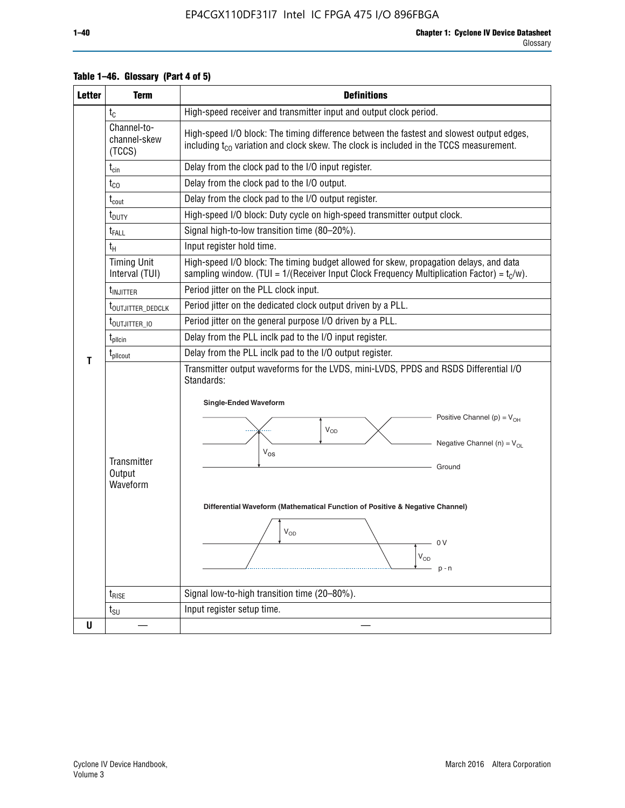| <b>Letter</b> | <b>Term</b>                           | <b>Definitions</b>                                                                                                                                                                                                                                                                                                                                                                                |
|---------------|---------------------------------------|---------------------------------------------------------------------------------------------------------------------------------------------------------------------------------------------------------------------------------------------------------------------------------------------------------------------------------------------------------------------------------------------------|
|               | $t_{C}$                               | High-speed receiver and transmitter input and output clock period.                                                                                                                                                                                                                                                                                                                                |
|               | Channel-to-<br>channel-skew<br>(TCCS) | High-speed I/O block: The timing difference between the fastest and slowest output edges,<br>including $t_{C0}$ variation and clock skew. The clock is included in the TCCS measurement.                                                                                                                                                                                                          |
|               | $t_{\text{cin}}$                      | Delay from the clock pad to the I/O input register.                                                                                                                                                                                                                                                                                                                                               |
|               | $t_{CO}$                              | Delay from the clock pad to the I/O output.                                                                                                                                                                                                                                                                                                                                                       |
|               | $t_{\rm{cout}}$                       | Delay from the clock pad to the I/O output register.                                                                                                                                                                                                                                                                                                                                              |
|               | t <sub>DUTY</sub>                     | High-speed I/O block: Duty cycle on high-speed transmitter output clock.                                                                                                                                                                                                                                                                                                                          |
|               | $t_{FALL}$                            | Signal high-to-low transition time (80-20%).                                                                                                                                                                                                                                                                                                                                                      |
|               | tн                                    | Input register hold time.                                                                                                                                                                                                                                                                                                                                                                         |
|               | <b>Timing Unit</b><br>Interval (TUI)  | High-speed I/O block: The timing budget allowed for skew, propagation delays, and data<br>sampling window. (TUI = $1/($ Receiver Input Clock Frequency Multiplication Factor) = $tC/w$ ).                                                                                                                                                                                                         |
|               | t <sub>INJITTER</sub>                 | Period jitter on the PLL clock input.                                                                                                                                                                                                                                                                                                                                                             |
|               | t <sub>outjitter_dedclk</sub>         | Period jitter on the dedicated clock output driven by a PLL.                                                                                                                                                                                                                                                                                                                                      |
|               | t <sub>outjitter_io</sub>             | Period jitter on the general purpose I/O driven by a PLL.                                                                                                                                                                                                                                                                                                                                         |
|               | t <sub>pllcin</sub>                   | Delay from the PLL inclk pad to the I/O input register.                                                                                                                                                                                                                                                                                                                                           |
| Т             | t <sub>plicout</sub>                  | Delay from the PLL inclk pad to the I/O output register.                                                                                                                                                                                                                                                                                                                                          |
|               | Transmitter<br>Output<br>Waveform     | Transmitter output waveforms for the LVDS, mini-LVDS, PPDS and RSDS Differential I/O<br>Standards:<br><b>Single-Ended Waveform</b><br>Positive Channel (p) = $V_{OH}$<br>VOD<br>Negative Channel (n) = $V_{OL}$<br>$V_{OS}$<br>Ground<br>Differential Waveform (Mathematical Function of Positive & Negative Channel)<br>$V_{OD}$<br>$\bigcap$ $\bigcup$<br>$\mathsf{V}_{\mathsf{OD}}$<br>$p - n$ |
|               | $t_{\text{RISE}}$                     | Signal low-to-high transition time (20-80%).                                                                                                                                                                                                                                                                                                                                                      |
|               | $t_{\text{SU}}$                       | Input register setup time.                                                                                                                                                                                                                                                                                                                                                                        |
| U             |                                       |                                                                                                                                                                                                                                                                                                                                                                                                   |

### **Table 1–46. Glossary (Part 4 of 5)**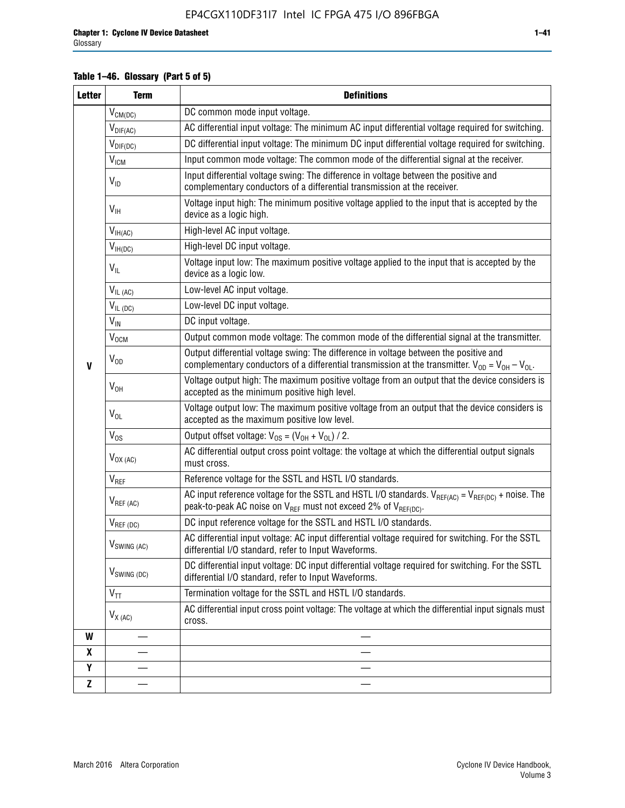### **Table 1–46. Glossary (Part 5 of 5)**

| <b>Letter</b> | <b>Term</b>             | <b>Definitions</b>                                                                                                                                                                                |  |  |  |  |  |  |  |
|---------------|-------------------------|---------------------------------------------------------------------------------------------------------------------------------------------------------------------------------------------------|--|--|--|--|--|--|--|
|               | $V_{CM(DC)}$            | DC common mode input voltage.                                                                                                                                                                     |  |  |  |  |  |  |  |
|               | $V_{DIF(AC)}$           | AC differential input voltage: The minimum AC input differential voltage required for switching.                                                                                                  |  |  |  |  |  |  |  |
|               | $V_{DIF(DC)}$           | DC differential input voltage: The minimum DC input differential voltage required for switching.                                                                                                  |  |  |  |  |  |  |  |
|               | <b>V<sub>ICM</sub></b>  | Input common mode voltage: The common mode of the differential signal at the receiver.                                                                                                            |  |  |  |  |  |  |  |
|               | $V_{ID}$                | Input differential voltage swing: The difference in voltage between the positive and<br>complementary conductors of a differential transmission at the receiver.                                  |  |  |  |  |  |  |  |
|               | $V_{\text{IH}}$         | Voltage input high: The minimum positive voltage applied to the input that is accepted by the<br>device as a logic high.                                                                          |  |  |  |  |  |  |  |
|               | $V_{IH(AC)}$            | High-level AC input voltage.                                                                                                                                                                      |  |  |  |  |  |  |  |
|               | $V_{IH(DC)}$            | High-level DC input voltage.                                                                                                                                                                      |  |  |  |  |  |  |  |
|               | $V_{IL}$                | Voltage input low: The maximum positive voltage applied to the input that is accepted by the<br>device as a logic low.                                                                            |  |  |  |  |  |  |  |
|               | $V_{IL(AC)}$            | Low-level AC input voltage.                                                                                                                                                                       |  |  |  |  |  |  |  |
|               | $V_{IL(DC)}$            | Low-level DC input voltage.                                                                                                                                                                       |  |  |  |  |  |  |  |
|               | $V_{\text{IN}}$         | DC input voltage.                                                                                                                                                                                 |  |  |  |  |  |  |  |
|               | $\rm V_{\rm OCM}$       | Output common mode voltage: The common mode of the differential signal at the transmitter.                                                                                                        |  |  |  |  |  |  |  |
| $\mathbf{V}$  | $V_{OD}$                | Output differential voltage swing: The difference in voltage between the positive and<br>complementary conductors of a differential transmission at the transmitter. $V_{OD} = V_{OH} - V_{OL}$ . |  |  |  |  |  |  |  |
|               | $V_{OH}$                | Voltage output high: The maximum positive voltage from an output that the device considers is<br>accepted as the minimum positive high level.                                                     |  |  |  |  |  |  |  |
|               | $V_{OL}$                | Voltage output low: The maximum positive voltage from an output that the device considers is<br>accepted as the maximum positive low level.                                                       |  |  |  |  |  |  |  |
|               | $V_{OS}$                | Output offset voltage: $V_{OS} = (V_{OH} + V_{OL}) / 2$ .                                                                                                                                         |  |  |  |  |  |  |  |
|               | $V_{OX (AC)}$           | AC differential output cross point voltage: the voltage at which the differential output signals<br>must cross.                                                                                   |  |  |  |  |  |  |  |
|               | V <sub>REF</sub>        | Reference voltage for the SSTL and HSTL I/O standards.                                                                                                                                            |  |  |  |  |  |  |  |
|               | $V_{REF\,(AC)}$         | AC input reference voltage for the SSTL and HSTL I/O standards. $V_{REF(AC)} = V_{REF(DC)} +$ noise. The<br>peak-to-peak AC noise on $V_{REF}$ must not exceed 2% of $V_{REF(DC)}$ .              |  |  |  |  |  |  |  |
|               | $V_{REF(DC)}$           | DC input reference voltage for the SSTL and HSTL I/O standards.                                                                                                                                   |  |  |  |  |  |  |  |
|               | $V_{\text{SWING (AC)}}$ | AC differential input voltage: AC input differential voltage required for switching. For the SSTL<br>differential I/O standard, refer to Input Waveforms.                                         |  |  |  |  |  |  |  |
|               | $V_{SWING(DC)}$         | DC differential input voltage: DC input differential voltage required for switching. For the SSTL<br>differential I/O standard, refer to Input Waveforms.                                         |  |  |  |  |  |  |  |
|               | $V_{TT}$                | Termination voltage for the SSTL and HSTL I/O standards.                                                                                                                                          |  |  |  |  |  |  |  |
|               | $V_{X(AC)}$             | AC differential input cross point voltage: The voltage at which the differential input signals must<br>cross.                                                                                     |  |  |  |  |  |  |  |
| W             |                         |                                                                                                                                                                                                   |  |  |  |  |  |  |  |
| X             |                         |                                                                                                                                                                                                   |  |  |  |  |  |  |  |
| Y             |                         |                                                                                                                                                                                                   |  |  |  |  |  |  |  |
| $\mathbf{Z}$  |                         |                                                                                                                                                                                                   |  |  |  |  |  |  |  |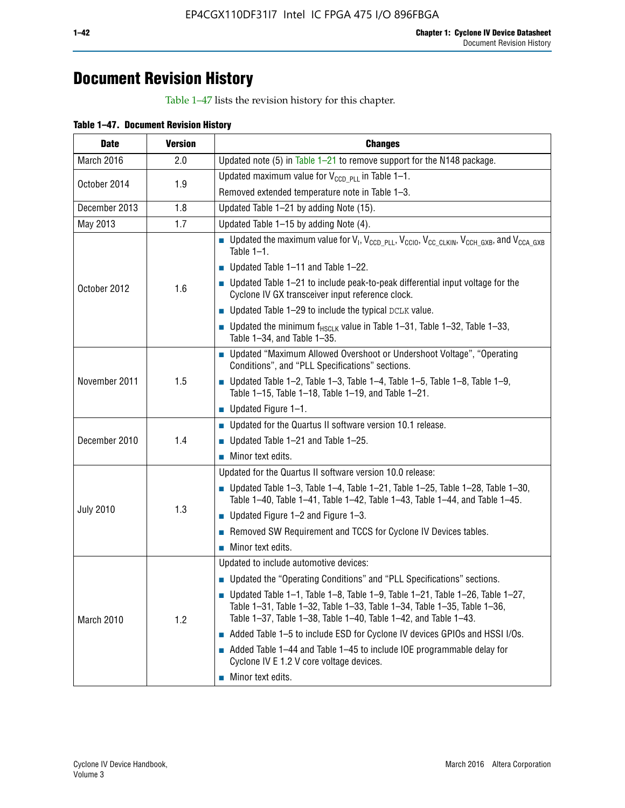## **Document Revision History**

Table 1–47 lists the revision history for this chapter.

| Table 1-47. Document Revision History |  |  |
|---------------------------------------|--|--|
|                                       |  |  |

| <b>Date</b>      | <b>Version</b> | <b>Changes</b>                                                                                                                                                                                                                            |
|------------------|----------------|-------------------------------------------------------------------------------------------------------------------------------------------------------------------------------------------------------------------------------------------|
| March 2016       | 2.0            | Updated note (5) in Table $1-21$ to remove support for the N148 package.                                                                                                                                                                  |
| October 2014     | 1.9            | Updated maximum value for $V_{CCD, PL}$ in Table 1-1.                                                                                                                                                                                     |
|                  |                | Removed extended temperature note in Table 1-3.                                                                                                                                                                                           |
| December 2013    | 1.8            | Updated Table 1-21 by adding Note (15).                                                                                                                                                                                                   |
| May 2013         | 1.7            | Updated Table 1-15 by adding Note (4).                                                                                                                                                                                                    |
| October 2012     | 1.6            | <b>D</b> Updated the maximum value for $V_1$ , $V_{CCD\_PLL}$ , $V_{CC10}$ , $V_{CC\_CLKIN}$ , $V_{CCH\_GXB}$ , and $V_{CCA\_GXB}$<br>Table $1-1$ .                                                                                       |
|                  |                | Updated Table 1-11 and Table 1-22.                                                                                                                                                                                                        |
|                  |                | $\blacksquare$ Updated Table 1-21 to include peak-to-peak differential input voltage for the<br>Cyclone IV GX transceiver input reference clock.                                                                                          |
|                  |                | $\blacksquare$ Updated Table 1-29 to include the typical DCLK value.                                                                                                                                                                      |
|                  |                | <b>Updated the minimum f<sub>HSCLK</sub></b> value in Table 1-31, Table 1-32, Table 1-33,<br>Table 1-34, and Table 1-35.                                                                                                                  |
|                  | 1.5            | • Updated "Maximum Allowed Overshoot or Undershoot Voltage", "Operating<br>Conditions", and "PLL Specifications" sections.                                                                                                                |
| November 2011    |                | Updated Table 1-2, Table 1-3, Table 1-4, Table 1-5, Table 1-8, Table 1-9,<br>Table 1-15, Table 1-18, Table 1-19, and Table 1-21.                                                                                                          |
|                  |                | ■ Updated Figure $1-1$ .                                                                                                                                                                                                                  |
|                  | 1.4            | Updated for the Quartus II software version 10.1 release.                                                                                                                                                                                 |
| December 2010    |                | Updated Table $1-21$ and Table $1-25$ .                                                                                                                                                                                                   |
|                  |                | $\blacksquare$ Minor text edits.                                                                                                                                                                                                          |
|                  | 1.3            | Updated for the Quartus II software version 10.0 release:                                                                                                                                                                                 |
| <b>July 2010</b> |                | Updated Table 1-3, Table 1-4, Table 1-21, Table 1-25, Table 1-28, Table 1-30,<br>Table 1-40, Table 1-41, Table 1-42, Table 1-43, Table 1-44, and Table 1-45.                                                                              |
|                  |                | $\blacksquare$ Updated Figure 1-2 and Figure 1-3.                                                                                                                                                                                         |
|                  |                | Removed SW Requirement and TCCS for Cyclone IV Devices tables.                                                                                                                                                                            |
|                  |                | $\blacksquare$ Minor text edits.                                                                                                                                                                                                          |
|                  | 1.2            | Updated to include automotive devices:                                                                                                                                                                                                    |
| March 2010       |                | • Updated the "Operating Conditions" and "PLL Specifications" sections.                                                                                                                                                                   |
|                  |                | $\blacksquare$ Updated Table 1-1, Table 1-8, Table 1-9, Table 1-21, Table 1-26, Table 1-27,<br>Table 1-31, Table 1-32, Table 1-33, Table 1-34, Table 1-35, Table 1-36,<br>Table 1-37, Table 1-38, Table 1-40, Table 1-42, and Table 1-43. |
|                  |                | Added Table 1-5 to include ESD for Cyclone IV devices GPIOs and HSSI I/Os.                                                                                                                                                                |
|                  |                | $\blacksquare$ Added Table 1-44 and Table 1-45 to include IOE programmable delay for<br>Cyclone IV E 1.2 V core voltage devices.                                                                                                          |
|                  |                | Minor text edits.                                                                                                                                                                                                                         |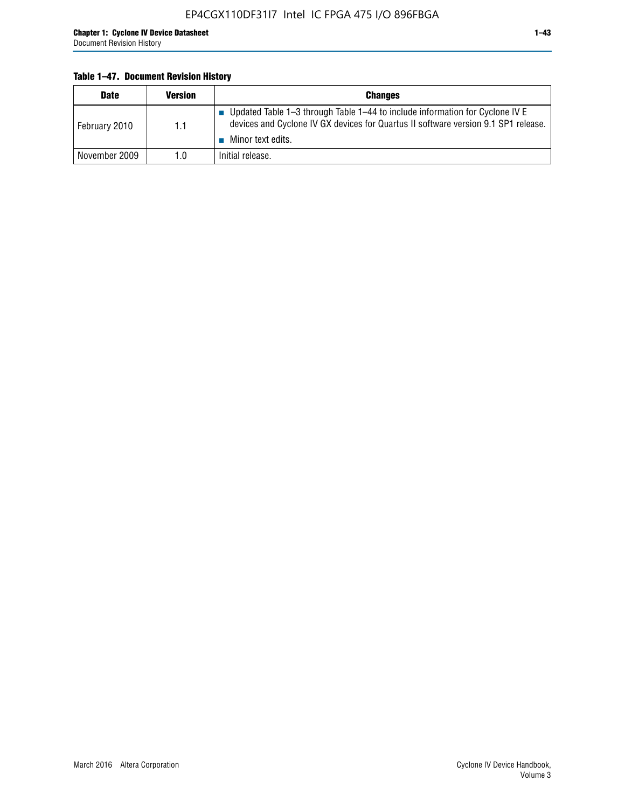### **Table 1–47. Document Revision History**

| <b>Date</b>   | <b>Version</b> | <b>Changes</b>                                                                                                                                                                          |
|---------------|----------------|-----------------------------------------------------------------------------------------------------------------------------------------------------------------------------------------|
| February 2010 | 1.1            | Updated Table 1-3 through Table 1-44 to include information for Cyclone IV E<br>devices and Cyclone IV GX devices for Quartus II software version 9.1 SP1 release.<br>Minor text edits. |
| November 2009 | 1.0            | Initial release.                                                                                                                                                                        |